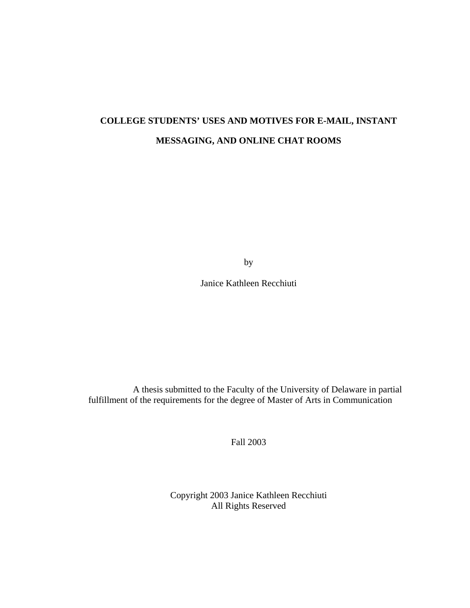# **COLLEGE STUDENTS' USES AND MOTIVES FOR E-MAIL, INSTANT MESSAGING, AND ONLINE CHAT ROOMS**

by

Janice Kathleen Recchiuti

A thesis submitted to the Faculty of the University of Delaware in partial fulfillment of the requirements for the degree of Master of Arts in Communication

Fall 2003

Copyright 2003 Janice Kathleen Recchiuti All Rights Reserved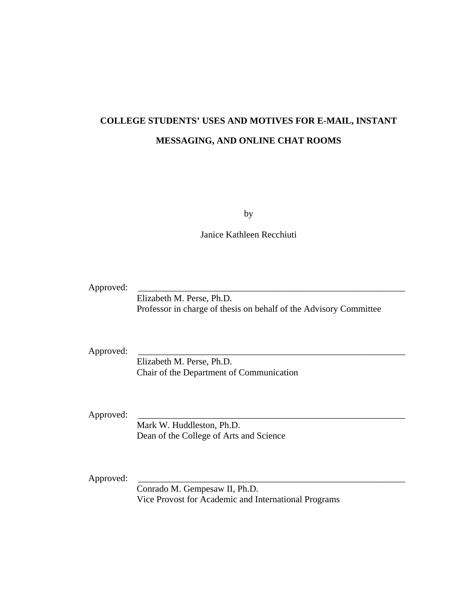# **COLLEGE STUDENTS' USES AND MOTIVES FOR E-MAIL, INSTANT MESSAGING, AND ONLINE CHAT ROOMS**

by

Janice Kathleen Recchiuti

Approved:

 Elizabeth M. Perse, Ph.D. Professor in charge of thesis on behalf of the Advisory Committee

Approved:

 Elizabeth M. Perse, Ph.D. Chair of the Department of Communication

Approved:

 Mark W. Huddleston, Ph.D. Dean of the College of Arts and Science

Approved:

 Conrado M. Gempesaw II, Ph.D. Vice Provost for Academic and International Programs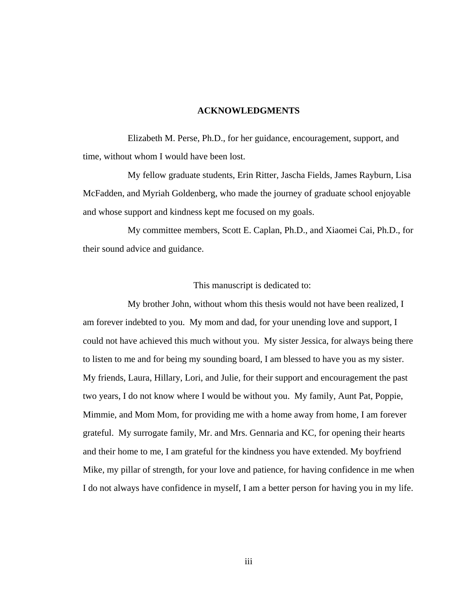#### **ACKNOWLEDGMENTS**

Elizabeth M. Perse, Ph.D., for her guidance, encouragement, support, and time, without whom I would have been lost.

My fellow graduate students, Erin Ritter, Jascha Fields, James Rayburn, Lisa McFadden, and Myriah Goldenberg, who made the journey of graduate school enjoyable and whose support and kindness kept me focused on my goals.

My committee members, Scott E. Caplan, Ph.D., and Xiaomei Cai, Ph.D., for their sound advice and guidance.

#### This manuscript is dedicated to:

My brother John, without whom this thesis would not have been realized, I am forever indebted to you. My mom and dad, for your unending love and support, I could not have achieved this much without you. My sister Jessica, for always being there to listen to me and for being my sounding board, I am blessed to have you as my sister. My friends, Laura, Hillary, Lori, and Julie, for their support and encouragement the past two years, I do not know where I would be without you. My family, Aunt Pat, Poppie, Mimmie, and Mom Mom, for providing me with a home away from home, I am forever grateful. My surrogate family, Mr. and Mrs. Gennaria and KC, for opening their hearts and their home to me, I am grateful for the kindness you have extended. My boyfriend Mike, my pillar of strength, for your love and patience, for having confidence in me when I do not always have confidence in myself, I am a better person for having you in my life.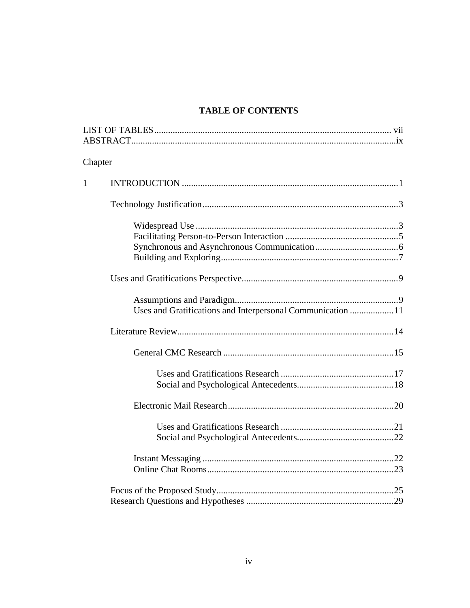# **TABLE OF CONTENTS**

| Chapter |                                                            |
|---------|------------------------------------------------------------|
| 1       |                                                            |
|         |                                                            |
|         |                                                            |
|         |                                                            |
|         | Uses and Gratifications and Interpersonal Communication 11 |
|         |                                                            |
|         |                                                            |
|         |                                                            |
|         |                                                            |
|         |                                                            |
|         |                                                            |
|         |                                                            |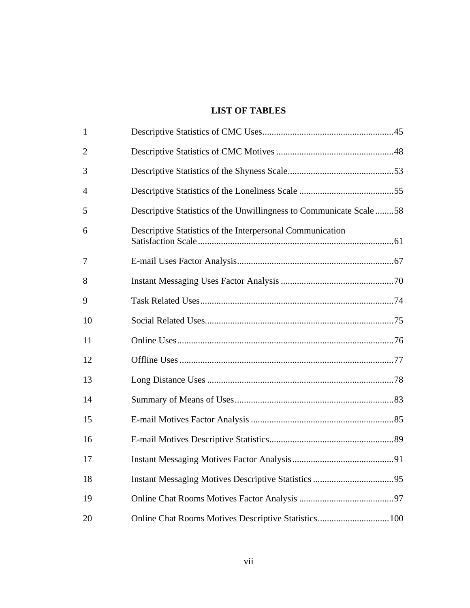# **LIST OF TABLES**

| $\mathbf{1}$ |                                                                    |  |
|--------------|--------------------------------------------------------------------|--|
| 2            |                                                                    |  |
| 3            |                                                                    |  |
| 4            |                                                                    |  |
| 5            | Descriptive Statistics of the Unwillingness to Communicate Scale58 |  |
| 6            | Descriptive Statistics of the Interpersonal Communication          |  |
| 7            |                                                                    |  |
| 8            |                                                                    |  |
| 9            |                                                                    |  |
| 10           |                                                                    |  |
| 11           |                                                                    |  |
| 12           |                                                                    |  |
| 13           |                                                                    |  |
| 14           |                                                                    |  |
| 15           |                                                                    |  |
| 16           |                                                                    |  |
| 17           |                                                                    |  |
| 18           |                                                                    |  |
| 19           |                                                                    |  |
| 20           |                                                                    |  |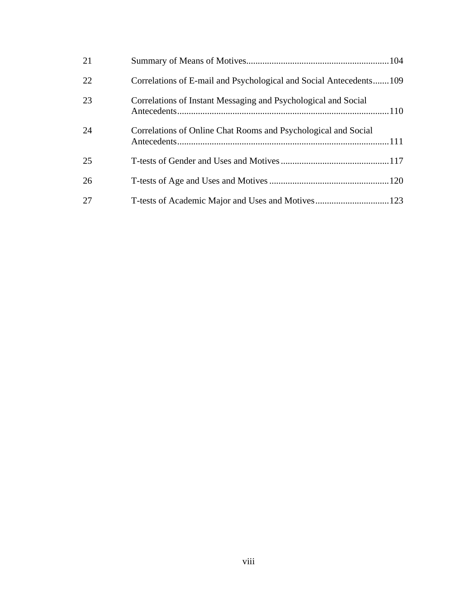| 21 |                                                                    |
|----|--------------------------------------------------------------------|
| 22 | Correlations of E-mail and Psychological and Social Antecedents109 |
| 23 | Correlations of Instant Messaging and Psychological and Social     |
| 24 | Correlations of Online Chat Rooms and Psychological and Social     |
| 25 |                                                                    |
| 26 |                                                                    |
| 27 |                                                                    |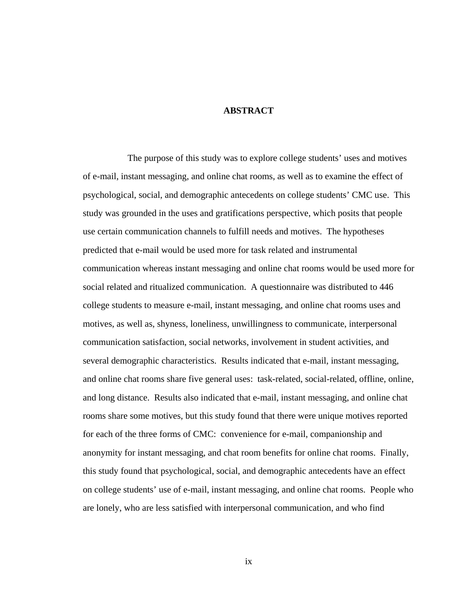### **ABSTRACT**

The purpose of this study was to explore college students' uses and motives of e-mail, instant messaging, and online chat rooms, as well as to examine the effect of psychological, social, and demographic antecedents on college students' CMC use. This study was grounded in the uses and gratifications perspective, which posits that people use certain communication channels to fulfill needs and motives. The hypotheses predicted that e-mail would be used more for task related and instrumental communication whereas instant messaging and online chat rooms would be used more for social related and ritualized communication. A questionnaire was distributed to 446 college students to measure e-mail, instant messaging, and online chat rooms uses and motives, as well as, shyness, loneliness, unwillingness to communicate, interpersonal communication satisfaction, social networks, involvement in student activities, and several demographic characteristics. Results indicated that e-mail, instant messaging, and online chat rooms share five general uses: task-related, social-related, offline, online, and long distance. Results also indicated that e-mail, instant messaging, and online chat rooms share some motives, but this study found that there were unique motives reported for each of the three forms of CMC: convenience for e-mail, companionship and anonymity for instant messaging, and chat room benefits for online chat rooms. Finally, this study found that psychological, social, and demographic antecedents have an effect on college students' use of e-mail, instant messaging, and online chat rooms. People who are lonely, who are less satisfied with interpersonal communication, and who find

ix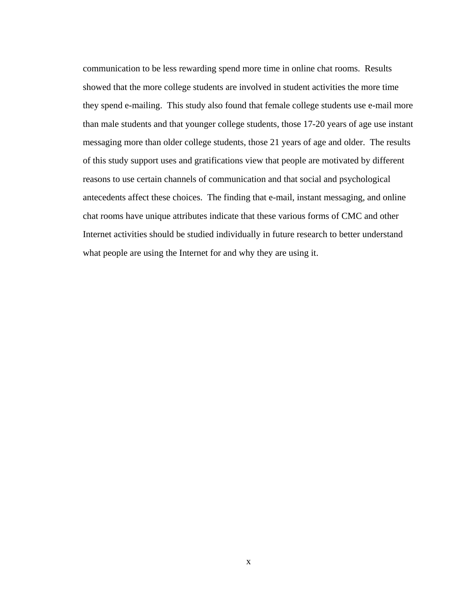communication to be less rewarding spend more time in online chat rooms. Results showed that the more college students are involved in student activities the more time they spend e-mailing. This study also found that female college students use e-mail more than male students and that younger college students, those 17-20 years of age use instant messaging more than older college students, those 21 years of age and older. The results of this study support uses and gratifications view that people are motivated by different reasons to use certain channels of communication and that social and psychological antecedents affect these choices. The finding that e-mail, instant messaging, and online chat rooms have unique attributes indicate that these various forms of CMC and other Internet activities should be studied individually in future research to better understand what people are using the Internet for and why they are using it.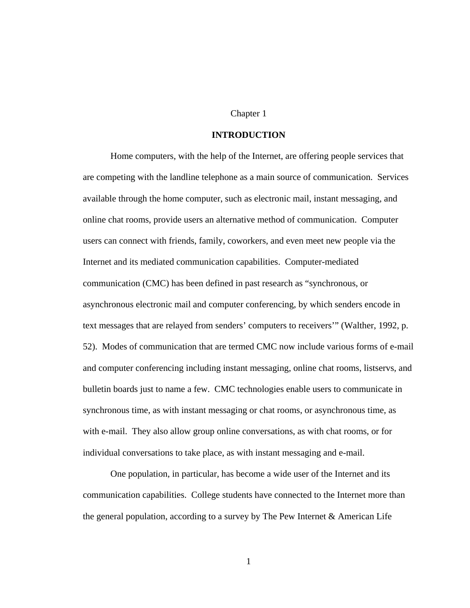# Chapter 1

# **INTRODUCTION**

 Home computers, with the help of the Internet, are offering people services that are competing with the landline telephone as a main source of communication. Services available through the home computer, such as electronic mail, instant messaging, and online chat rooms, provide users an alternative method of communication. Computer users can connect with friends, family, coworkers, and even meet new people via the Internet and its mediated communication capabilities. Computer-mediated communication (CMC) has been defined in past research as "synchronous, or asynchronous electronic mail and computer conferencing, by which senders encode in text messages that are relayed from senders' computers to receivers'" (Walther, 1992, p. 52). Modes of communication that are termed CMC now include various forms of e-mail and computer conferencing including instant messaging, online chat rooms, listservs, and bulletin boards just to name a few. CMC technologies enable users to communicate in synchronous time, as with instant messaging or chat rooms, or asynchronous time, as with e-mail. They also allow group online conversations, as with chat rooms, or for individual conversations to take place, as with instant messaging and e-mail.

 One population, in particular, has become a wide user of the Internet and its communication capabilities. College students have connected to the Internet more than the general population, according to a survey by The Pew Internet & American Life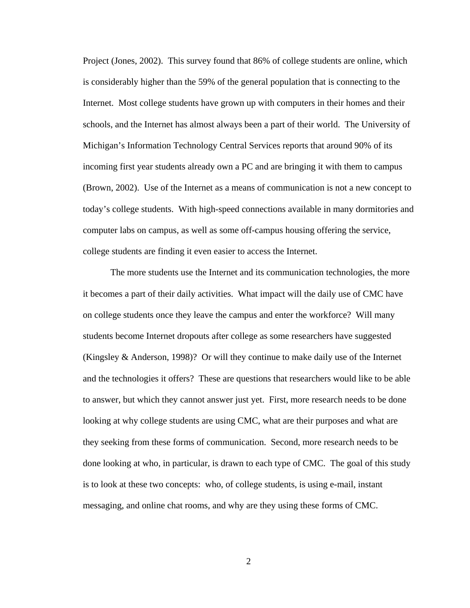Project (Jones, 2002). This survey found that 86% of college students are online, which is considerably higher than the 59% of the general population that is connecting to the Internet. Most college students have grown up with computers in their homes and their schools, and the Internet has almost always been a part of their world. The University of Michigan's Information Technology Central Services reports that around 90% of its incoming first year students already own a PC and are bringing it with them to campus (Brown, 2002). Use of the Internet as a means of communication is not a new concept to today's college students. With high-speed connections available in many dormitories and computer labs on campus, as well as some off-campus housing offering the service, college students are finding it even easier to access the Internet.

 The more students use the Internet and its communication technologies, the more it becomes a part of their daily activities. What impact will the daily use of CMC have on college students once they leave the campus and enter the workforce? Will many students become Internet dropouts after college as some researchers have suggested (Kingsley & Anderson, 1998)? Or will they continue to make daily use of the Internet and the technologies it offers? These are questions that researchers would like to be able to answer, but which they cannot answer just yet. First, more research needs to be done looking at why college students are using CMC, what are their purposes and what are they seeking from these forms of communication. Second, more research needs to be done looking at who, in particular, is drawn to each type of CMC. The goal of this study is to look at these two concepts: who, of college students, is using e-mail, instant messaging, and online chat rooms, and why are they using these forms of CMC.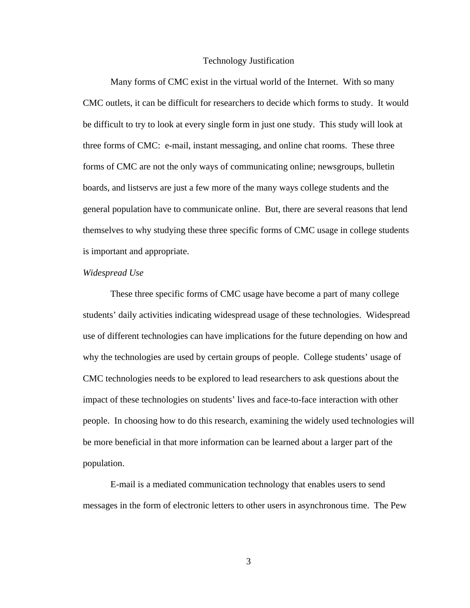#### Technology Justification

 Many forms of CMC exist in the virtual world of the Internet. With so many CMC outlets, it can be difficult for researchers to decide which forms to study. It would be difficult to try to look at every single form in just one study. This study will look at three forms of CMC: e-mail, instant messaging, and online chat rooms. These three forms of CMC are not the only ways of communicating online; newsgroups, bulletin boards, and listservs are just a few more of the many ways college students and the general population have to communicate online. But, there are several reasons that lend themselves to why studying these three specific forms of CMC usage in college students is important and appropriate.

#### *Widespread Use*

These three specific forms of CMC usage have become a part of many college students' daily activities indicating widespread usage of these technologies. Widespread use of different technologies can have implications for the future depending on how and why the technologies are used by certain groups of people. College students' usage of CMC technologies needs to be explored to lead researchers to ask questions about the impact of these technologies on students' lives and face-to-face interaction with other people. In choosing how to do this research, examining the widely used technologies will be more beneficial in that more information can be learned about a larger part of the population.

 E-mail is a mediated communication technology that enables users to send messages in the form of electronic letters to other users in asynchronous time. The Pew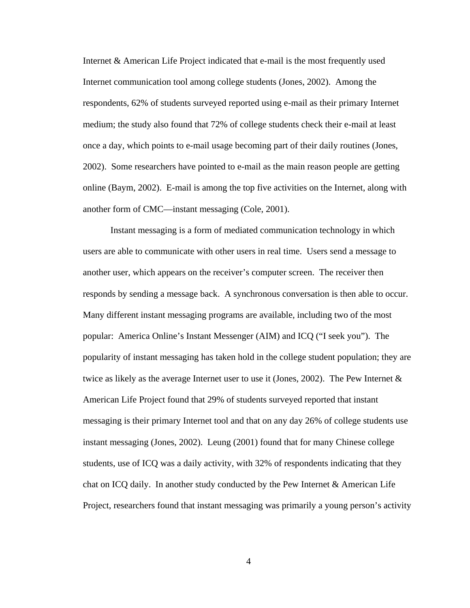Internet & American Life Project indicated that e-mail is the most frequently used Internet communication tool among college students (Jones, 2002). Among the respondents, 62% of students surveyed reported using e-mail as their primary Internet medium; the study also found that 72% of college students check their e-mail at least once a day, which points to e-mail usage becoming part of their daily routines (Jones, 2002). Some researchers have pointed to e-mail as the main reason people are getting online (Baym, 2002). E-mail is among the top five activities on the Internet, along with another form of CMC—instant messaging (Cole, 2001).

Instant messaging is a form of mediated communication technology in which users are able to communicate with other users in real time. Users send a message to another user, which appears on the receiver's computer screen. The receiver then responds by sending a message back. A synchronous conversation is then able to occur. Many different instant messaging programs are available, including two of the most popular: America Online's Instant Messenger (AIM) and ICQ ("I seek you"). The popularity of instant messaging has taken hold in the college student population; they are twice as likely as the average Internet user to use it (Jones, 2002). The Pew Internet  $\&$ American Life Project found that 29% of students surveyed reported that instant messaging is their primary Internet tool and that on any day 26% of college students use instant messaging (Jones, 2002). Leung (2001) found that for many Chinese college students, use of ICQ was a daily activity, with 32% of respondents indicating that they chat on ICQ daily. In another study conducted by the Pew Internet & American Life Project, researchers found that instant messaging was primarily a young person's activity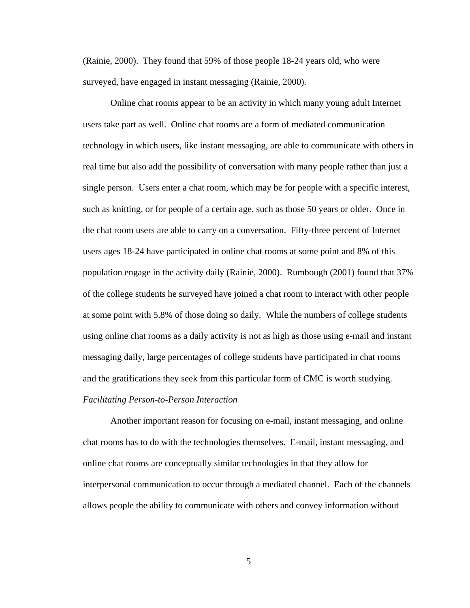(Rainie, 2000). They found that 59% of those people 18-24 years old, who were surveyed, have engaged in instant messaging (Rainie, 2000).

Online chat rooms appear to be an activity in which many young adult Internet users take part as well. Online chat rooms are a form of mediated communication technology in which users, like instant messaging, are able to communicate with others in real time but also add the possibility of conversation with many people rather than just a single person. Users enter a chat room, which may be for people with a specific interest, such as knitting, or for people of a certain age, such as those 50 years or older. Once in the chat room users are able to carry on a conversation. Fifty-three percent of Internet users ages 18-24 have participated in online chat rooms at some point and 8% of this population engage in the activity daily (Rainie, 2000). Rumbough (2001) found that 37% of the college students he surveyed have joined a chat room to interact with other people at some point with 5.8% of those doing so daily. While the numbers of college students using online chat rooms as a daily activity is not as high as those using e-mail and instant messaging daily, large percentages of college students have participated in chat rooms and the gratifications they seek from this particular form of CMC is worth studying. *Facilitating Person-to-Person Interaction* 

Another important reason for focusing on e-mail, instant messaging, and online chat rooms has to do with the technologies themselves. E-mail, instant messaging, and online chat rooms are conceptually similar technologies in that they allow for interpersonal communication to occur through a mediated channel. Each of the channels allows people the ability to communicate with others and convey information without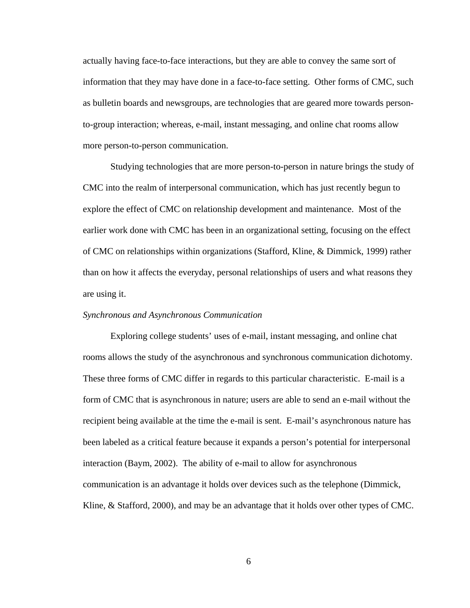actually having face-to-face interactions, but they are able to convey the same sort of information that they may have done in a face-to-face setting. Other forms of CMC, such as bulletin boards and newsgroups, are technologies that are geared more towards personto-group interaction; whereas, e-mail, instant messaging, and online chat rooms allow more person-to-person communication.

Studying technologies that are more person-to-person in nature brings the study of CMC into the realm of interpersonal communication, which has just recently begun to explore the effect of CMC on relationship development and maintenance. Most of the earlier work done with CMC has been in an organizational setting, focusing on the effect of CMC on relationships within organizations (Stafford, Kline, & Dimmick, 1999) rather than on how it affects the everyday, personal relationships of users and what reasons they are using it.

#### *Synchronous and Asynchronous Communication*

Exploring college students' uses of e-mail, instant messaging, and online chat rooms allows the study of the asynchronous and synchronous communication dichotomy. These three forms of CMC differ in regards to this particular characteristic. E-mail is a form of CMC that is asynchronous in nature; users are able to send an e-mail without the recipient being available at the time the e-mail is sent. E-mail's asynchronous nature has been labeled as a critical feature because it expands a person's potential for interpersonal interaction (Baym, 2002). The ability of e-mail to allow for asynchronous communication is an advantage it holds over devices such as the telephone (Dimmick, Kline, & Stafford, 2000), and may be an advantage that it holds over other types of CMC.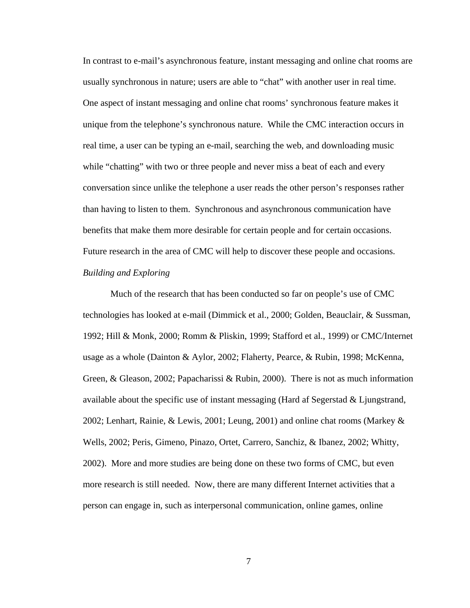In contrast to e-mail's asynchronous feature, instant messaging and online chat rooms are usually synchronous in nature; users are able to "chat" with another user in real time. One aspect of instant messaging and online chat rooms' synchronous feature makes it unique from the telephone's synchronous nature. While the CMC interaction occurs in real time, a user can be typing an e-mail, searching the web, and downloading music while "chatting" with two or three people and never miss a beat of each and every conversation since unlike the telephone a user reads the other person's responses rather than having to listen to them. Synchronous and asynchronous communication have benefits that make them more desirable for certain people and for certain occasions. Future research in the area of CMC will help to discover these people and occasions. *Building and Exploring* 

 Much of the research that has been conducted so far on people's use of CMC technologies has looked at e-mail (Dimmick et al., 2000; Golden, Beauclair, & Sussman, 1992; Hill & Monk, 2000; Romm & Pliskin, 1999; Stafford et al., 1999) or CMC/Internet usage as a whole (Dainton & Aylor, 2002; Flaherty, Pearce, & Rubin, 1998; McKenna, Green, & Gleason, 2002; Papacharissi & Rubin, 2000). There is not as much information available about the specific use of instant messaging (Hard af Segerstad & Ljungstrand, 2002; Lenhart, Rainie, & Lewis, 2001; Leung, 2001) and online chat rooms (Markey  $\&$ Wells, 2002; Peris, Gimeno, Pinazo, Ortet, Carrero, Sanchiz, & Ibanez, 2002; Whitty, 2002). More and more studies are being done on these two forms of CMC, but even more research is still needed. Now, there are many different Internet activities that a person can engage in, such as interpersonal communication, online games, online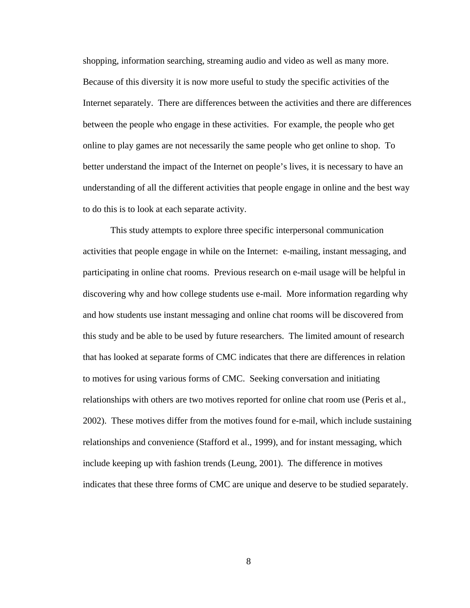shopping, information searching, streaming audio and video as well as many more. Because of this diversity it is now more useful to study the specific activities of the Internet separately. There are differences between the activities and there are differences between the people who engage in these activities. For example, the people who get online to play games are not necessarily the same people who get online to shop. To better understand the impact of the Internet on people's lives, it is necessary to have an understanding of all the different activities that people engage in online and the best way to do this is to look at each separate activity.

 This study attempts to explore three specific interpersonal communication activities that people engage in while on the Internet: e-mailing, instant messaging, and participating in online chat rooms. Previous research on e-mail usage will be helpful in discovering why and how college students use e-mail. More information regarding why and how students use instant messaging and online chat rooms will be discovered from this study and be able to be used by future researchers. The limited amount of research that has looked at separate forms of CMC indicates that there are differences in relation to motives for using various forms of CMC. Seeking conversation and initiating relationships with others are two motives reported for online chat room use (Peris et al., 2002). These motives differ from the motives found for e-mail, which include sustaining relationships and convenience (Stafford et al., 1999), and for instant messaging, which include keeping up with fashion trends (Leung, 2001). The difference in motives indicates that these three forms of CMC are unique and deserve to be studied separately.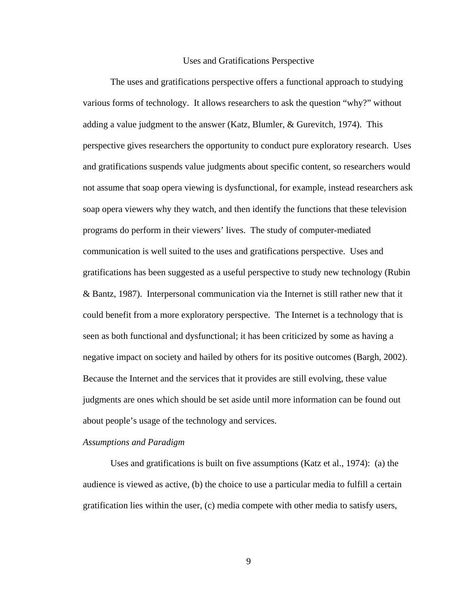#### Uses and Gratifications Perspective

The uses and gratifications perspective offers a functional approach to studying various forms of technology. It allows researchers to ask the question "why?" without adding a value judgment to the answer (Katz, Blumler, & Gurevitch, 1974). This perspective gives researchers the opportunity to conduct pure exploratory research. Uses and gratifications suspends value judgments about specific content, so researchers would not assume that soap opera viewing is dysfunctional, for example, instead researchers ask soap opera viewers why they watch, and then identify the functions that these television programs do perform in their viewers' lives. The study of computer-mediated communication is well suited to the uses and gratifications perspective. Uses and gratifications has been suggested as a useful perspective to study new technology (Rubin & Bantz, 1987). Interpersonal communication via the Internet is still rather new that it could benefit from a more exploratory perspective. The Internet is a technology that is seen as both functional and dysfunctional; it has been criticized by some as having a negative impact on society and hailed by others for its positive outcomes (Bargh, 2002). Because the Internet and the services that it provides are still evolving, these value judgments are ones which should be set aside until more information can be found out about people's usage of the technology and services.

#### *Assumptions and Paradigm*

Uses and gratifications is built on five assumptions (Katz et al., 1974): (a) the audience is viewed as active, (b) the choice to use a particular media to fulfill a certain gratification lies within the user, (c) media compete with other media to satisfy users,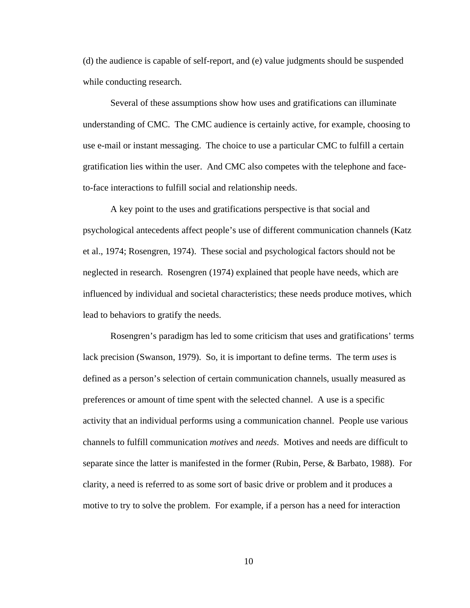(d) the audience is capable of self-report, and (e) value judgments should be suspended while conducting research.

Several of these assumptions show how uses and gratifications can illuminate understanding of CMC. The CMC audience is certainly active, for example, choosing to use e-mail or instant messaging. The choice to use a particular CMC to fulfill a certain gratification lies within the user. And CMC also competes with the telephone and faceto-face interactions to fulfill social and relationship needs.

A key point to the uses and gratifications perspective is that social and psychological antecedents affect people's use of different communication channels (Katz et al., 1974; Rosengren, 1974). These social and psychological factors should not be neglected in research. Rosengren (1974) explained that people have needs, which are influenced by individual and societal characteristics; these needs produce motives, which lead to behaviors to gratify the needs.

Rosengren's paradigm has led to some criticism that uses and gratifications' terms lack precision (Swanson, 1979). So, it is important to define terms. The term *uses* is defined as a person's selection of certain communication channels, usually measured as preferences or amount of time spent with the selected channel. A use is a specific activity that an individual performs using a communication channel. People use various channels to fulfill communication *motives* and *needs*. Motives and needs are difficult to separate since the latter is manifested in the former (Rubin, Perse, & Barbato, 1988). For clarity, a need is referred to as some sort of basic drive or problem and it produces a motive to try to solve the problem. For example, if a person has a need for interaction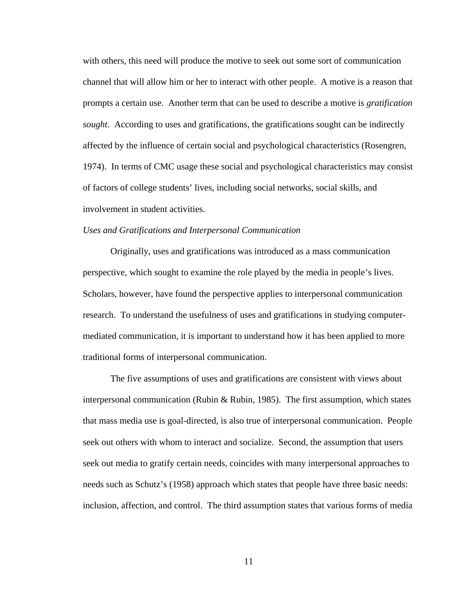with others, this need will produce the motive to seek out some sort of communication channel that will allow him or her to interact with other people. A motive is a reason that prompts a certain use. Another term that can be used to describe a motive is *gratification sought*. According to uses and gratifications, the gratifications sought can be indirectly affected by the influence of certain social and psychological characteristics (Rosengren, 1974). In terms of CMC usage these social and psychological characteristics may consist of factors of college students' lives, including social networks, social skills, and involvement in student activities.

#### *Uses and Gratifications and Interpersonal Communication*

 Originally, uses and gratifications was introduced as a mass communication perspective, which sought to examine the role played by the media in people's lives. Scholars, however, have found the perspective applies to interpersonal communication research. To understand the usefulness of uses and gratifications in studying computermediated communication, it is important to understand how it has been applied to more traditional forms of interpersonal communication.

 The five assumptions of uses and gratifications are consistent with views about interpersonal communication (Rubin & Rubin, 1985). The first assumption, which states that mass media use is goal-directed, is also true of interpersonal communication. People seek out others with whom to interact and socialize. Second, the assumption that users seek out media to gratify certain needs, coincides with many interpersonal approaches to needs such as Schutz's (1958) approach which states that people have three basic needs: inclusion, affection, and control. The third assumption states that various forms of media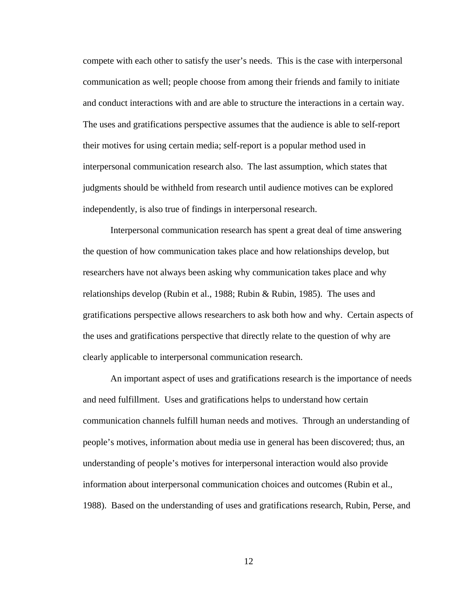compete with each other to satisfy the user's needs. This is the case with interpersonal communication as well; people choose from among their friends and family to initiate and conduct interactions with and are able to structure the interactions in a certain way. The uses and gratifications perspective assumes that the audience is able to self-report their motives for using certain media; self-report is a popular method used in interpersonal communication research also. The last assumption, which states that judgments should be withheld from research until audience motives can be explored independently, is also true of findings in interpersonal research.

 Interpersonal communication research has spent a great deal of time answering the question of how communication takes place and how relationships develop, but researchers have not always been asking why communication takes place and why relationships develop (Rubin et al., 1988; Rubin & Rubin, 1985). The uses and gratifications perspective allows researchers to ask both how and why. Certain aspects of the uses and gratifications perspective that directly relate to the question of why are clearly applicable to interpersonal communication research.

 An important aspect of uses and gratifications research is the importance of needs and need fulfillment. Uses and gratifications helps to understand how certain communication channels fulfill human needs and motives. Through an understanding of people's motives, information about media use in general has been discovered; thus, an understanding of people's motives for interpersonal interaction would also provide information about interpersonal communication choices and outcomes (Rubin et al., 1988). Based on the understanding of uses and gratifications research, Rubin, Perse, and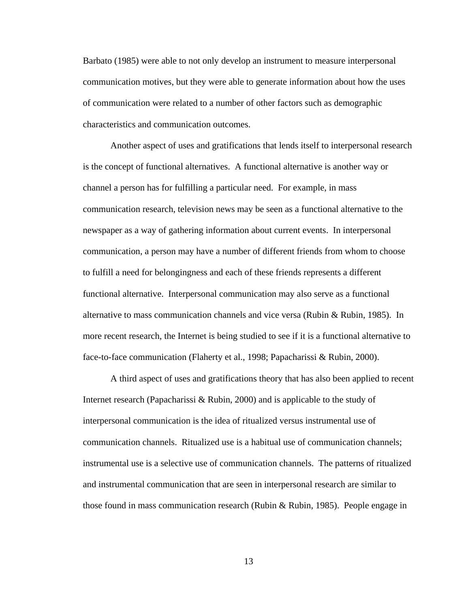Barbato (1985) were able to not only develop an instrument to measure interpersonal communication motives, but they were able to generate information about how the uses of communication were related to a number of other factors such as demographic characteristics and communication outcomes.

 Another aspect of uses and gratifications that lends itself to interpersonal research is the concept of functional alternatives. A functional alternative is another way or channel a person has for fulfilling a particular need. For example, in mass communication research, television news may be seen as a functional alternative to the newspaper as a way of gathering information about current events. In interpersonal communication, a person may have a number of different friends from whom to choose to fulfill a need for belongingness and each of these friends represents a different functional alternative. Interpersonal communication may also serve as a functional alternative to mass communication channels and vice versa (Rubin & Rubin, 1985). In more recent research, the Internet is being studied to see if it is a functional alternative to face-to-face communication (Flaherty et al., 1998; Papacharissi & Rubin, 2000).

 A third aspect of uses and gratifications theory that has also been applied to recent Internet research (Papacharissi & Rubin, 2000) and is applicable to the study of interpersonal communication is the idea of ritualized versus instrumental use of communication channels. Ritualized use is a habitual use of communication channels; instrumental use is a selective use of communication channels. The patterns of ritualized and instrumental communication that are seen in interpersonal research are similar to those found in mass communication research (Rubin & Rubin, 1985). People engage in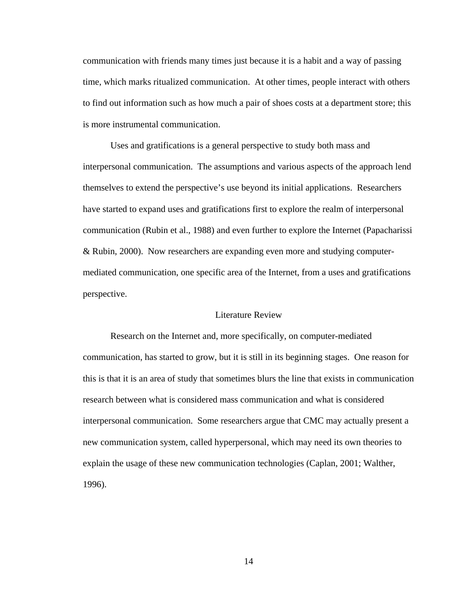communication with friends many times just because it is a habit and a way of passing time, which marks ritualized communication. At other times, people interact with others to find out information such as how much a pair of shoes costs at a department store; this is more instrumental communication.

 Uses and gratifications is a general perspective to study both mass and interpersonal communication. The assumptions and various aspects of the approach lend themselves to extend the perspective's use beyond its initial applications. Researchers have started to expand uses and gratifications first to explore the realm of interpersonal communication (Rubin et al., 1988) and even further to explore the Internet (Papacharissi & Rubin, 2000). Now researchers are expanding even more and studying computermediated communication, one specific area of the Internet, from a uses and gratifications perspective.

## Literature Review

Research on the Internet and, more specifically, on computer-mediated communication, has started to grow, but it is still in its beginning stages. One reason for this is that it is an area of study that sometimes blurs the line that exists in communication research between what is considered mass communication and what is considered interpersonal communication. Some researchers argue that CMC may actually present a new communication system, called hyperpersonal, which may need its own theories to explain the usage of these new communication technologies (Caplan, 2001; Walther, 1996).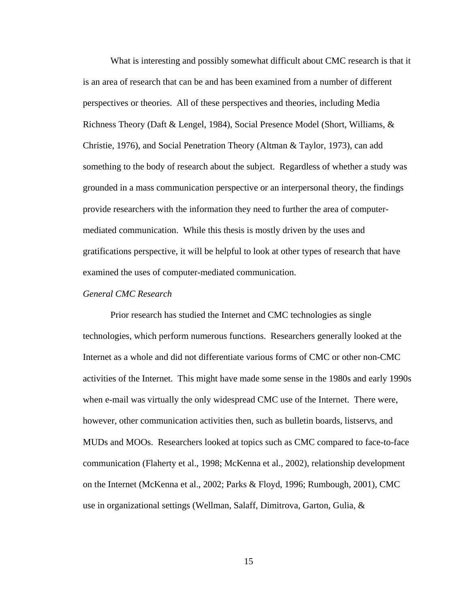What is interesting and possibly somewhat difficult about CMC research is that it is an area of research that can be and has been examined from a number of different perspectives or theories. All of these perspectives and theories, including Media Richness Theory (Daft & Lengel, 1984), Social Presence Model (Short, Williams, & Christie, 1976), and Social Penetration Theory (Altman & Taylor, 1973), can add something to the body of research about the subject. Regardless of whether a study was grounded in a mass communication perspective or an interpersonal theory, the findings provide researchers with the information they need to further the area of computermediated communication. While this thesis is mostly driven by the uses and gratifications perspective, it will be helpful to look at other types of research that have examined the uses of computer-mediated communication.

## *General CMC Research*

 Prior research has studied the Internet and CMC technologies as single technologies, which perform numerous functions. Researchers generally looked at the Internet as a whole and did not differentiate various forms of CMC or other non-CMC activities of the Internet. This might have made some sense in the 1980s and early 1990s when e-mail was virtually the only widespread CMC use of the Internet. There were, however, other communication activities then, such as bulletin boards, listservs, and MUDs and MOOs. Researchers looked at topics such as CMC compared to face-to-face communication (Flaherty et al., 1998; McKenna et al., 2002), relationship development on the Internet (McKenna et al., 2002; Parks & Floyd, 1996; Rumbough, 2001), CMC use in organizational settings (Wellman, Salaff, Dimitrova, Garton, Gulia, &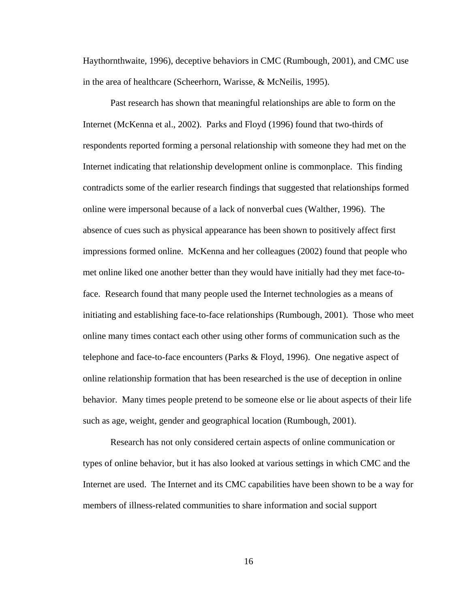Haythornthwaite, 1996), deceptive behaviors in CMC (Rumbough, 2001), and CMC use in the area of healthcare (Scheerhorn, Warisse, & McNeilis, 1995).

 Past research has shown that meaningful relationships are able to form on the Internet (McKenna et al., 2002). Parks and Floyd (1996) found that two-thirds of respondents reported forming a personal relationship with someone they had met on the Internet indicating that relationship development online is commonplace. This finding contradicts some of the earlier research findings that suggested that relationships formed online were impersonal because of a lack of nonverbal cues (Walther, 1996). The absence of cues such as physical appearance has been shown to positively affect first impressions formed online. McKenna and her colleagues (2002) found that people who met online liked one another better than they would have initially had they met face-toface. Research found that many people used the Internet technologies as a means of initiating and establishing face-to-face relationships (Rumbough, 2001). Those who meet online many times contact each other using other forms of communication such as the telephone and face-to-face encounters (Parks & Floyd, 1996). One negative aspect of online relationship formation that has been researched is the use of deception in online behavior. Many times people pretend to be someone else or lie about aspects of their life such as age, weight, gender and geographical location (Rumbough, 2001).

 Research has not only considered certain aspects of online communication or types of online behavior, but it has also looked at various settings in which CMC and the Internet are used. The Internet and its CMC capabilities have been shown to be a way for members of illness-related communities to share information and social support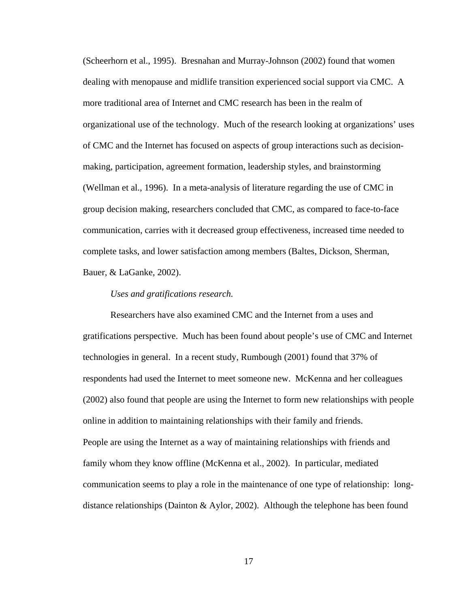(Scheerhorn et al., 1995). Bresnahan and Murray-Johnson (2002) found that women dealing with menopause and midlife transition experienced social support via CMC. A more traditional area of Internet and CMC research has been in the realm of organizational use of the technology. Much of the research looking at organizations' uses of CMC and the Internet has focused on aspects of group interactions such as decisionmaking, participation, agreement formation, leadership styles, and brainstorming (Wellman et al., 1996). In a meta-analysis of literature regarding the use of CMC in group decision making, researchers concluded that CMC, as compared to face-to-face communication, carries with it decreased group effectiveness, increased time needed to complete tasks, and lower satisfaction among members (Baltes, Dickson, Sherman, Bauer, & LaGanke, 2002).

#### *Uses and gratifications research.*

 Researchers have also examined CMC and the Internet from a uses and gratifications perspective. Much has been found about people's use of CMC and Internet technologies in general. In a recent study, Rumbough (2001) found that 37% of respondents had used the Internet to meet someone new. McKenna and her colleagues (2002) also found that people are using the Internet to form new relationships with people online in addition to maintaining relationships with their family and friends. People are using the Internet as a way of maintaining relationships with friends and family whom they know offline (McKenna et al., 2002). In particular, mediated communication seems to play a role in the maintenance of one type of relationship: longdistance relationships (Dainton & Aylor, 2002). Although the telephone has been found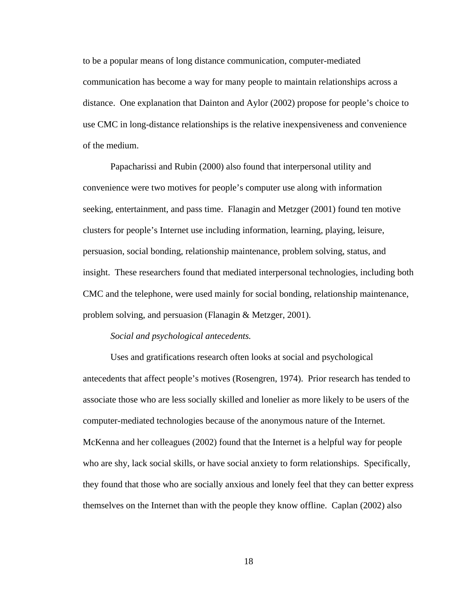to be a popular means of long distance communication, computer-mediated communication has become a way for many people to maintain relationships across a distance. One explanation that Dainton and Aylor (2002) propose for people's choice to use CMC in long-distance relationships is the relative inexpensiveness and convenience of the medium.

Papacharissi and Rubin (2000) also found that interpersonal utility and convenience were two motives for people's computer use along with information seeking, entertainment, and pass time. Flanagin and Metzger (2001) found ten motive clusters for people's Internet use including information, learning, playing, leisure, persuasion, social bonding, relationship maintenance, problem solving, status, and insight. These researchers found that mediated interpersonal technologies, including both CMC and the telephone, were used mainly for social bonding, relationship maintenance, problem solving, and persuasion (Flanagin & Metzger, 2001).

#### *Social and psychological antecedents.*

 Uses and gratifications research often looks at social and psychological antecedents that affect people's motives (Rosengren, 1974). Prior research has tended to associate those who are less socially skilled and lonelier as more likely to be users of the computer-mediated technologies because of the anonymous nature of the Internet. McKenna and her colleagues (2002) found that the Internet is a helpful way for people who are shy, lack social skills, or have social anxiety to form relationships. Specifically, they found that those who are socially anxious and lonely feel that they can better express themselves on the Internet than with the people they know offline. Caplan (2002) also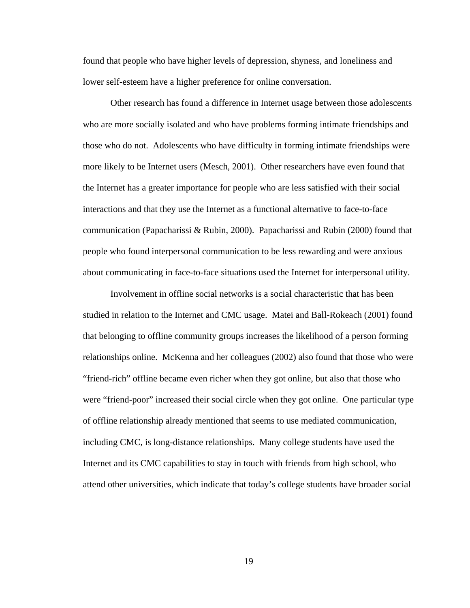found that people who have higher levels of depression, shyness, and loneliness and lower self-esteem have a higher preference for online conversation.

Other research has found a difference in Internet usage between those adolescents who are more socially isolated and who have problems forming intimate friendships and those who do not. Adolescents who have difficulty in forming intimate friendships were more likely to be Internet users (Mesch, 2001). Other researchers have even found that the Internet has a greater importance for people who are less satisfied with their social interactions and that they use the Internet as a functional alternative to face-to-face communication (Papacharissi & Rubin, 2000). Papacharissi and Rubin (2000) found that people who found interpersonal communication to be less rewarding and were anxious about communicating in face-to-face situations used the Internet for interpersonal utility.

Involvement in offline social networks is a social characteristic that has been studied in relation to the Internet and CMC usage. Matei and Ball-Rokeach (2001) found that belonging to offline community groups increases the likelihood of a person forming relationships online. McKenna and her colleagues (2002) also found that those who were "friend-rich" offline became even richer when they got online, but also that those who were "friend-poor" increased their social circle when they got online. One particular type of offline relationship already mentioned that seems to use mediated communication, including CMC, is long-distance relationships. Many college students have used the Internet and its CMC capabilities to stay in touch with friends from high school, who attend other universities, which indicate that today's college students have broader social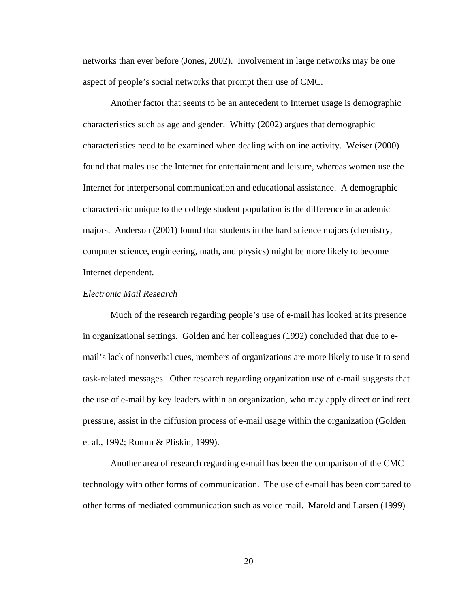networks than ever before (Jones, 2002). Involvement in large networks may be one aspect of people's social networks that prompt their use of CMC.

Another factor that seems to be an antecedent to Internet usage is demographic characteristics such as age and gender. Whitty (2002) argues that demographic characteristics need to be examined when dealing with online activity. Weiser (2000) found that males use the Internet for entertainment and leisure, whereas women use the Internet for interpersonal communication and educational assistance. A demographic characteristic unique to the college student population is the difference in academic majors. Anderson (2001) found that students in the hard science majors (chemistry, computer science, engineering, math, and physics) might be more likely to become Internet dependent.

# *Electronic Mail Research*

 Much of the research regarding people's use of e-mail has looked at its presence in organizational settings. Golden and her colleagues (1992) concluded that due to email's lack of nonverbal cues, members of organizations are more likely to use it to send task-related messages. Other research regarding organization use of e-mail suggests that the use of e-mail by key leaders within an organization, who may apply direct or indirect pressure, assist in the diffusion process of e-mail usage within the organization (Golden et al., 1992; Romm & Pliskin, 1999).

 Another area of research regarding e-mail has been the comparison of the CMC technology with other forms of communication. The use of e-mail has been compared to other forms of mediated communication such as voice mail. Marold and Larsen (1999)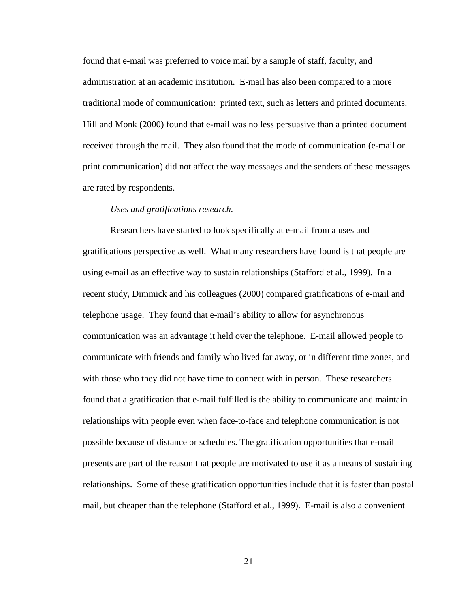found that e-mail was preferred to voice mail by a sample of staff, faculty, and administration at an academic institution. E-mail has also been compared to a more traditional mode of communication: printed text, such as letters and printed documents. Hill and Monk (2000) found that e-mail was no less persuasive than a printed document received through the mail. They also found that the mode of communication (e-mail or print communication) did not affect the way messages and the senders of these messages are rated by respondents.

#### *Uses and gratifications research.*

 Researchers have started to look specifically at e-mail from a uses and gratifications perspective as well. What many researchers have found is that people are using e-mail as an effective way to sustain relationships (Stafford et al., 1999). In a recent study, Dimmick and his colleagues (2000) compared gratifications of e-mail and telephone usage. They found that e-mail's ability to allow for asynchronous communication was an advantage it held over the telephone. E-mail allowed people to communicate with friends and family who lived far away, or in different time zones, and with those who they did not have time to connect with in person. These researchers found that a gratification that e-mail fulfilled is the ability to communicate and maintain relationships with people even when face-to-face and telephone communication is not possible because of distance or schedules. The gratification opportunities that e-mail presents are part of the reason that people are motivated to use it as a means of sustaining relationships. Some of these gratification opportunities include that it is faster than postal mail, but cheaper than the telephone (Stafford et al., 1999). E-mail is also a convenient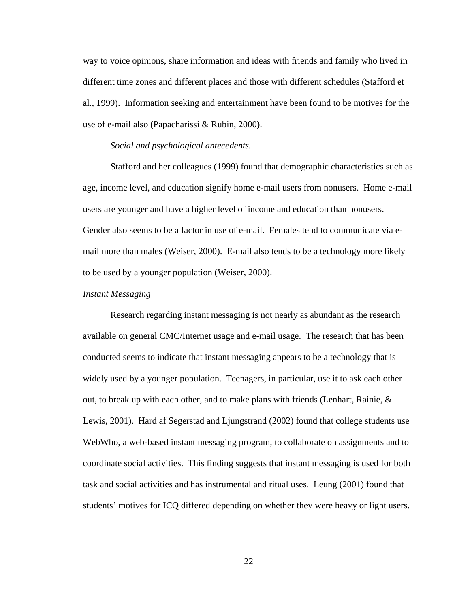way to voice opinions, share information and ideas with friends and family who lived in different time zones and different places and those with different schedules (Stafford et al., 1999). Information seeking and entertainment have been found to be motives for the use of e-mail also (Papacharissi & Rubin, 2000).

#### *Social and psychological antecedents.*

Stafford and her colleagues (1999) found that demographic characteristics such as age, income level, and education signify home e-mail users from nonusers. Home e-mail users are younger and have a higher level of income and education than nonusers. Gender also seems to be a factor in use of e-mail. Females tend to communicate via email more than males (Weiser, 2000). E-mail also tends to be a technology more likely to be used by a younger population (Weiser, 2000).

#### *Instant Messaging*

Research regarding instant messaging is not nearly as abundant as the research available on general CMC/Internet usage and e-mail usage. The research that has been conducted seems to indicate that instant messaging appears to be a technology that is widely used by a younger population. Teenagers, in particular, use it to ask each other out, to break up with each other, and to make plans with friends (Lenhart, Rainie,  $\&$ Lewis, 2001). Hard af Segerstad and Ljungstrand (2002) found that college students use WebWho, a web-based instant messaging program, to collaborate on assignments and to coordinate social activities. This finding suggests that instant messaging is used for both task and social activities and has instrumental and ritual uses. Leung (2001) found that students' motives for ICQ differed depending on whether they were heavy or light users.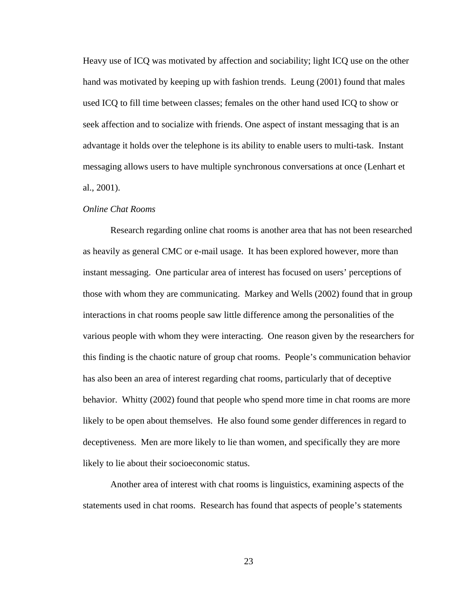Heavy use of ICQ was motivated by affection and sociability; light ICQ use on the other hand was motivated by keeping up with fashion trends. Leung (2001) found that males used ICQ to fill time between classes; females on the other hand used ICQ to show or seek affection and to socialize with friends. One aspect of instant messaging that is an advantage it holds over the telephone is its ability to enable users to multi-task. Instant messaging allows users to have multiple synchronous conversations at once (Lenhart et al., 2001).

#### *Online Chat Rooms*

 Research regarding online chat rooms is another area that has not been researched as heavily as general CMC or e-mail usage. It has been explored however, more than instant messaging. One particular area of interest has focused on users' perceptions of those with whom they are communicating. Markey and Wells (2002) found that in group interactions in chat rooms people saw little difference among the personalities of the various people with whom they were interacting. One reason given by the researchers for this finding is the chaotic nature of group chat rooms. People's communication behavior has also been an area of interest regarding chat rooms, particularly that of deceptive behavior. Whitty (2002) found that people who spend more time in chat rooms are more likely to be open about themselves. He also found some gender differences in regard to deceptiveness. Men are more likely to lie than women, and specifically they are more likely to lie about their socioeconomic status.

Another area of interest with chat rooms is linguistics, examining aspects of the statements used in chat rooms. Research has found that aspects of people's statements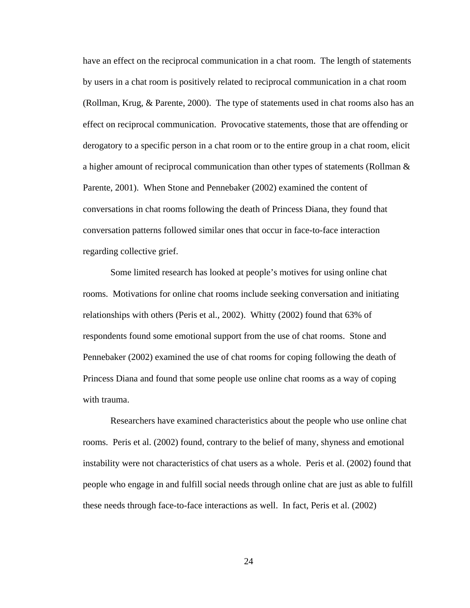have an effect on the reciprocal communication in a chat room. The length of statements by users in a chat room is positively related to reciprocal communication in a chat room (Rollman, Krug, & Parente, 2000). The type of statements used in chat rooms also has an effect on reciprocal communication. Provocative statements, those that are offending or derogatory to a specific person in a chat room or to the entire group in a chat room, elicit a higher amount of reciprocal communication than other types of statements (Rollman & Parente, 2001). When Stone and Pennebaker (2002) examined the content of conversations in chat rooms following the death of Princess Diana, they found that conversation patterns followed similar ones that occur in face-to-face interaction regarding collective grief.

Some limited research has looked at people's motives for using online chat rooms. Motivations for online chat rooms include seeking conversation and initiating relationships with others (Peris et al., 2002). Whitty (2002) found that 63% of respondents found some emotional support from the use of chat rooms. Stone and Pennebaker (2002) examined the use of chat rooms for coping following the death of Princess Diana and found that some people use online chat rooms as a way of coping with trauma.

 Researchers have examined characteristics about the people who use online chat rooms. Peris et al. (2002) found, contrary to the belief of many, shyness and emotional instability were not characteristics of chat users as a whole. Peris et al. (2002) found that people who engage in and fulfill social needs through online chat are just as able to fulfill these needs through face-to-face interactions as well. In fact, Peris et al. (2002)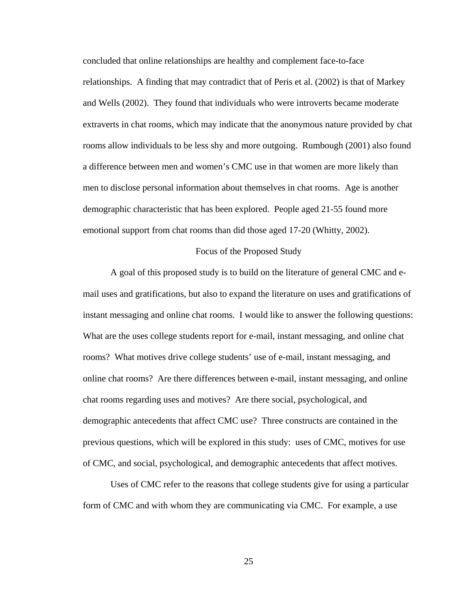concluded that online relationships are healthy and complement face-to-face relationships. A finding that may contradict that of Peris et al. (2002) is that of Markey and Wells (2002). They found that individuals who were introverts became moderate extraverts in chat rooms, which may indicate that the anonymous nature provided by chat rooms allow individuals to be less shy and more outgoing. Rumbough (2001) also found a difference between men and women's CMC use in that women are more likely than men to disclose personal information about themselves in chat rooms. Age is another demographic characteristic that has been explored. People aged 21-55 found more emotional support from chat rooms than did those aged 17-20 (Whitty, 2002).

#### Focus of the Proposed Study

A goal of this proposed study is to build on the literature of general CMC and email uses and gratifications, but also to expand the literature on uses and gratifications of instant messaging and online chat rooms. I would like to answer the following questions: What are the uses college students report for e-mail, instant messaging, and online chat rooms? What motives drive college students' use of e-mail, instant messaging, and online chat rooms? Are there differences between e-mail, instant messaging, and online chat rooms regarding uses and motives? Are there social, psychological, and demographic antecedents that affect CMC use? Three constructs are contained in the previous questions, which will be explored in this study: uses of CMC, motives for use of CMC, and social, psychological, and demographic antecedents that affect motives.

Uses of CMC refer to the reasons that college students give for using a particular form of CMC and with whom they are communicating via CMC. For example, a use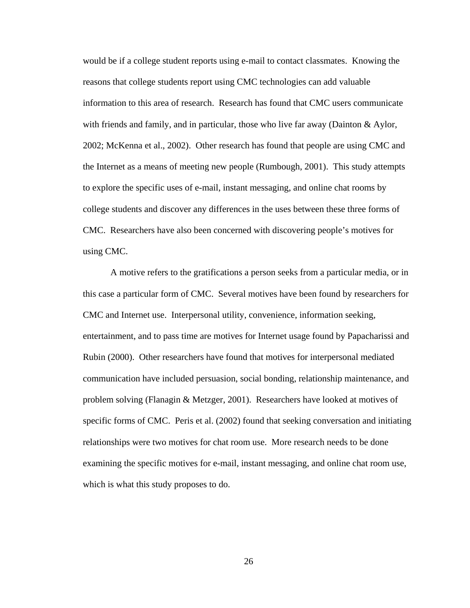would be if a college student reports using e-mail to contact classmates. Knowing the reasons that college students report using CMC technologies can add valuable information to this area of research. Research has found that CMC users communicate with friends and family, and in particular, those who live far away (Dainton & Aylor, 2002; McKenna et al., 2002). Other research has found that people are using CMC and the Internet as a means of meeting new people (Rumbough, 2001). This study attempts to explore the specific uses of e-mail, instant messaging, and online chat rooms by college students and discover any differences in the uses between these three forms of CMC. Researchers have also been concerned with discovering people's motives for using CMC.

A motive refers to the gratifications a person seeks from a particular media, or in this case a particular form of CMC. Several motives have been found by researchers for CMC and Internet use. Interpersonal utility, convenience, information seeking, entertainment, and to pass time are motives for Internet usage found by Papacharissi and Rubin (2000). Other researchers have found that motives for interpersonal mediated communication have included persuasion, social bonding, relationship maintenance, and problem solving (Flanagin & Metzger, 2001). Researchers have looked at motives of specific forms of CMC. Peris et al. (2002) found that seeking conversation and initiating relationships were two motives for chat room use. More research needs to be done examining the specific motives for e-mail, instant messaging, and online chat room use, which is what this study proposes to do.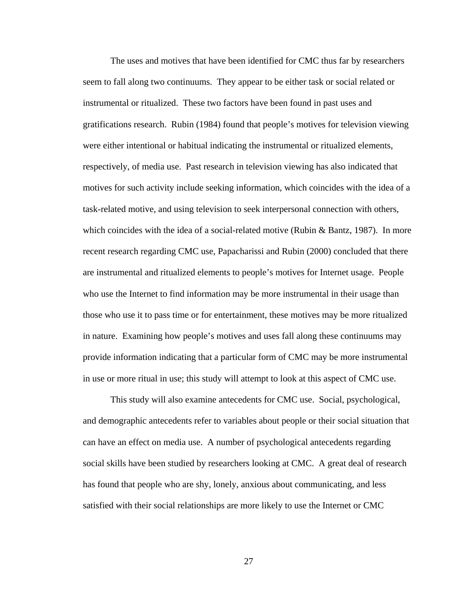The uses and motives that have been identified for CMC thus far by researchers seem to fall along two continuums. They appear to be either task or social related or instrumental or ritualized. These two factors have been found in past uses and gratifications research. Rubin (1984) found that people's motives for television viewing were either intentional or habitual indicating the instrumental or ritualized elements, respectively, of media use. Past research in television viewing has also indicated that motives for such activity include seeking information, which coincides with the idea of a task-related motive, and using television to seek interpersonal connection with others, which coincides with the idea of a social-related motive (Rubin & Bantz, 1987). In more recent research regarding CMC use, Papacharissi and Rubin (2000) concluded that there are instrumental and ritualized elements to people's motives for Internet usage. People who use the Internet to find information may be more instrumental in their usage than those who use it to pass time or for entertainment, these motives may be more ritualized in nature. Examining how people's motives and uses fall along these continuums may provide information indicating that a particular form of CMC may be more instrumental in use or more ritual in use; this study will attempt to look at this aspect of CMC use.

This study will also examine antecedents for CMC use. Social, psychological, and demographic antecedents refer to variables about people or their social situation that can have an effect on media use. A number of psychological antecedents regarding social skills have been studied by researchers looking at CMC. A great deal of research has found that people who are shy, lonely, anxious about communicating, and less satisfied with their social relationships are more likely to use the Internet or CMC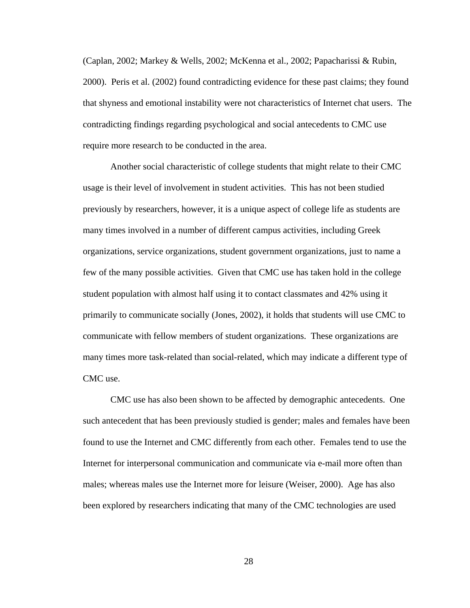(Caplan, 2002; Markey & Wells, 2002; McKenna et al., 2002; Papacharissi & Rubin, 2000). Peris et al. (2002) found contradicting evidence for these past claims; they found that shyness and emotional instability were not characteristics of Internet chat users. The contradicting findings regarding psychological and social antecedents to CMC use require more research to be conducted in the area.

Another social characteristic of college students that might relate to their CMC usage is their level of involvement in student activities. This has not been studied previously by researchers, however, it is a unique aspect of college life as students are many times involved in a number of different campus activities, including Greek organizations, service organizations, student government organizations, just to name a few of the many possible activities. Given that CMC use has taken hold in the college student population with almost half using it to contact classmates and 42% using it primarily to communicate socially (Jones, 2002), it holds that students will use CMC to communicate with fellow members of student organizations. These organizations are many times more task-related than social-related, which may indicate a different type of CMC use.

CMC use has also been shown to be affected by demographic antecedents. One such antecedent that has been previously studied is gender; males and females have been found to use the Internet and CMC differently from each other. Females tend to use the Internet for interpersonal communication and communicate via e-mail more often than males; whereas males use the Internet more for leisure (Weiser, 2000). Age has also been explored by researchers indicating that many of the CMC technologies are used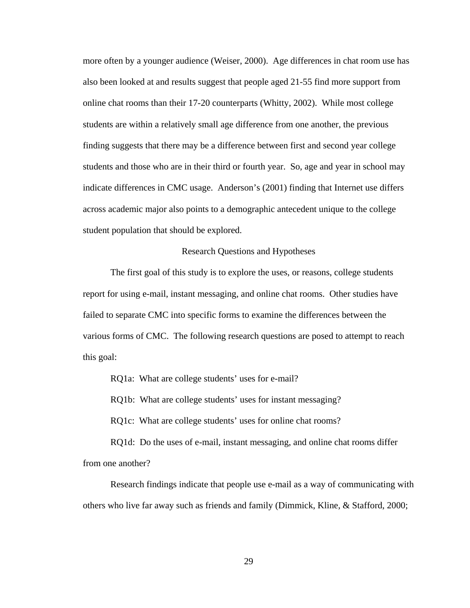more often by a younger audience (Weiser, 2000). Age differences in chat room use has also been looked at and results suggest that people aged 21-55 find more support from online chat rooms than their 17-20 counterparts (Whitty, 2002). While most college students are within a relatively small age difference from one another, the previous finding suggests that there may be a difference between first and second year college students and those who are in their third or fourth year. So, age and year in school may indicate differences in CMC usage. Anderson's (2001) finding that Internet use differs across academic major also points to a demographic antecedent unique to the college student population that should be explored.

#### Research Questions and Hypotheses

The first goal of this study is to explore the uses, or reasons, college students report for using e-mail, instant messaging, and online chat rooms. Other studies have failed to separate CMC into specific forms to examine the differences between the various forms of CMC. The following research questions are posed to attempt to reach this goal:

RQ1a: What are college students' uses for e-mail?

RQ1b: What are college students' uses for instant messaging?

RQ1c: What are college students' uses for online chat rooms?

RQ1d: Do the uses of e-mail, instant messaging, and online chat rooms differ from one another?

Research findings indicate that people use e-mail as a way of communicating with others who live far away such as friends and family (Dimmick, Kline, & Stafford, 2000;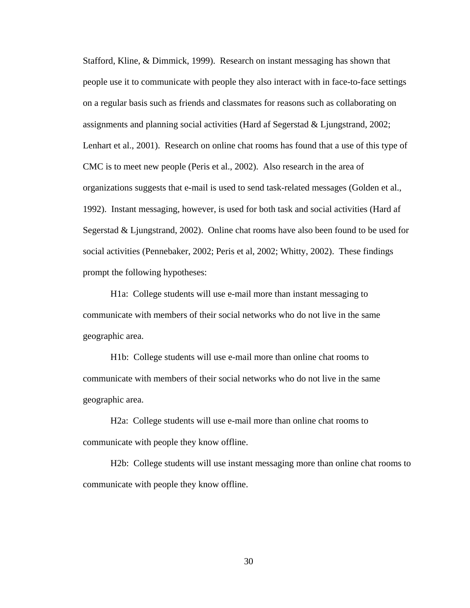Stafford, Kline, & Dimmick, 1999). Research on instant messaging has shown that people use it to communicate with people they also interact with in face-to-face settings on a regular basis such as friends and classmates for reasons such as collaborating on assignments and planning social activities (Hard af Segerstad & Ljungstrand, 2002; Lenhart et al., 2001). Research on online chat rooms has found that a use of this type of CMC is to meet new people (Peris et al., 2002). Also research in the area of organizations suggests that e-mail is used to send task-related messages (Golden et al., 1992). Instant messaging, however, is used for both task and social activities (Hard af Segerstad & Ljungstrand, 2002). Online chat rooms have also been found to be used for social activities (Pennebaker, 2002; Peris et al, 2002; Whitty, 2002). These findings prompt the following hypotheses:

H1a: College students will use e-mail more than instant messaging to communicate with members of their social networks who do not live in the same geographic area.

H1b: College students will use e-mail more than online chat rooms to communicate with members of their social networks who do not live in the same geographic area.

H2a: College students will use e-mail more than online chat rooms to communicate with people they know offline.

H2b: College students will use instant messaging more than online chat rooms to communicate with people they know offline.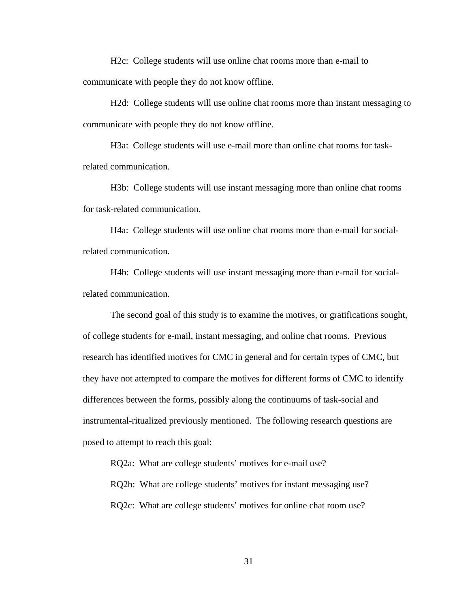H2c: College students will use online chat rooms more than e-mail to communicate with people they do not know offline.

H2d: College students will use online chat rooms more than instant messaging to communicate with people they do not know offline.

H3a: College students will use e-mail more than online chat rooms for taskrelated communication.

H3b: College students will use instant messaging more than online chat rooms for task-related communication.

H4a: College students will use online chat rooms more than e-mail for socialrelated communication.

H4b: College students will use instant messaging more than e-mail for socialrelated communication.

 The second goal of this study is to examine the motives, or gratifications sought, of college students for e-mail, instant messaging, and online chat rooms. Previous research has identified motives for CMC in general and for certain types of CMC, but they have not attempted to compare the motives for different forms of CMC to identify differences between the forms, possibly along the continuums of task-social and instrumental-ritualized previously mentioned. The following research questions are posed to attempt to reach this goal:

RQ2a: What are college students' motives for e-mail use?

RQ2b: What are college students' motives for instant messaging use?

RQ2c: What are college students' motives for online chat room use?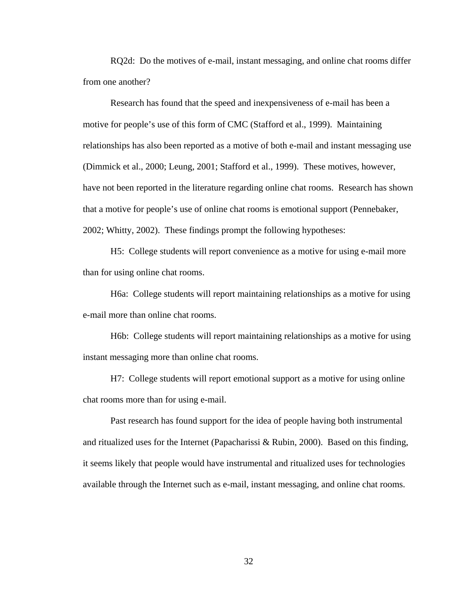RQ2d: Do the motives of e-mail, instant messaging, and online chat rooms differ from one another?

Research has found that the speed and inexpensiveness of e-mail has been a motive for people's use of this form of CMC (Stafford et al., 1999). Maintaining relationships has also been reported as a motive of both e-mail and instant messaging use (Dimmick et al., 2000; Leung, 2001; Stafford et al., 1999). These motives, however, have not been reported in the literature regarding online chat rooms. Research has shown that a motive for people's use of online chat rooms is emotional support (Pennebaker, 2002; Whitty, 2002). These findings prompt the following hypotheses:

H5: College students will report convenience as a motive for using e-mail more than for using online chat rooms.

H6a: College students will report maintaining relationships as a motive for using e-mail more than online chat rooms.

H6b: College students will report maintaining relationships as a motive for using instant messaging more than online chat rooms.

H7: College students will report emotional support as a motive for using online chat rooms more than for using e-mail.

Past research has found support for the idea of people having both instrumental and ritualized uses for the Internet (Papacharissi & Rubin, 2000). Based on this finding, it seems likely that people would have instrumental and ritualized uses for technologies available through the Internet such as e-mail, instant messaging, and online chat rooms.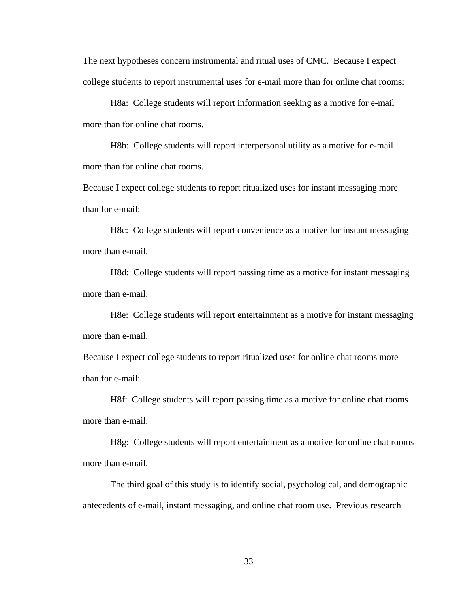The next hypotheses concern instrumental and ritual uses of CMC. Because I expect college students to report instrumental uses for e-mail more than for online chat rooms:

H8a: College students will report information seeking as a motive for e-mail more than for online chat rooms.

H8b: College students will report interpersonal utility as a motive for e-mail more than for online chat rooms.

Because I expect college students to report ritualized uses for instant messaging more than for e-mail:

H8c: College students will report convenience as a motive for instant messaging more than e-mail.

H8d: College students will report passing time as a motive for instant messaging more than e-mail.

H8e: College students will report entertainment as a motive for instant messaging more than e-mail.

Because I expect college students to report ritualized uses for online chat rooms more than for e-mail:

H8f: College students will report passing time as a motive for online chat rooms more than e-mail.

H8g: College students will report entertainment as a motive for online chat rooms more than e-mail.

The third goal of this study is to identify social, psychological, and demographic antecedents of e-mail, instant messaging, and online chat room use. Previous research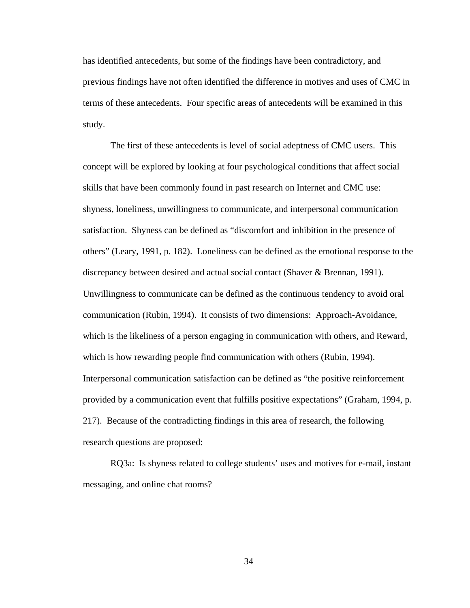has identified antecedents, but some of the findings have been contradictory, and previous findings have not often identified the difference in motives and uses of CMC in terms of these antecedents. Four specific areas of antecedents will be examined in this study.

The first of these antecedents is level of social adeptness of CMC users. This concept will be explored by looking at four psychological conditions that affect social skills that have been commonly found in past research on Internet and CMC use: shyness, loneliness, unwillingness to communicate, and interpersonal communication satisfaction. Shyness can be defined as "discomfort and inhibition in the presence of others" (Leary, 1991, p. 182). Loneliness can be defined as the emotional response to the discrepancy between desired and actual social contact (Shaver & Brennan, 1991). Unwillingness to communicate can be defined as the continuous tendency to avoid oral communication (Rubin, 1994). It consists of two dimensions: Approach-Avoidance, which is the likeliness of a person engaging in communication with others, and Reward, which is how rewarding people find communication with others (Rubin, 1994). Interpersonal communication satisfaction can be defined as "the positive reinforcement provided by a communication event that fulfills positive expectations" (Graham, 1994, p. 217). Because of the contradicting findings in this area of research, the following research questions are proposed:

RQ3a: Is shyness related to college students' uses and motives for e-mail, instant messaging, and online chat rooms?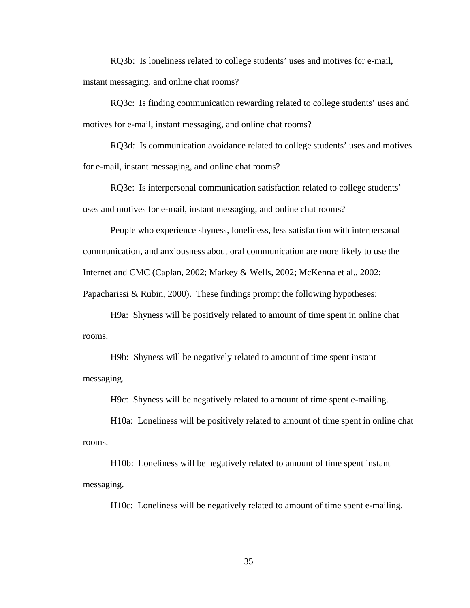RQ3b: Is loneliness related to college students' uses and motives for e-mail, instant messaging, and online chat rooms?

RQ3c: Is finding communication rewarding related to college students' uses and motives for e-mail, instant messaging, and online chat rooms?

RQ3d: Is communication avoidance related to college students' uses and motives for e-mail, instant messaging, and online chat rooms?

RQ3e: Is interpersonal communication satisfaction related to college students' uses and motives for e-mail, instant messaging, and online chat rooms?

People who experience shyness, loneliness, less satisfaction with interpersonal communication, and anxiousness about oral communication are more likely to use the Internet and CMC (Caplan, 2002; Markey & Wells, 2002; McKenna et al., 2002;

Papacharissi & Rubin, 2000). These findings prompt the following hypotheses:

H9a: Shyness will be positively related to amount of time spent in online chat rooms.

H9b: Shyness will be negatively related to amount of time spent instant messaging.

H9c: Shyness will be negatively related to amount of time spent e-mailing.

H10a: Loneliness will be positively related to amount of time spent in online chat rooms.

H10b: Loneliness will be negatively related to amount of time spent instant messaging.

H10c: Loneliness will be negatively related to amount of time spent e-mailing.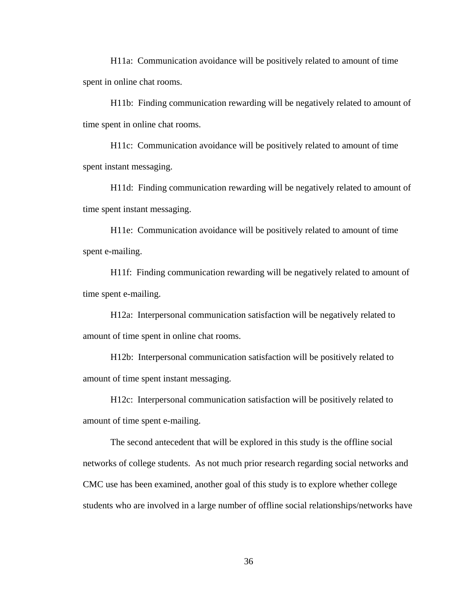H11a: Communication avoidance will be positively related to amount of time spent in online chat rooms.

H11b: Finding communication rewarding will be negatively related to amount of time spent in online chat rooms.

H11c: Communication avoidance will be positively related to amount of time spent instant messaging.

H11d: Finding communication rewarding will be negatively related to amount of time spent instant messaging.

H11e: Communication avoidance will be positively related to amount of time spent e-mailing.

H11f: Finding communication rewarding will be negatively related to amount of time spent e-mailing.

H12a: Interpersonal communication satisfaction will be negatively related to amount of time spent in online chat rooms.

H12b: Interpersonal communication satisfaction will be positively related to amount of time spent instant messaging.

H12c: Interpersonal communication satisfaction will be positively related to amount of time spent e-mailing.

The second antecedent that will be explored in this study is the offline social networks of college students. As not much prior research regarding social networks and CMC use has been examined, another goal of this study is to explore whether college students who are involved in a large number of offline social relationships/networks have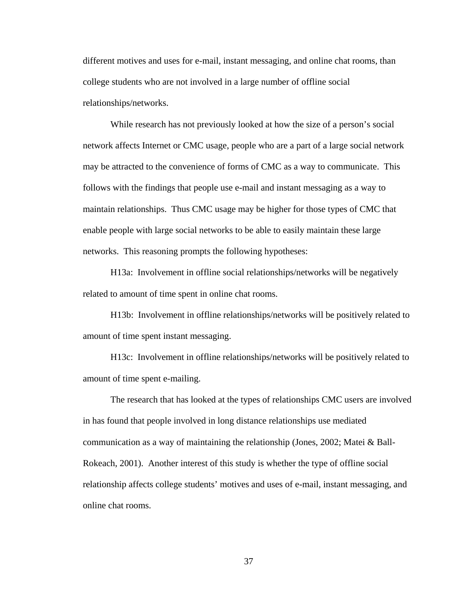different motives and uses for e-mail, instant messaging, and online chat rooms, than college students who are not involved in a large number of offline social relationships/networks.

While research has not previously looked at how the size of a person's social network affects Internet or CMC usage, people who are a part of a large social network may be attracted to the convenience of forms of CMC as a way to communicate. This follows with the findings that people use e-mail and instant messaging as a way to maintain relationships. Thus CMC usage may be higher for those types of CMC that enable people with large social networks to be able to easily maintain these large networks. This reasoning prompts the following hypotheses:

H13a: Involvement in offline social relationships/networks will be negatively related to amount of time spent in online chat rooms.

H13b: Involvement in offline relationships/networks will be positively related to amount of time spent instant messaging.

H13c: Involvement in offline relationships/networks will be positively related to amount of time spent e-mailing.

The research that has looked at the types of relationships CMC users are involved in has found that people involved in long distance relationships use mediated communication as a way of maintaining the relationship (Jones, 2002; Matei & Ball-Rokeach, 2001). Another interest of this study is whether the type of offline social relationship affects college students' motives and uses of e-mail, instant messaging, and online chat rooms.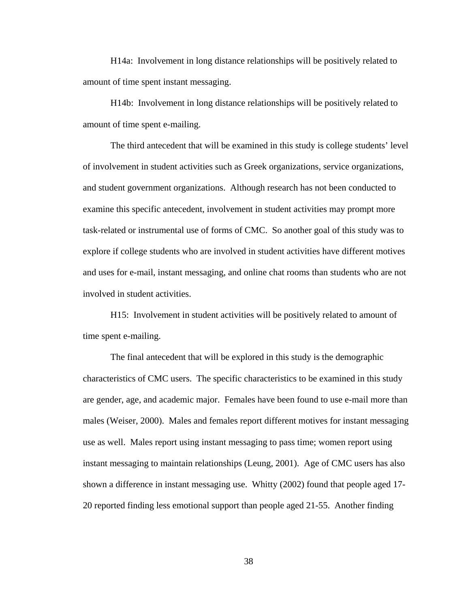H14a: Involvement in long distance relationships will be positively related to amount of time spent instant messaging.

 H14b: Involvement in long distance relationships will be positively related to amount of time spent e-mailing.

 The third antecedent that will be examined in this study is college students' level of involvement in student activities such as Greek organizations, service organizations, and student government organizations. Although research has not been conducted to examine this specific antecedent, involvement in student activities may prompt more task-related or instrumental use of forms of CMC. So another goal of this study was to explore if college students who are involved in student activities have different motives and uses for e-mail, instant messaging, and online chat rooms than students who are not involved in student activities.

 H15: Involvement in student activities will be positively related to amount of time spent e-mailing.

The final antecedent that will be explored in this study is the demographic characteristics of CMC users. The specific characteristics to be examined in this study are gender, age, and academic major. Females have been found to use e-mail more than males (Weiser, 2000). Males and females report different motives for instant messaging use as well. Males report using instant messaging to pass time; women report using instant messaging to maintain relationships (Leung, 2001). Age of CMC users has also shown a difference in instant messaging use. Whitty (2002) found that people aged 17- 20 reported finding less emotional support than people aged 21-55. Another finding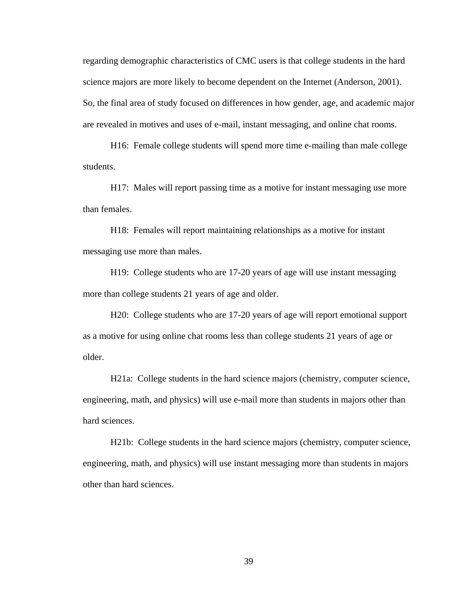regarding demographic characteristics of CMC users is that college students in the hard science majors are more likely to become dependent on the Internet (Anderson, 2001). So, the final area of study focused on differences in how gender, age, and academic major are revealed in motives and uses of e-mail, instant messaging, and online chat rooms.

H16: Female college students will spend more time e-mailing than male college students.

H17: Males will report passing time as a motive for instant messaging use more than females.

H18: Females will report maintaining relationships as a motive for instant messaging use more than males.

H19: College students who are 17-20 years of age will use instant messaging more than college students 21 years of age and older.

H20: College students who are 17-20 years of age will report emotional support as a motive for using online chat rooms less than college students 21 years of age or older.

H21a: College students in the hard science majors (chemistry, computer science, engineering, math, and physics) will use e-mail more than students in majors other than hard sciences.

H21b: College students in the hard science majors (chemistry, computer science, engineering, math, and physics) will use instant messaging more than students in majors other than hard sciences.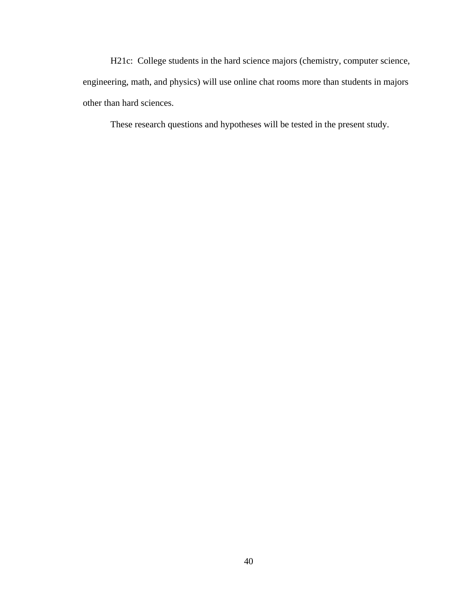H21c: College students in the hard science majors (chemistry, computer science, engineering, math, and physics) will use online chat rooms more than students in majors other than hard sciences.

These research questions and hypotheses will be tested in the present study.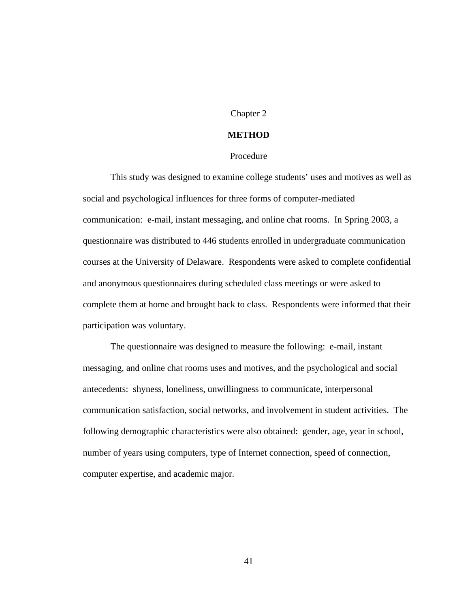### Chapter 2

### **METHOD**

### Procedure

This study was designed to examine college students' uses and motives as well as social and psychological influences for three forms of computer-mediated communication: e-mail, instant messaging, and online chat rooms. In Spring 2003, a questionnaire was distributed to 446 students enrolled in undergraduate communication courses at the University of Delaware. Respondents were asked to complete confidential and anonymous questionnaires during scheduled class meetings or were asked to complete them at home and brought back to class. Respondents were informed that their participation was voluntary.

The questionnaire was designed to measure the following: e-mail, instant messaging, and online chat rooms uses and motives, and the psychological and social antecedents: shyness, loneliness, unwillingness to communicate, interpersonal communication satisfaction, social networks, and involvement in student activities. The following demographic characteristics were also obtained: gender, age, year in school, number of years using computers, type of Internet connection, speed of connection, computer expertise, and academic major.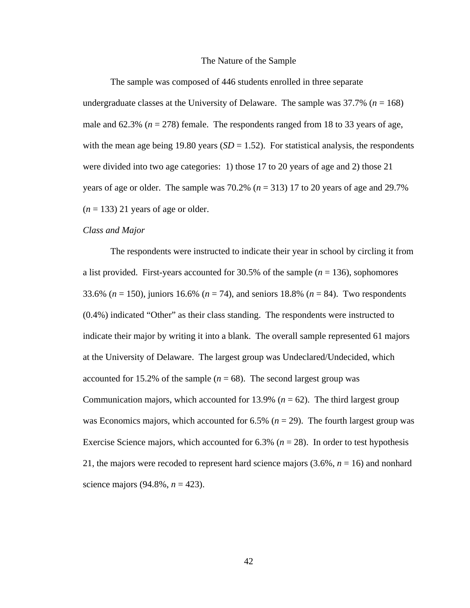#### The Nature of the Sample

 The sample was composed of 446 students enrolled in three separate undergraduate classes at the University of Delaware. The sample was  $37.7\%$  ( $n = 168$ ) male and  $62.3\%$  ( $n = 278$ ) female. The respondents ranged from 18 to 33 years of age, with the mean age being 19.80 years  $(SD = 1.52)$ . For statistical analysis, the respondents were divided into two age categories: 1) those 17 to 20 years of age and 2) those 21 years of age or older. The sample was  $70.2\%$  ( $n = 313$ ) 17 to 20 years of age and 29.7%  $(n = 133)$  21 years of age or older.

#### *Class and Major*

 The respondents were instructed to indicate their year in school by circling it from a list provided. First-years accounted for 30.5% of the sample (*n* = 136), sophomores 33.6% (*n* = 150), juniors 16.6% (*n* = 74), and seniors 18.8% (*n* = 84). Two respondents (0.4%) indicated "Other" as their class standing. The respondents were instructed to indicate their major by writing it into a blank. The overall sample represented 61 majors at the University of Delaware. The largest group was Undeclared/Undecided, which accounted for 15.2% of the sample  $(n = 68)$ . The second largest group was Communication majors, which accounted for 13.9% ( $n = 62$ ). The third largest group was Economics majors, which accounted for  $6.5\%$  ( $n = 29$ ). The fourth largest group was Exercise Science majors, which accounted for  $6.3\%$  ( $n = 28$ ). In order to test hypothesis 21, the majors were recoded to represent hard science majors (3.6%, *n* = 16) and nonhard science majors (94.8%, *n* = 423).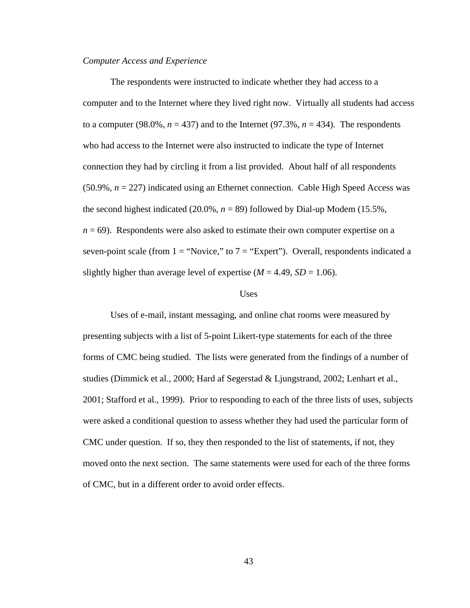#### *Computer Access and Experience*

 The respondents were instructed to indicate whether they had access to a computer and to the Internet where they lived right now. Virtually all students had access to a computer (98.0%,  $n = 437$ ) and to the Internet (97.3%,  $n = 434$ ). The respondents who had access to the Internet were also instructed to indicate the type of Internet connection they had by circling it from a list provided. About half of all respondents (50.9%, *n* = 227) indicated using an Ethernet connection. Cable High Speed Access was the second highest indicated (20.0%,  $n = 89$ ) followed by Dial-up Modem (15.5%, *n* = 69). Respondents were also asked to estimate their own computer expertise on a seven-point scale (from  $1 =$  "Novice," to  $7 =$  "Expert"). Overall, respondents indicated a slightly higher than average level of expertise  $(M = 4.49, SD = 1.06)$ .

#### Uses

 Uses of e-mail, instant messaging, and online chat rooms were measured by presenting subjects with a list of 5-point Likert-type statements for each of the three forms of CMC being studied. The lists were generated from the findings of a number of studies (Dimmick et al., 2000; Hard af Segerstad & Ljungstrand, 2002; Lenhart et al., 2001; Stafford et al., 1999). Prior to responding to each of the three lists of uses, subjects were asked a conditional question to assess whether they had used the particular form of CMC under question. If so, they then responded to the list of statements, if not, they moved onto the next section. The same statements were used for each of the three forms of CMC, but in a different order to avoid order effects.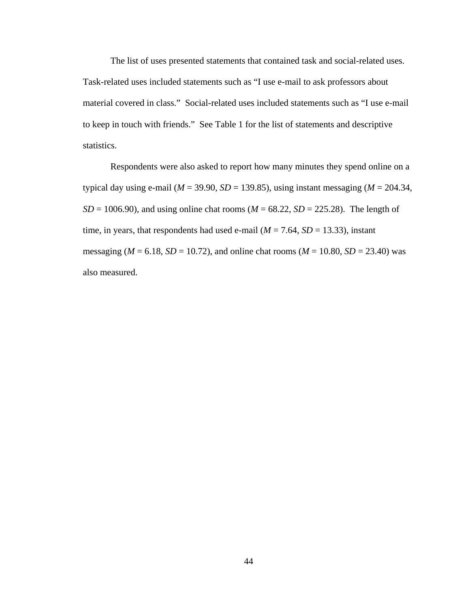The list of uses presented statements that contained task and social-related uses. Task-related uses included statements such as "I use e-mail to ask professors about material covered in class." Social-related uses included statements such as "I use e-mail to keep in touch with friends." See Table 1 for the list of statements and descriptive statistics.

 Respondents were also asked to report how many minutes they spend online on a typical day using e-mail ( $M = 39.90$ ,  $SD = 139.85$ ), using instant messaging ( $M = 204.34$ ,  $SD = 1006.90$ , and using online chat rooms ( $M = 68.22$ ,  $SD = 225.28$ ). The length of time, in years, that respondents had used e-mail  $(M = 7.64, SD = 13.33)$ , instant messaging ( $M = 6.18$ ,  $SD = 10.72$ ), and online chat rooms ( $M = 10.80$ ,  $SD = 23.40$ ) was also measured.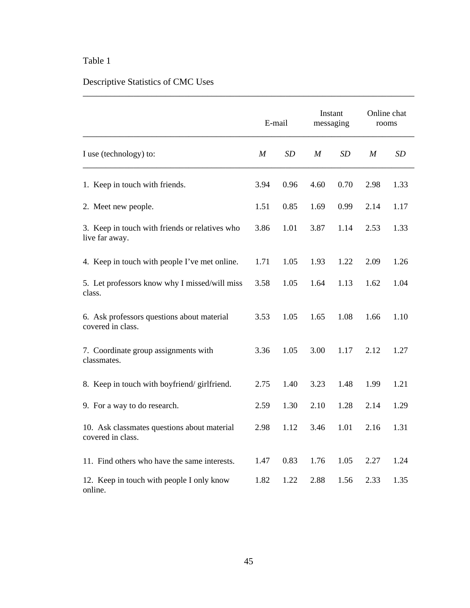## Table 1

# Descriptive Statistics of CMC Uses

|                                                                  |                  | E-mail |                  | Instant<br>messaging | rooms | Online chat |
|------------------------------------------------------------------|------------------|--------|------------------|----------------------|-------|-------------|
| I use (technology) to:                                           | $\boldsymbol{M}$ | SD     | $\boldsymbol{M}$ | <b>SD</b>            | M     | <b>SD</b>   |
| 1. Keep in touch with friends.                                   | 3.94             | 0.96   | 4.60             | 0.70                 | 2.98  | 1.33        |
| 2. Meet new people.                                              | 1.51             | 0.85   | 1.69             | 0.99                 | 2.14  | 1.17        |
| 3. Keep in touch with friends or relatives who<br>live far away. | 3.86             | 1.01   | 3.87             | 1.14                 | 2.53  | 1.33        |
| 4. Keep in touch with people I've met online.                    | 1.71             | 1.05   | 1.93             | 1.22                 | 2.09  | 1.26        |
| 5. Let professors know why I missed/will miss<br>class.          | 3.58             | 1.05   | 1.64             | 1.13                 | 1.62  | 1.04        |
| 6. Ask professors questions about material<br>covered in class.  | 3.53             | 1.05   | 1.65             | 1.08                 | 1.66  | 1.10        |
| 7. Coordinate group assignments with<br>classmates.              | 3.36             | 1.05   | 3.00             | 1.17                 | 2.12  | 1.27        |
| 8. Keep in touch with boyfriend/girlfriend.                      | 2.75             | 1.40   | 3.23             | 1.48                 | 1.99  | 1.21        |
| 9. For a way to do research.                                     | 2.59             | 1.30   | 2.10             | 1.28                 | 2.14  | 1.29        |
| 10. Ask classmates questions about material<br>covered in class. | 2.98             | 1.12   | 3.46             | 1.01                 | 2.16  | 1.31        |
| 11. Find others who have the same interests.                     | 1.47             | 0.83   | 1.76             | 1.05                 | 2.27  | 1.24        |
| 12. Keep in touch with people I only know<br>online.             | 1.82             | 1.22   | 2.88             | 1.56                 | 2.33  | 1.35        |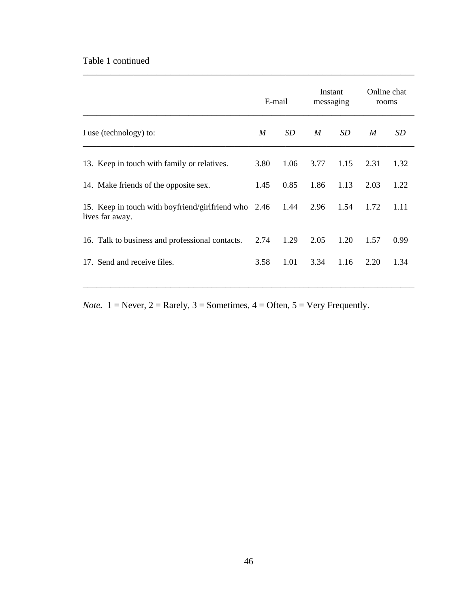## Table 1 continued

|                                                                         | E-mail |      | Instant<br>messaging |      | Online chat<br>rooms |      |
|-------------------------------------------------------------------------|--------|------|----------------------|------|----------------------|------|
| I use (technology) to:                                                  | M      | SD   | M                    | SD   | M                    | SD   |
| 13. Keep in touch with family or relatives.                             | 3.80   | 1.06 | 3.77                 | 1.15 | 2.31                 | 1.32 |
| 14. Make friends of the opposite sex.                                   | 1.45   | 0.85 | 1.86                 | 1.13 | 2.03                 | 1.22 |
| 15. Keep in touch with boyfriend/girlfriend who 2.46<br>lives far away. |        | 1.44 | 2.96                 | 1.54 | 1.72                 | 1.11 |
| 16. Talk to business and professional contacts.                         | 2.74   | 1.29 | 2.05                 | 1.20 | 1.57                 | 0.99 |
| 17. Send and receive files.                                             | 3.58   | 1.01 | 3.34                 | 1.16 | 2.20                 | 1.34 |

\_\_\_\_\_\_\_\_\_\_\_\_\_\_\_\_\_\_\_\_\_\_\_\_\_\_\_\_\_\_\_\_\_\_\_\_\_\_\_\_\_\_\_\_\_\_\_\_\_\_\_\_\_\_\_\_\_\_\_\_\_\_\_\_\_\_\_\_\_\_\_\_

*Note.*  $1 =$  Never,  $2 =$  Rarely,  $3 =$  Sometimes,  $4 =$  Often,  $5 =$  Very Frequently.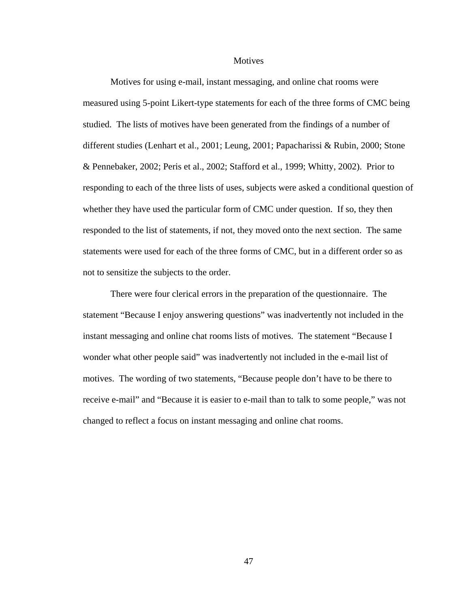**Motives** 

 Motives for using e-mail, instant messaging, and online chat rooms were measured using 5-point Likert-type statements for each of the three forms of CMC being studied. The lists of motives have been generated from the findings of a number of different studies (Lenhart et al., 2001; Leung, 2001; Papacharissi & Rubin, 2000; Stone & Pennebaker, 2002; Peris et al., 2002; Stafford et al., 1999; Whitty, 2002). Prior to responding to each of the three lists of uses, subjects were asked a conditional question of whether they have used the particular form of CMC under question. If so, they then responded to the list of statements, if not, they moved onto the next section. The same statements were used for each of the three forms of CMC, but in a different order so as not to sensitize the subjects to the order.

 There were four clerical errors in the preparation of the questionnaire. The statement "Because I enjoy answering questions" was inadvertently not included in the instant messaging and online chat rooms lists of motives. The statement "Because I wonder what other people said" was inadvertently not included in the e-mail list of motives. The wording of two statements, "Because people don't have to be there to receive e-mail" and "Because it is easier to e-mail than to talk to some people," was not changed to reflect a focus on instant messaging and online chat rooms.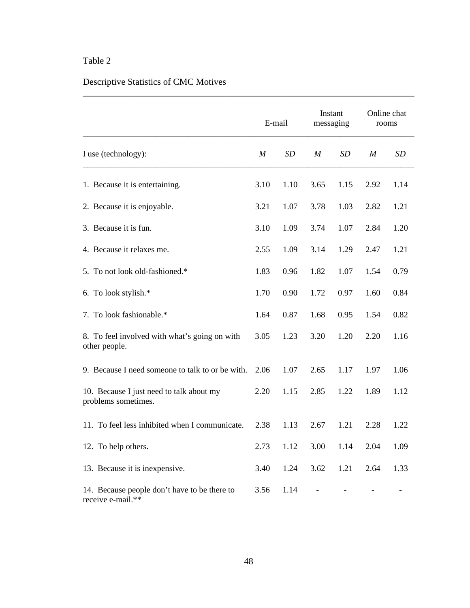## Table 2

# Descriptive Statistics of CMC Motives

|                                                                   |                  | E-mail    | messaging        | Instant | Online chat<br>rooms |           |
|-------------------------------------------------------------------|------------------|-----------|------------------|---------|----------------------|-----------|
| I use (technology):                                               | $\boldsymbol{M}$ | <b>SD</b> | $\boldsymbol{M}$ | SD      | M                    | <b>SD</b> |
| 1. Because it is entertaining.                                    | 3.10             | 1.10      | 3.65             | 1.15    | 2.92                 | 1.14      |
| 2. Because it is enjoyable.                                       | 3.21             | 1.07      | 3.78             | 1.03    | 2.82                 | 1.21      |
| 3. Because it is fun.                                             | 3.10             | 1.09      | 3.74             | 1.07    | 2.84                 | 1.20      |
| 4. Because it relaxes me.                                         | 2.55             | 1.09      | 3.14             | 1.29    | 2.47                 | 1.21      |
| 5. To not look old-fashioned.*                                    | 1.83             | 0.96      | 1.82             | 1.07    | 1.54                 | 0.79      |
| 6. To look stylish.*                                              | 1.70             | 0.90      | 1.72             | 0.97    | 1.60                 | 0.84      |
| 7. To look fashionable.*                                          | 1.64             | 0.87      | 1.68             | 0.95    | 1.54                 | 0.82      |
| 8. To feel involved with what's going on with<br>other people.    | 3.05             | 1.23      | 3.20             | 1.20    | 2.20                 | 1.16      |
| 9. Because I need someone to talk to or be with.                  | 2.06             | 1.07      | 2.65             | 1.17    | 1.97                 | 1.06      |
| 10. Because I just need to talk about my<br>problems sometimes.   | 2.20             | 1.15      | 2.85             | 1.22    | 1.89                 | 1.12      |
| 11. To feel less inhibited when I communicate.                    | 2.38             | 1.13      | 2.67             | 1.21    | 2.28                 | 1.22      |
| 12. To help others.                                               | 2.73             | 1.12      | 3.00             | 1.14    | 2.04                 | 1.09      |
| 13. Because it is inexpensive.                                    | 3.40             | 1.24      | 3.62             | 1.21    | 2.64                 | 1.33      |
| 14. Because people don't have to be there to<br>receive e-mail.** | 3.56             | 1.14      |                  |         |                      |           |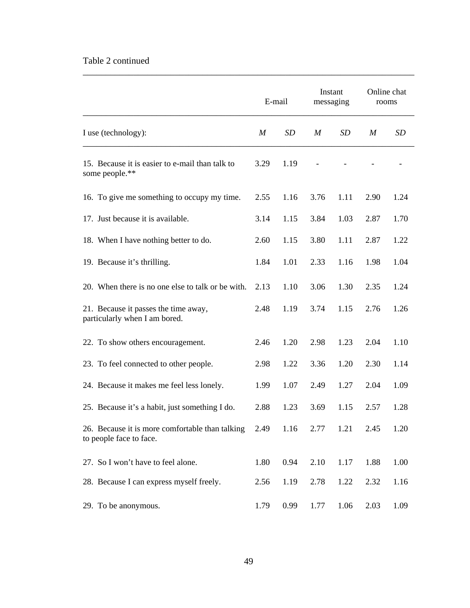## Table 2 continued

|                                                                            |      | E-mail | Instant<br>messaging |      | Online chat<br>rooms |      |
|----------------------------------------------------------------------------|------|--------|----------------------|------|----------------------|------|
| I use (technology):                                                        | M    | SD     | M                    | SD   | M                    | SD   |
| 15. Because it is easier to e-mail than talk to<br>some people.**          | 3.29 | 1.19   |                      |      |                      |      |
| 16. To give me something to occupy my time.                                | 2.55 | 1.16   | 3.76                 | 1.11 | 2.90                 | 1.24 |
| 17. Just because it is available.                                          | 3.14 | 1.15   | 3.84                 | 1.03 | 2.87                 | 1.70 |
| 18. When I have nothing better to do.                                      | 2.60 | 1.15   | 3.80                 | 1.11 | 2.87                 | 1.22 |
| 19. Because it's thrilling.                                                | 1.84 | 1.01   | 2.33                 | 1.16 | 1.98                 | 1.04 |
| 20. When there is no one else to talk or be with.                          | 2.13 | 1.10   | 3.06                 | 1.30 | 2.35                 | 1.24 |
| 21. Because it passes the time away,<br>particularly when I am bored.      | 2.48 | 1.19   | 3.74                 | 1.15 | 2.76                 | 1.26 |
| 22. To show others encouragement.                                          | 2.46 | 1.20   | 2.98                 | 1.23 | 2.04                 | 1.10 |
| 23. To feel connected to other people.                                     | 2.98 | 1.22   | 3.36                 | 1.20 | 2.30                 | 1.14 |
| 24. Because it makes me feel less lonely.                                  | 1.99 | 1.07   | 2.49                 | 1.27 | 2.04                 | 1.09 |
| 25. Because it's a habit, just something I do.                             | 2.88 | 1.23   | 3.69                 | 1.15 | 2.57                 | 1.28 |
| 26. Because it is more comfortable than talking<br>to people face to face. | 2.49 | 1.16   | 2.77                 | 1.21 | 2.45                 | 1.20 |
| 27. So I won't have to feel alone.                                         | 1.80 | 0.94   | 2.10                 | 1.17 | 1.88                 | 1.00 |
| 28. Because I can express myself freely.                                   | 2.56 | 1.19   | 2.78                 | 1.22 | 2.32                 | 1.16 |
| 29. To be anonymous.                                                       | 1.79 | 0.99   | 1.77                 | 1.06 | 2.03                 | 1.09 |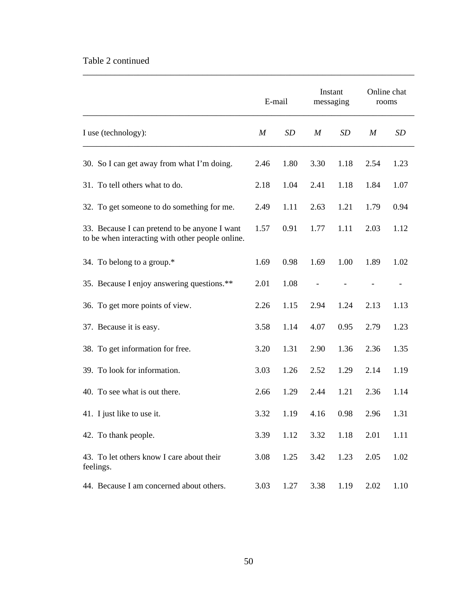## Table 2 continued

|                                                                                                   |                  | E-mail |                  | Instant<br>messaging | rooms | Online chat |
|---------------------------------------------------------------------------------------------------|------------------|--------|------------------|----------------------|-------|-------------|
| I use (technology):                                                                               | $\boldsymbol{M}$ | SD     | $\boldsymbol{M}$ | SD                   | M     | SD          |
| 30. So I can get away from what I'm doing.                                                        | 2.46             | 1.80   | 3.30             | 1.18                 | 2.54  | 1.23        |
| 31. To tell others what to do.                                                                    | 2.18             | 1.04   | 2.41             | 1.18                 | 1.84  | 1.07        |
| 32. To get someone to do something for me.                                                        | 2.49             | 1.11   | 2.63             | 1.21                 | 1.79  | 0.94        |
| 33. Because I can pretend to be anyone I want<br>to be when interacting with other people online. | 1.57             | 0.91   | 1.77             | 1.11                 | 2.03  | 1.12        |
| 34. To belong to a group.*                                                                        | 1.69             | 0.98   | 1.69             | 1.00                 | 1.89  | 1.02        |
| 35. Because I enjoy answering questions.**                                                        | 2.01             | 1.08   |                  |                      |       |             |
| 36. To get more points of view.                                                                   | 2.26             | 1.15   | 2.94             | 1.24                 | 2.13  | 1.13        |
| 37. Because it is easy.                                                                           | 3.58             | 1.14   | 4.07             | 0.95                 | 2.79  | 1.23        |
| 38. To get information for free.                                                                  | 3.20             | 1.31   | 2.90             | 1.36                 | 2.36  | 1.35        |
| 39. To look for information.                                                                      | 3.03             | 1.26   | 2.52             | 1.29                 | 2.14  | 1.19        |
| 40. To see what is out there.                                                                     | 2.66             | 1.29   | 2.44             | 1.21                 | 2.36  | 1.14        |
| 41. I just like to use it.                                                                        | 3.32             | 1.19   | 4.16             | 0.98                 | 2.96  | 1.31        |
| 42. To thank people.                                                                              | 3.39             | 1.12   | 3.32             | 1.18                 | 2.01  | 1.11        |
| 43. To let others know I care about their<br>feelings.                                            | 3.08             | 1.25   | 3.42             | 1.23                 | 2.05  | 1.02        |
| 44. Because I am concerned about others.                                                          | 3.03             | 1.27   | 3.38             | 1.19                 | 2.02  | 1.10        |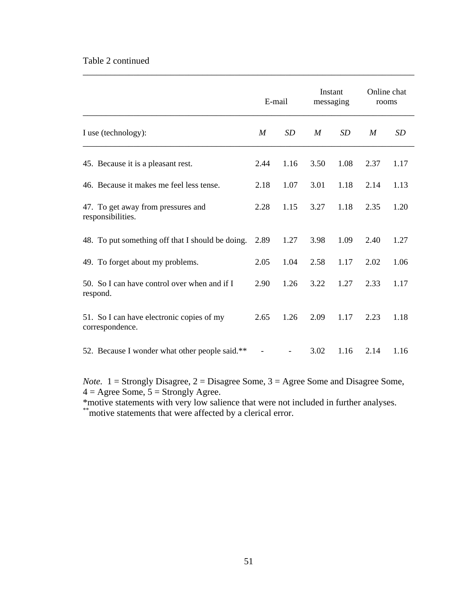### Table 2 continued

|                                                              | E-mail |                   | Instant<br>messaging |      | Online chat<br>rooms |           |
|--------------------------------------------------------------|--------|-------------------|----------------------|------|----------------------|-----------|
| I use (technology):                                          | M      | SD                | M                    | SD   | M                    | <b>SD</b> |
| 45. Because it is a pleasant rest.                           | 2.44   | 1.16              | 3.50                 | 1.08 | 2.37                 | 1.17      |
| 46. Because it makes me feel less tense.                     | 2.18   | 1.07              | 3.01                 | 1.18 | 2.14                 | 1.13      |
| 47. To get away from pressures and<br>responsibilities.      | 2.28   | 1.15              | 3.27                 | 1.18 | 2.35                 | 1.20      |
| 48. To put something off that I should be doing.             | 2.89   | 1.27              | 3.98                 | 1.09 | 2.40                 | 1.27      |
| 49. To forget about my problems.                             | 2.05   | 1.04              | 2.58                 | 1.17 | 2.02                 | 1.06      |
| 50. So I can have control over when and if I<br>respond.     | 2.90   | 1.26              | 3.22                 | 1.27 | 2.33                 | 1.17      |
| 51. So I can have electronic copies of my<br>correspondence. | 2.65   | 1.26              | 2.09                 | 1.17 | 2.23                 | 1.18      |
| 52. Because I wonder what other people said.**               |        | $\qquad \qquad -$ | 3.02                 | 1.16 | 2.14                 | 1.16      |

\_\_\_\_\_\_\_\_\_\_\_\_\_\_\_\_\_\_\_\_\_\_\_\_\_\_\_\_\_\_\_\_\_\_\_\_\_\_\_\_\_\_\_\_\_\_\_\_\_\_\_\_\_\_\_\_\_\_\_\_\_\_\_\_\_\_\_\_\_\_\_\_

*Note.* 1 = Strongly Disagree, 2 = Disagree Some, 3 = Agree Some and Disagree Some,  $4 = \text{Agree Some}, 5 = \text{Strongly Age}.$ 

\*motive statements with very low salience that were not included in further analyses. \*\*motive statements that were affected by a clerical error.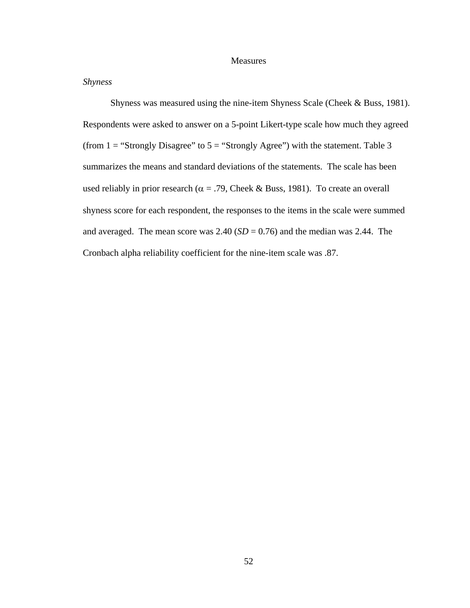#### Measures

### *Shyness*

 Shyness was measured using the nine-item Shyness Scale (Cheek & Buss, 1981). Respondents were asked to answer on a 5-point Likert-type scale how much they agreed (from  $1 =$  "Strongly Disagree" to  $5 =$  "Strongly Agree") with the statement. Table 3 summarizes the means and standard deviations of the statements. The scale has been used reliably in prior research ( $\alpha$  = .79, Cheek & Buss, 1981). To create an overall shyness score for each respondent, the responses to the items in the scale were summed and averaged. The mean score was  $2.40$  (*SD* = 0.76) and the median was 2.44. The Cronbach alpha reliability coefficient for the nine-item scale was .87.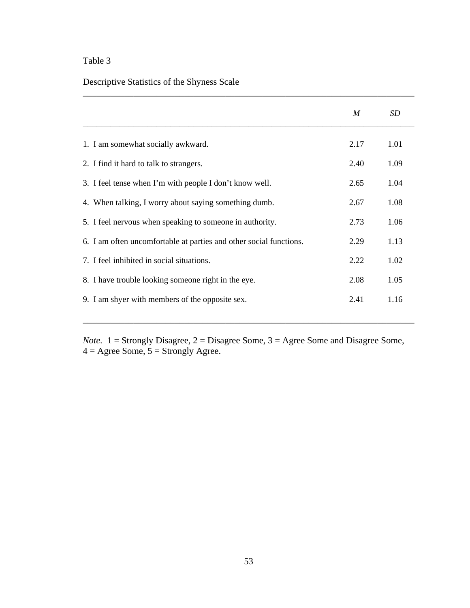## Table 3

## Descriptive Statistics of the Shyness Scale

|                                                                    | M    | SD   |
|--------------------------------------------------------------------|------|------|
| 1. I am somewhat socially awkward.                                 | 2.17 | 1.01 |
| 2. I find it hard to talk to strangers.                            | 2.40 | 1.09 |
| 3. I feel tense when I'm with people I don't know well.            | 2.65 | 1.04 |
| 4. When talking, I worry about saying something dumb.              | 2.67 | 1.08 |
| 5. I feel nervous when speaking to some one in authority.          | 2.73 | 1.06 |
| 6. I am often uncomfortable at parties and other social functions. | 2.29 | 1.13 |
| 7. I feel inhibited in social situations.                          | 2.22 | 1.02 |
| 8. I have trouble looking someone right in the eye.                | 2.08 | 1.05 |
| 9. I am shyer with members of the opposite sex.                    | 2.41 | 1.16 |
|                                                                    |      |      |

\_\_\_\_\_\_\_\_\_\_\_\_\_\_\_\_\_\_\_\_\_\_\_\_\_\_\_\_\_\_\_\_\_\_\_\_\_\_\_\_\_\_\_\_\_\_\_\_\_\_\_\_\_\_\_\_\_\_\_\_\_\_\_\_\_\_\_\_\_\_\_\_

*Note.* 1 = Strongly Disagree, 2 = Disagree Some, 3 = Agree Some and Disagree Some,  $4 = \text{Agree Some}, 5 = \text{Strongly Age}.$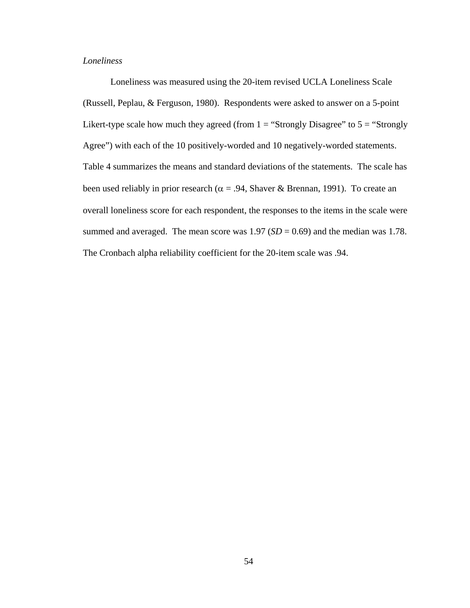### *Loneliness*

 Loneliness was measured using the 20-item revised UCLA Loneliness Scale (Russell, Peplau, & Ferguson, 1980). Respondents were asked to answer on a 5-point Likert-type scale how much they agreed (from  $1 =$  "Strongly Disagree" to  $5 =$  "Strongly" Agree") with each of the 10 positively-worded and 10 negatively-worded statements. Table 4 summarizes the means and standard deviations of the statements. The scale has been used reliably in prior research ( $\alpha$  = .94, Shaver & Brennan, 1991). To create an overall loneliness score for each respondent, the responses to the items in the scale were summed and averaged. The mean score was  $1.97$  ( $SD = 0.69$ ) and the median was 1.78. The Cronbach alpha reliability coefficient for the 20-item scale was .94.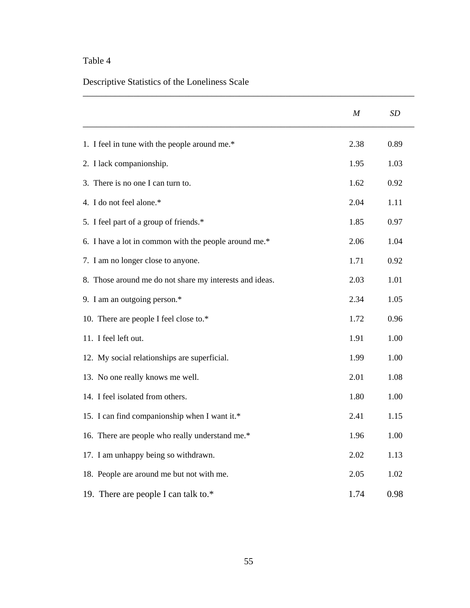## Table 4

# Descriptive Statistics of the Loneliness Scale

|                                                         | $\boldsymbol{M}$ | SD   |
|---------------------------------------------------------|------------------|------|
| 1. I feel in tune with the people around me.*           | 2.38             | 0.89 |
| 2. I lack companionship.                                | 1.95             | 1.03 |
| 3. There is no one I can turn to.                       | 1.62             | 0.92 |
| 4. I do not feel alone.*                                | 2.04             | 1.11 |
| 5. I feel part of a group of friends.*                  | 1.85             | 0.97 |
| 6. I have a lot in common with the people around me.*   | 2.06             | 1.04 |
| 7. I am no longer close to anyone.                      | 1.71             | 0.92 |
| 8. Those around me do not share my interests and ideas. | 2.03             | 1.01 |
| 9. I am an outgoing person.*                            | 2.34             | 1.05 |
| 10. There are people I feel close to.*                  | 1.72             | 0.96 |
| 11. I feel left out.                                    | 1.91             | 1.00 |
| 12. My social relationships are superficial.            | 1.99             | 1.00 |
| 13. No one really knows me well.                        | 2.01             | 1.08 |
| 14. I feel isolated from others.                        | 1.80             | 1.00 |
| 15. I can find companionship when I want it.*           | 2.41             | 1.15 |
| 16. There are people who really understand me.*         | 1.96             | 1.00 |
| 17. I am unhappy being so withdrawn.                    | 2.02             | 1.13 |
| 18. People are around me but not with me.               | 2.05             | 1.02 |
| 19. There are people I can talk to.*                    | 1.74             | 0.98 |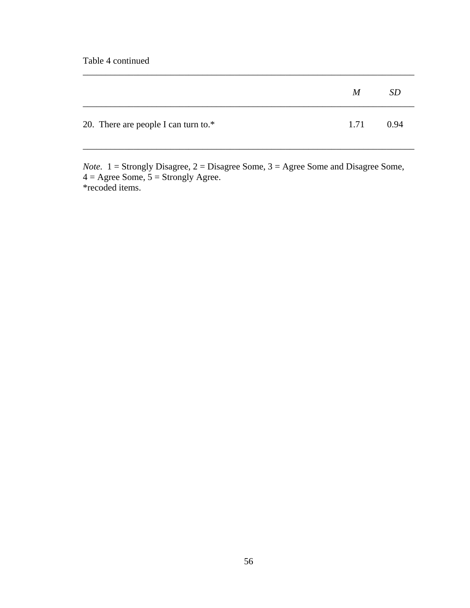Table 4 continued

|                                         | M    | <i>SD</i> |
|-----------------------------------------|------|-----------|
| 20. There are people I can turn to. $*$ | 1.71 | 0.94      |

\_\_\_\_\_\_\_\_\_\_\_\_\_\_\_\_\_\_\_\_\_\_\_\_\_\_\_\_\_\_\_\_\_\_\_\_\_\_\_\_\_\_\_\_\_\_\_\_\_\_\_\_\_\_\_\_\_\_\_\_\_\_\_\_\_\_\_\_\_\_\_\_

*Note.* 1 = Strongly Disagree, 2 = Disagree Some, 3 = Agree Some and Disagree Some,  $4 = \text{Agree Some}, 5 = \text{Strongly Age}.$ \*recoded items.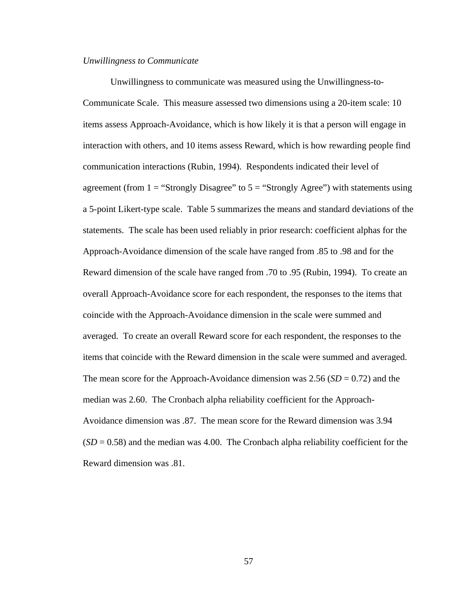#### *Unwillingness to Communicate*

 Unwillingness to communicate was measured using the Unwillingness-to-Communicate Scale. This measure assessed two dimensions using a 20-item scale: 10 items assess Approach-Avoidance, which is how likely it is that a person will engage in interaction with others, and 10 items assess Reward, which is how rewarding people find communication interactions (Rubin, 1994). Respondents indicated their level of agreement (from  $1 =$  "Strongly Disagree" to  $5 =$  "Strongly Agree") with statements using a 5-point Likert-type scale. Table 5 summarizes the means and standard deviations of the statements. The scale has been used reliably in prior research: coefficient alphas for the Approach-Avoidance dimension of the scale have ranged from .85 to .98 and for the Reward dimension of the scale have ranged from .70 to .95 (Rubin, 1994). To create an overall Approach-Avoidance score for each respondent, the responses to the items that coincide with the Approach-Avoidance dimension in the scale were summed and averaged. To create an overall Reward score for each respondent, the responses to the items that coincide with the Reward dimension in the scale were summed and averaged. The mean score for the Approach-Avoidance dimension was  $2.56$  (*SD* = 0.72) and the median was 2.60. The Cronbach alpha reliability coefficient for the Approach-Avoidance dimension was .87. The mean score for the Reward dimension was 3.94  $(SD = 0.58)$  and the median was 4.00. The Cronbach alpha reliability coefficient for the Reward dimension was .81.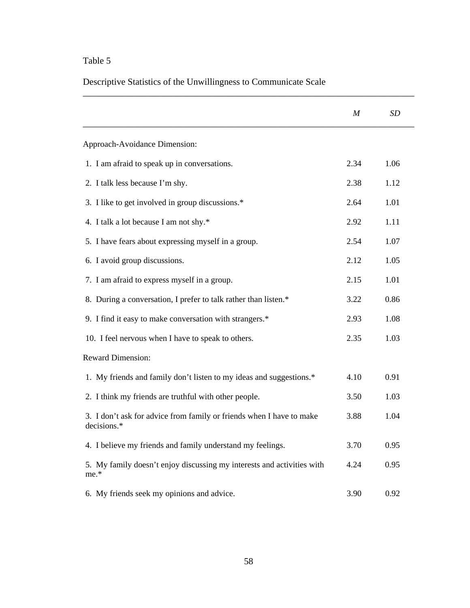## Table 5

Descriptive Statistics of the Unwillingness to Communicate Scale

|                                                                                     | M    | SD   |
|-------------------------------------------------------------------------------------|------|------|
| Approach-Avoidance Dimension:                                                       |      |      |
| 1. I am afraid to speak up in conversations.                                        | 2.34 | 1.06 |
| 2. I talk less because I'm shy.                                                     | 2.38 | 1.12 |
| 3. I like to get involved in group discussions.*                                    | 2.64 | 1.01 |
| 4. I talk a lot because I am not shy.*                                              | 2.92 | 1.11 |
| 5. I have fears about expressing myself in a group.                                 | 2.54 | 1.07 |
| 6. I avoid group discussions.                                                       | 2.12 | 1.05 |
| 7. I am afraid to express myself in a group.                                        | 2.15 | 1.01 |
| 8. During a conversation, I prefer to talk rather than listen.*                     | 3.22 | 0.86 |
| 9. I find it easy to make conversation with strangers.*                             | 2.93 | 1.08 |
| 10. I feel nervous when I have to speak to others.                                  | 2.35 | 1.03 |
| <b>Reward Dimension:</b>                                                            |      |      |
| 1. My friends and family don't listen to my ideas and suggestions.*                 | 4.10 | 0.91 |
| 2. I think my friends are truthful with other people.                               | 3.50 | 1.03 |
| 3. I don't ask for advice from family or friends when I have to make<br>decisions.* | 3.88 | 1.04 |
| 4. I believe my friends and family understand my feelings.                          | 3.70 | 0.95 |
| 5. My family doesn't enjoy discussing my interests and activities with<br>me.*      | 4.24 | 0.95 |
| 6. My friends seek my opinions and advice.                                          | 3.90 | 0.92 |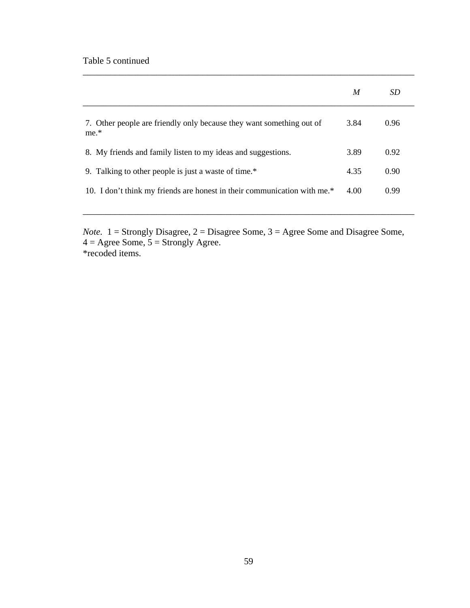|                                                                                | M    | SD   |
|--------------------------------------------------------------------------------|------|------|
| 7. Other people are friendly only because they want something out of<br>$me.*$ | 3.84 | 0.96 |
| 8. My friends and family listen to my ideas and suggestions.                   | 3.89 | 0.92 |
| 9. Talking to other people is just a waste of time.*                           | 4.35 | 0.90 |
| 10. I don't think my friends are honest in their communication with me.*       | 4.00 | 0.99 |

\_\_\_\_\_\_\_\_\_\_\_\_\_\_\_\_\_\_\_\_\_\_\_\_\_\_\_\_\_\_\_\_\_\_\_\_\_\_\_\_\_\_\_\_\_\_\_\_\_\_\_\_\_\_\_\_\_\_\_\_\_\_\_\_\_\_\_\_\_\_\_\_

*Note.* 1 = Strongly Disagree, 2 = Disagree Some, 3 = Agree Some and Disagree Some,  $4 = \text{Agree Some}, 5 = \text{Strongly Agree}.$ \*recoded items.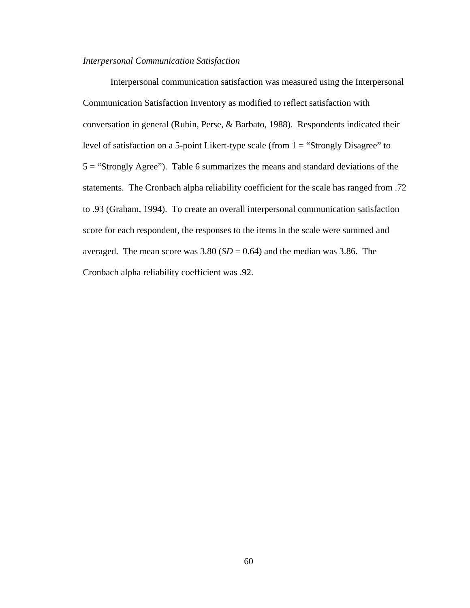### *Interpersonal Communication Satisfaction*

Interpersonal communication satisfaction was measured using the Interpersonal Communication Satisfaction Inventory as modified to reflect satisfaction with conversation in general (Rubin, Perse, & Barbato, 1988). Respondents indicated their level of satisfaction on a 5-point Likert-type scale (from  $1 =$  "Strongly Disagree" to 5 = "Strongly Agree"). Table 6 summarizes the means and standard deviations of the statements. The Cronbach alpha reliability coefficient for the scale has ranged from .72 to .93 (Graham, 1994). To create an overall interpersonal communication satisfaction score for each respondent, the responses to the items in the scale were summed and averaged. The mean score was  $3.80$  (*SD* = 0.64) and the median was 3.86. The Cronbach alpha reliability coefficient was .92.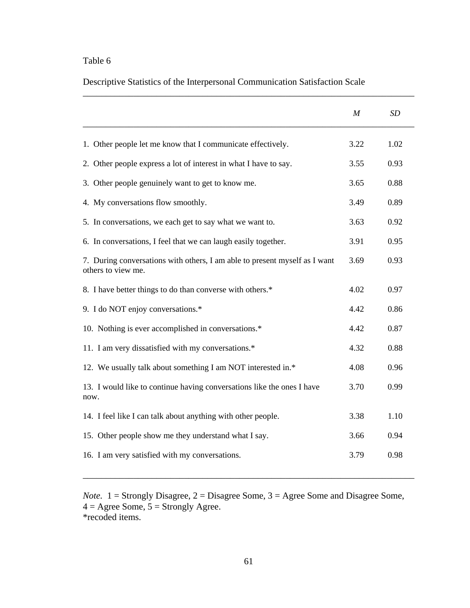## Table 6

Descriptive Statistics of the Interpersonal Communication Satisfaction Scale

\_\_\_\_\_\_\_\_\_\_\_\_\_\_\_\_\_\_\_\_\_\_\_\_\_\_\_\_\_\_\_\_\_\_\_\_\_\_\_\_\_\_\_\_\_\_\_\_\_\_\_\_\_\_\_\_\_\_\_\_\_\_\_\_\_\_\_\_\_\_\_\_

|                                                                                                  | M    | <b>SD</b> |
|--------------------------------------------------------------------------------------------------|------|-----------|
| 1. Other people let me know that I communicate effectively.                                      | 3.22 | 1.02      |
| 2. Other people express a lot of interest in what I have to say.                                 | 3.55 | 0.93      |
| 3. Other people genuinely want to get to know me.                                                | 3.65 | 0.88      |
| 4. My conversations flow smoothly.                                                               | 3.49 | 0.89      |
| 5. In conversations, we each get to say what we want to.                                         | 3.63 | 0.92      |
| 6. In conversations, I feel that we can laugh easily together.                                   | 3.91 | 0.95      |
| 7. During conversations with others, I am able to present myself as I want<br>others to view me. | 3.69 | 0.93      |
| 8. I have better things to do than converse with others.*                                        | 4.02 | 0.97      |
| 9. I do NOT enjoy conversations.*                                                                | 4.42 | 0.86      |
| 10. Nothing is ever accomplished in conversations.*                                              | 4.42 | 0.87      |
| 11. I am very dissatisfied with my conversations.*                                               | 4.32 | 0.88      |
| 12. We usually talk about something I am NOT interested in.*                                     | 4.08 | 0.96      |
| 13. I would like to continue having conversations like the ones I have<br>now.                   | 3.70 | 0.99      |
| 14. I feel like I can talk about anything with other people.                                     | 3.38 | 1.10      |
| 15. Other people show me they understand what I say.                                             | 3.66 | 0.94      |
| 16. I am very satisfied with my conversations.                                                   | 3.79 | 0.98      |

*Note.* 1 = Strongly Disagree, 2 = Disagree Some, 3 = Agree Some and Disagree Some,  $4 = \text{Agree Some}, 5 = \text{Strongly Age}.$ \*recoded items.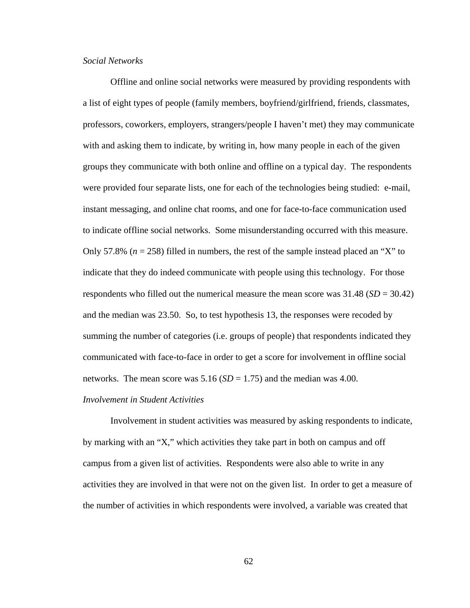### *Social Networks*

Offline and online social networks were measured by providing respondents with a list of eight types of people (family members, boyfriend/girlfriend, friends, classmates, professors, coworkers, employers, strangers/people I haven't met) they may communicate with and asking them to indicate, by writing in, how many people in each of the given groups they communicate with both online and offline on a typical day. The respondents were provided four separate lists, one for each of the technologies being studied: e-mail, instant messaging, and online chat rooms, and one for face-to-face communication used to indicate offline social networks. Some misunderstanding occurred with this measure. Only 57.8% ( $n = 258$ ) filled in numbers, the rest of the sample instead placed an "X" to indicate that they do indeed communicate with people using this technology. For those respondents who filled out the numerical measure the mean score was  $31.48$  (*SD* =  $30.42$ ) and the median was 23.50. So, to test hypothesis 13, the responses were recoded by summing the number of categories (i.e. groups of people) that respondents indicated they communicated with face-to-face in order to get a score for involvement in offline social networks. The mean score was  $5.16$  ( $SD = 1.75$ ) and the median was 4.00.

### *Involvement in Student Activities*

 Involvement in student activities was measured by asking respondents to indicate, by marking with an "X," which activities they take part in both on campus and off campus from a given list of activities. Respondents were also able to write in any activities they are involved in that were not on the given list. In order to get a measure of the number of activities in which respondents were involved, a variable was created that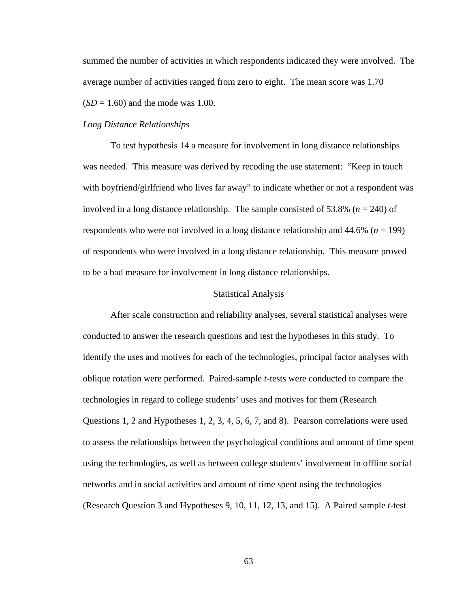summed the number of activities in which respondents indicated they were involved. The average number of activities ranged from zero to eight. The mean score was 1.70  $(SD = 1.60)$  and the mode was 1.00.

#### *Long Distance Relationships*

 To test hypothesis 14 a measure for involvement in long distance relationships was needed. This measure was derived by recoding the use statement: "Keep in touch with boyfriend/girlfriend who lives far away" to indicate whether or not a respondent was involved in a long distance relationship. The sample consisted of 53.8% (*n* = 240) of respondents who were not involved in a long distance relationship and 44.6% (*n* = 199) of respondents who were involved in a long distance relationship. This measure proved to be a bad measure for involvement in long distance relationships.

#### Statistical Analysis

 After scale construction and reliability analyses, several statistical analyses were conducted to answer the research questions and test the hypotheses in this study. To identify the uses and motives for each of the technologies, principal factor analyses with oblique rotation were performed. Paired-sample *t*-tests were conducted to compare the technologies in regard to college students' uses and motives for them (Research Questions 1, 2 and Hypotheses 1, 2, 3, 4, 5, 6, 7, and 8). Pearson correlations were used to assess the relationships between the psychological conditions and amount of time spent using the technologies, as well as between college students' involvement in offline social networks and in social activities and amount of time spent using the technologies (Research Question 3 and Hypotheses 9, 10, 11, 12, 13, and 15). A Paired sample *t*-test

63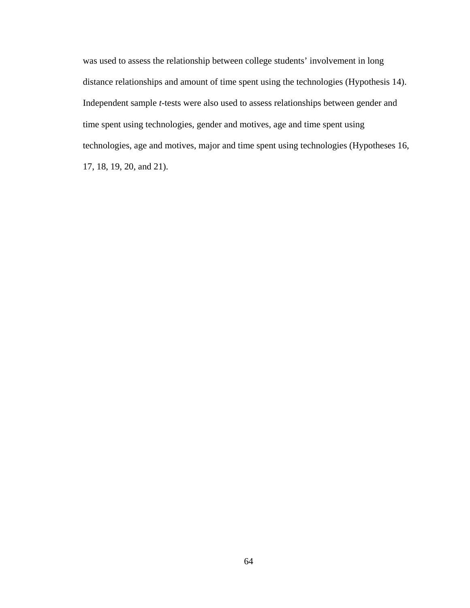was used to assess the relationship between college students' involvement in long distance relationships and amount of time spent using the technologies (Hypothesis 14). Independent sample *t*-tests were also used to assess relationships between gender and time spent using technologies, gender and motives, age and time spent using technologies, age and motives, major and time spent using technologies (Hypotheses 16, 17, 18, 19, 20, and 21).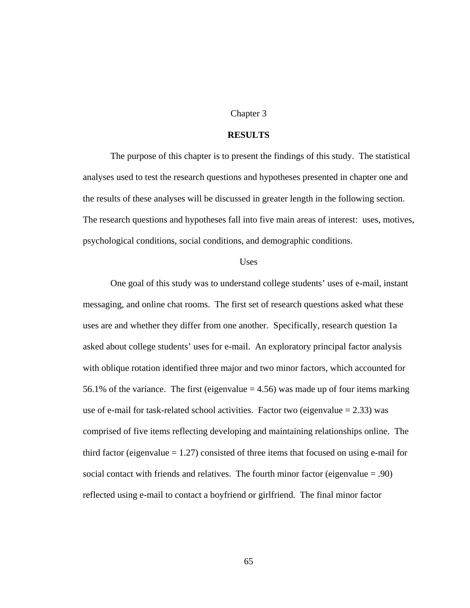#### Chapter 3

#### **RESULTS**

The purpose of this chapter is to present the findings of this study. The statistical analyses used to test the research questions and hypotheses presented in chapter one and the results of these analyses will be discussed in greater length in the following section. The research questions and hypotheses fall into five main areas of interest: uses, motives, psychological conditions, social conditions, and demographic conditions.

#### **Uses**

 One goal of this study was to understand college students' uses of e-mail, instant messaging, and online chat rooms. The first set of research questions asked what these uses are and whether they differ from one another. Specifically, research question 1a asked about college students' uses for e-mail. An exploratory principal factor analysis with oblique rotation identified three major and two minor factors, which accounted for 56.1% of the variance. The first (eigenvalue  $=$  4.56) was made up of four items marking use of e-mail for task-related school activities. Factor two (eigenvalue  $= 2.33$ ) was comprised of five items reflecting developing and maintaining relationships online. The third factor (eigenvalue  $= 1.27$ ) consisted of three items that focused on using e-mail for social contact with friends and relatives. The fourth minor factor (eigenvalue = .90) reflected using e-mail to contact a boyfriend or girlfriend. The final minor factor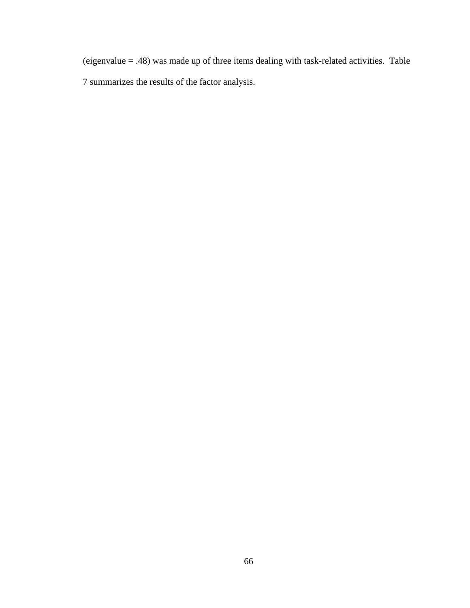(eigenvalue = .48) was made up of three items dealing with task-related activities. Table 7 summarizes the results of the factor analysis.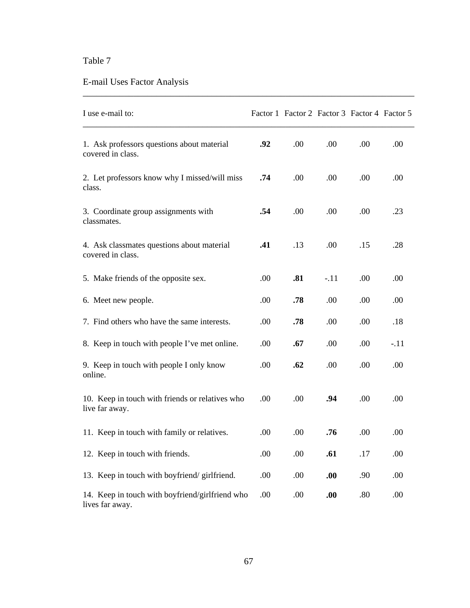# E-mail Uses Factor Analysis

| I use e-mail to:                                                   |      | Factor 1 Factor 2 Factor 3 Factor 4 Factor 5 |        |      |        |
|--------------------------------------------------------------------|------|----------------------------------------------|--------|------|--------|
| 1. Ask professors questions about material<br>covered in class.    | .92  | .00                                          | .00    | .00  | .00    |
| 2. Let professors know why I missed/will miss<br>class.            | .74  | .00                                          | .00    | .00  | .00.   |
| 3. Coordinate group assignments with<br>classmates.                | .54  | .00.                                         | .00    | .00. | .23    |
| 4. Ask classmates questions about material<br>covered in class.    | .41  | .13                                          | .00    | .15  | .28    |
| 5. Make friends of the opposite sex.                               | .00  | .81                                          | $-.11$ | .00  | .00    |
| 6. Meet new people.                                                | .00  | .78                                          | .00    | .00  | .00    |
| 7. Find others who have the same interests.                        | .00. | .78                                          | .00    | .00. | .18    |
| 8. Keep in touch with people I've met online.                      | .00  | .67                                          | .00    | .00  | $-.11$ |
| 9. Keep in touch with people I only know<br>online.                | .00  | .62                                          | .00    | .00  | .00    |
| 10. Keep in touch with friends or relatives who<br>live far away.  | .00  | .00                                          | .94    | .00  | .00    |
| 11. Keep in touch with family or relatives.                        | .00. | .00                                          | .76    | .00. | .00.   |
| 12. Keep in touch with friends.                                    | .00  | .00                                          | .61    | .17  | .00    |
| 13. Keep in touch with boyfriend/girlfriend.                       | .00  | .00                                          | .00    | .90  | .00    |
| 14. Keep in touch with boyfriend/girlfriend who<br>lives far away. | .00  | .00                                          | .00    | .80  | .00    |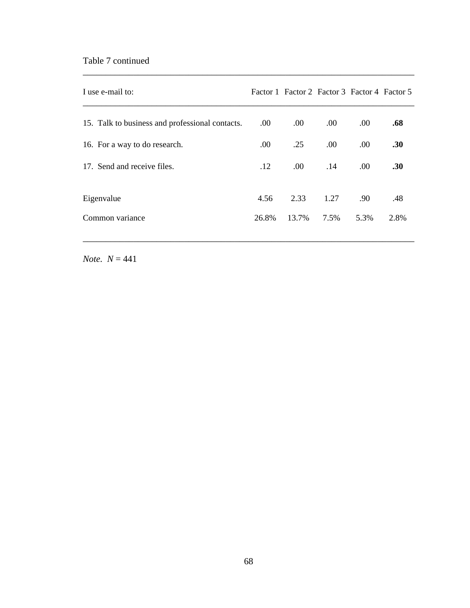### Table 7 continued

| I use e-mail to:                                |       | Factor 1 Factor 2 Factor 3 Factor 4 Factor 5 |      |      |      |
|-------------------------------------------------|-------|----------------------------------------------|------|------|------|
| 15. Talk to business and professional contacts. | .00.  | .00.                                         | .00. | .00. | .68  |
| 16. For a way to do research.                   | .00.  | .25                                          | .00. | .00. | .30  |
| 17. Send and receive files.                     | .12   | $.00\,$                                      | .14  | .00. | .30  |
| Eigenvalue                                      | 4.56  | 2.33                                         | 1.27 | .90  | .48  |
| Common variance                                 | 26.8% | 13.7%                                        | 7.5% | 5.3% | 2.8% |

\_\_\_\_\_\_\_\_\_\_\_\_\_\_\_\_\_\_\_\_\_\_\_\_\_\_\_\_\_\_\_\_\_\_\_\_\_\_\_\_\_\_\_\_\_\_\_\_\_\_\_\_\_\_\_\_\_\_\_\_\_\_\_\_\_\_\_\_\_\_\_\_

\_\_\_\_\_\_\_\_\_\_\_\_\_\_\_\_\_\_\_\_\_\_\_\_\_\_\_\_\_\_\_\_\_\_\_\_\_\_\_\_\_\_\_\_\_\_\_\_\_\_\_\_\_\_\_\_\_\_\_\_\_\_\_\_\_\_\_\_\_\_\_\_

*Note.*  $N = 441$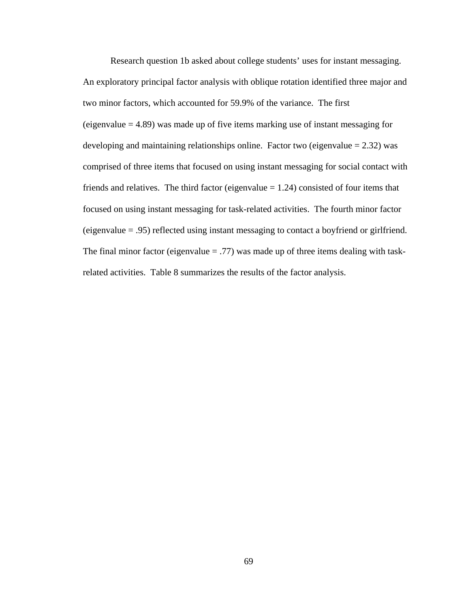Research question 1b asked about college students' uses for instant messaging. An exploratory principal factor analysis with oblique rotation identified three major and two minor factors, which accounted for 59.9% of the variance. The first (eigenvalue  $= 4.89$ ) was made up of five items marking use of instant messaging for developing and maintaining relationships online. Factor two (eigenvalue  $= 2.32$ ) was comprised of three items that focused on using instant messaging for social contact with friends and relatives. The third factor (eigenvalue  $= 1.24$ ) consisted of four items that focused on using instant messaging for task-related activities. The fourth minor factor (eigenvalue = .95) reflected using instant messaging to contact a boyfriend or girlfriend. The final minor factor (eigenvalue  $= .77$ ) was made up of three items dealing with taskrelated activities. Table 8 summarizes the results of the factor analysis.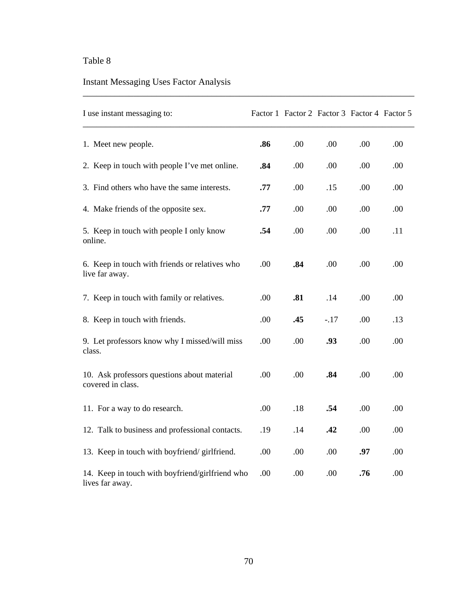# Instant Messaging Uses Factor Analysis

| I use instant messaging to:                                        |     | Factor 1 Factor 2 Factor 3 Factor 4 Factor 5 |        |     |     |
|--------------------------------------------------------------------|-----|----------------------------------------------|--------|-----|-----|
| 1. Meet new people.                                                | .86 | .00                                          | .00    | .00 | .00 |
| 2. Keep in touch with people I've met online.                      | .84 | .00                                          | .00    | .00 | .00 |
| 3. Find others who have the same interests.                        | .77 | .00                                          | .15    | .00 | .00 |
| 4. Make friends of the opposite sex.                               | .77 | .00                                          | .00    | .00 | .00 |
| 5. Keep in touch with people I only know<br>online.                | .54 | .00                                          | .00    | .00 | .11 |
| 6. Keep in touch with friends or relatives who<br>live far away.   | .00 | .84                                          | .00    | .00 | .00 |
| 7. Keep in touch with family or relatives.                         | .00 | .81                                          | .14    | .00 | .00 |
| 8. Keep in touch with friends.                                     | .00 | .45                                          | $-.17$ | .00 | .13 |
| 9. Let professors know why I missed/will miss<br>class.            | .00 | .00                                          | .93    | .00 | .00 |
| 10. Ask professors questions about material<br>covered in class.   | .00 | .00                                          | .84    | .00 | .00 |
| 11. For a way to do research.                                      | .00 | .18                                          | .54    | .00 | .00 |
| 12. Talk to business and professional contacts.                    | .19 | .14                                          | .42    | .00 | .00 |
| 13. Keep in touch with boyfriend/girlfriend.                       | .00 | .00                                          | .00    | .97 | .00 |
| 14. Keep in touch with boyfriend/girlfriend who<br>lives far away. | .00 | .00                                          | .00    | .76 | .00 |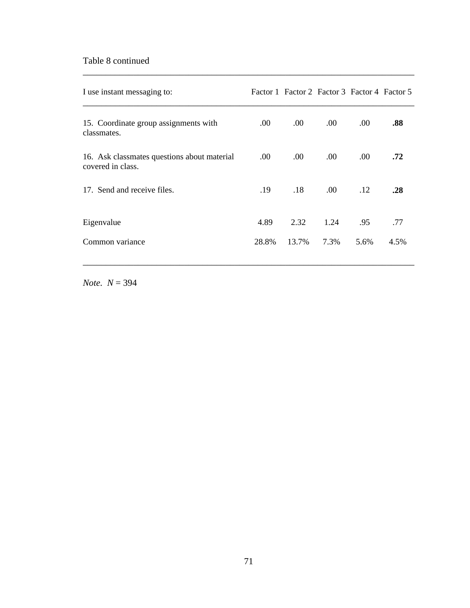### Table 8 continued

| I use instant messaging to:                                      |                  | Factor 1 Factor 2 Factor 3 Factor 4 Factor 5 |      |      |      |
|------------------------------------------------------------------|------------------|----------------------------------------------|------|------|------|
| 15. Coordinate group assignments with<br>classmates.             | .00.             | .00.                                         | .00. | .00. | .88  |
| 16. Ask classmates questions about material<br>covered in class. | .00 <sub>1</sub> | .00.                                         | .00  | .00. | .72  |
| 17. Send and receive files.                                      | .19              | .18                                          | .00  | .12  | .28  |
| Eigenvalue                                                       | 4.89             | 2.32                                         | 1.24 | .95  | .77  |
| Common variance                                                  | 28.8%            | 13.7%                                        | 7.3% | 5.6% | 4.5% |

\_\_\_\_\_\_\_\_\_\_\_\_\_\_\_\_\_\_\_\_\_\_\_\_\_\_\_\_\_\_\_\_\_\_\_\_\_\_\_\_\_\_\_\_\_\_\_\_\_\_\_\_\_\_\_\_\_\_\_\_\_\_\_\_\_\_\_\_\_\_\_\_

\_\_\_\_\_\_\_\_\_\_\_\_\_\_\_\_\_\_\_\_\_\_\_\_\_\_\_\_\_\_\_\_\_\_\_\_\_\_\_\_\_\_\_\_\_\_\_\_\_\_\_\_\_\_\_\_\_\_\_\_\_\_\_\_\_\_\_\_\_\_\_\_

*Note. N* = 394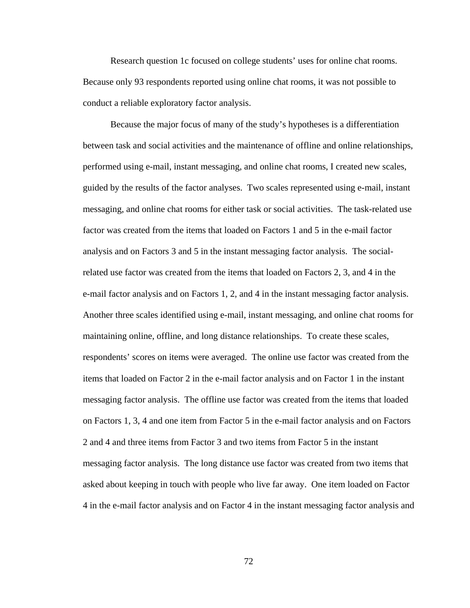Research question 1c focused on college students' uses for online chat rooms. Because only 93 respondents reported using online chat rooms, it was not possible to conduct a reliable exploratory factor analysis.

 Because the major focus of many of the study's hypotheses is a differentiation between task and social activities and the maintenance of offline and online relationships, performed using e-mail, instant messaging, and online chat rooms, I created new scales, guided by the results of the factor analyses. Two scales represented using e-mail, instant messaging, and online chat rooms for either task or social activities. The task-related use factor was created from the items that loaded on Factors 1 and 5 in the e-mail factor analysis and on Factors 3 and 5 in the instant messaging factor analysis. The socialrelated use factor was created from the items that loaded on Factors 2, 3, and 4 in the e-mail factor analysis and on Factors 1, 2, and 4 in the instant messaging factor analysis. Another three scales identified using e-mail, instant messaging, and online chat rooms for maintaining online, offline, and long distance relationships. To create these scales, respondents' scores on items were averaged. The online use factor was created from the items that loaded on Factor 2 in the e-mail factor analysis and on Factor 1 in the instant messaging factor analysis. The offline use factor was created from the items that loaded on Factors 1, 3, 4 and one item from Factor 5 in the e-mail factor analysis and on Factors 2 and 4 and three items from Factor 3 and two items from Factor 5 in the instant messaging factor analysis. The long distance use factor was created from two items that asked about keeping in touch with people who live far away. One item loaded on Factor 4 in the e-mail factor analysis and on Factor 4 in the instant messaging factor analysis and

72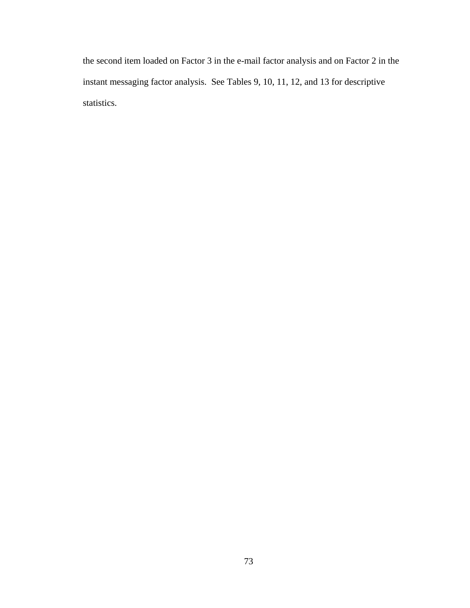the second item loaded on Factor 3 in the e-mail factor analysis and on Factor 2 in the instant messaging factor analysis. See Tables 9, 10, 11, 12, and 13 for descriptive statistics.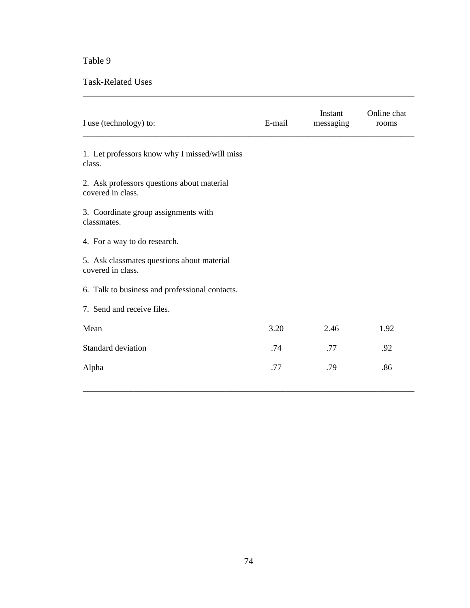Task-Related Uses

| I use (technology) to:                                          | E-mail | Instant<br>messaging | Online chat<br>rooms |
|-----------------------------------------------------------------|--------|----------------------|----------------------|
| 1. Let professors know why I missed/will miss<br>class.         |        |                      |                      |
| 2. Ask professors questions about material<br>covered in class. |        |                      |                      |
| 3. Coordinate group assignments with<br>classmates.             |        |                      |                      |
| 4. For a way to do research.                                    |        |                      |                      |
| 5. Ask classmates questions about material<br>covered in class. |        |                      |                      |
| 6. Talk to business and professional contacts.                  |        |                      |                      |
| 7. Send and receive files.                                      |        |                      |                      |
| Mean                                                            | 3.20   | 2.46                 | 1.92                 |
| Standard deviation                                              | .74    | .77                  | .92                  |
| Alpha                                                           | .77    | .79                  | .86                  |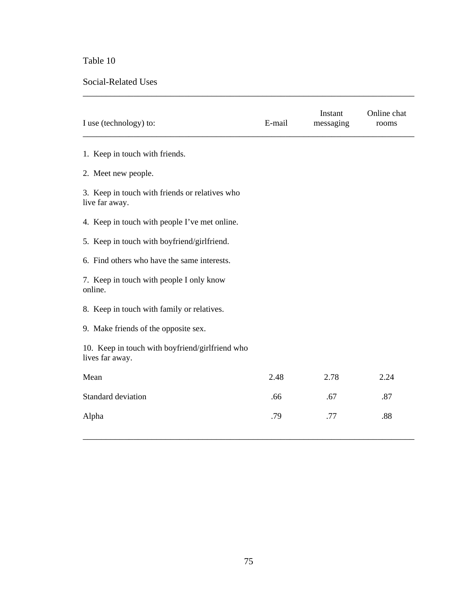#### Social-Related Uses

| I use (technology) to:                                             | E-mail | Instant<br>messaging | Online chat<br>rooms |
|--------------------------------------------------------------------|--------|----------------------|----------------------|
| 1. Keep in touch with friends.                                     |        |                      |                      |
| 2. Meet new people.                                                |        |                      |                      |
| 3. Keep in touch with friends or relatives who<br>live far away.   |        |                      |                      |
| 4. Keep in touch with people I've met online.                      |        |                      |                      |
| 5. Keep in touch with boyfriend/girlfriend.                        |        |                      |                      |
| 6. Find others who have the same interests.                        |        |                      |                      |
| 7. Keep in touch with people I only know<br>online.                |        |                      |                      |
| 8. Keep in touch with family or relatives.                         |        |                      |                      |
| 9. Make friends of the opposite sex.                               |        |                      |                      |
| 10. Keep in touch with boyfriend/girlfriend who<br>lives far away. |        |                      |                      |
| Mean                                                               | 2.48   | 2.78                 | 2.24                 |
| Standard deviation                                                 | .66    | .67                  | .87                  |
| Alpha                                                              | .79    | .77                  | .88                  |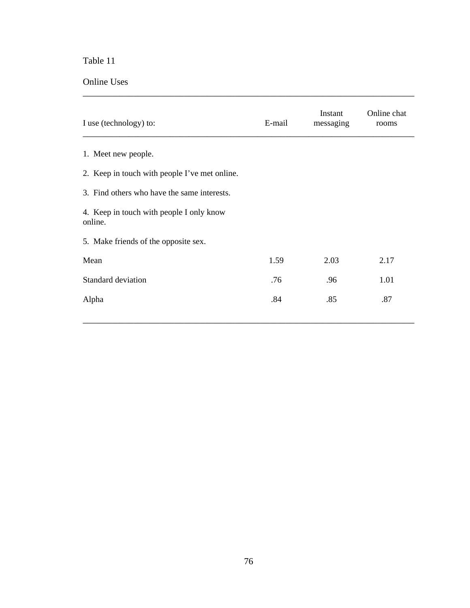Online Uses

| I use (technology) to:                              | E-mail | Instant<br>messaging | Online chat<br>rooms |  |  |  |  |
|-----------------------------------------------------|--------|----------------------|----------------------|--|--|--|--|
| 1. Meet new people.                                 |        |                      |                      |  |  |  |  |
| 2. Keep in touch with people I've met online.       |        |                      |                      |  |  |  |  |
| 3. Find others who have the same interests.         |        |                      |                      |  |  |  |  |
| 4. Keep in touch with people I only know<br>online. |        |                      |                      |  |  |  |  |
| 5. Make friends of the opposite sex.                |        |                      |                      |  |  |  |  |
| Mean                                                | 1.59   | 2.03                 | 2.17                 |  |  |  |  |
| <b>Standard deviation</b>                           | .76    | .96                  | 1.01                 |  |  |  |  |
| Alpha                                               | .84    | .85                  | .87                  |  |  |  |  |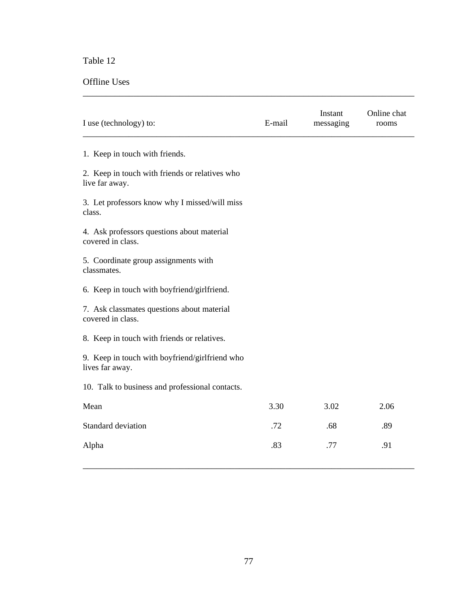### Offline Uses

| I use (technology) to:                                            | E-mail | Instant<br>messaging | Online chat<br>rooms |
|-------------------------------------------------------------------|--------|----------------------|----------------------|
| 1. Keep in touch with friends.                                    |        |                      |                      |
| 2. Keep in touch with friends or relatives who<br>live far away.  |        |                      |                      |
| 3. Let professors know why I missed/will miss<br>class.           |        |                      |                      |
| 4. Ask professors questions about material<br>covered in class.   |        |                      |                      |
| 5. Coordinate group assignments with<br>classmates.               |        |                      |                      |
| 6. Keep in touch with boyfriend/girlfriend.                       |        |                      |                      |
| 7. Ask classmates questions about material<br>covered in class.   |        |                      |                      |
| 8. Keep in touch with friends or relatives.                       |        |                      |                      |
| 9. Keep in touch with boyfriend/girlfriend who<br>lives far away. |        |                      |                      |
| 10. Talk to business and professional contacts.                   |        |                      |                      |
| Mean                                                              | 3.30   | 3.02                 | 2.06                 |
| Standard deviation                                                | .72    | .68                  | .89                  |
| Alpha                                                             | .83    | .77                  | .91                  |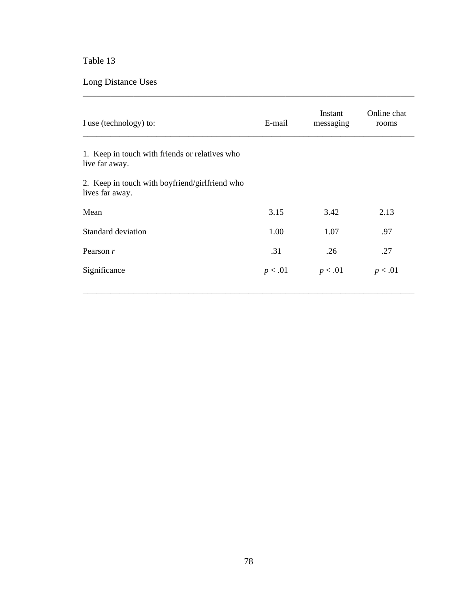Long Distance Uses

| I use (technology) to:                                            | E-mail  | Instant<br>messaging | Online chat<br>rooms |
|-------------------------------------------------------------------|---------|----------------------|----------------------|
| 1. Keep in touch with friends or relatives who<br>live far away.  |         |                      |                      |
| 2. Keep in touch with boyfriend/girlfriend who<br>lives far away. |         |                      |                      |
| Mean                                                              | 3.15    | 3.42                 | 2.13                 |
| Standard deviation                                                | 1.00    | 1.07                 | .97                  |
| Pearson $r$                                                       | .31     | .26                  | .27                  |
| Significance                                                      | p < .01 | p < .01              | p < .01              |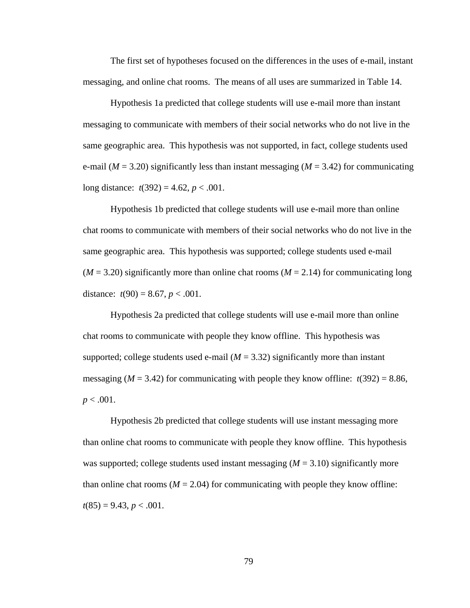The first set of hypotheses focused on the differences in the uses of e-mail, instant messaging, and online chat rooms. The means of all uses are summarized in Table 14.

Hypothesis 1a predicted that college students will use e-mail more than instant messaging to communicate with members of their social networks who do not live in the same geographic area. This hypothesis was not supported, in fact, college students used e-mail ( $M = 3.20$ ) significantly less than instant messaging ( $M = 3.42$ ) for communicating long distance:  $t(392) = 4.62$ ,  $p < .001$ .

Hypothesis 1b predicted that college students will use e-mail more than online chat rooms to communicate with members of their social networks who do not live in the same geographic area. This hypothesis was supported; college students used e-mail  $(M = 3.20)$  significantly more than online chat rooms  $(M = 2.14)$  for communicating long distance:  $t(90) = 8.67$ ,  $p < .001$ .

Hypothesis 2a predicted that college students will use e-mail more than online chat rooms to communicate with people they know offline. This hypothesis was supported; college students used e-mail  $(M = 3.32)$  significantly more than instant messaging ( $M = 3.42$ ) for communicating with people they know offline:  $t(392) = 8.86$ ,  $p < .001$ .

Hypothesis 2b predicted that college students will use instant messaging more than online chat rooms to communicate with people they know offline. This hypothesis was supported; college students used instant messaging ( $M = 3.10$ ) significantly more than online chat rooms ( $M = 2.04$ ) for communicating with people they know offline:  $t(85) = 9.43, p < .001.$ 

79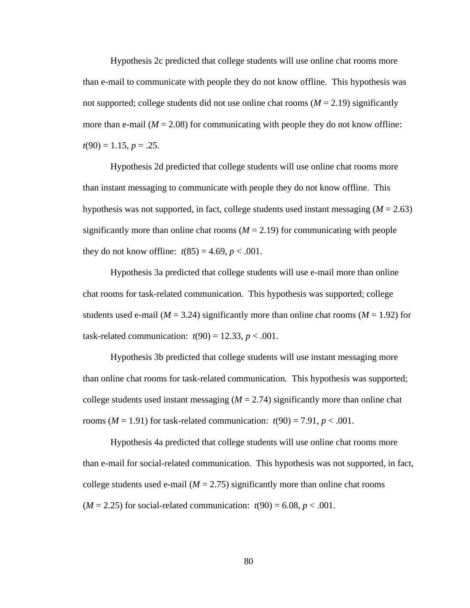Hypothesis 2c predicted that college students will use online chat rooms more than e-mail to communicate with people they do not know offline. This hypothesis was not supported; college students did not use online chat rooms  $(M = 2.19)$  significantly more than e-mail  $(M = 2.08)$  for communicating with people they do not know offline:  $t(90) = 1.15, p = .25.$ 

Hypothesis 2d predicted that college students will use online chat rooms more than instant messaging to communicate with people they do not know offline. This hypothesis was not supported, in fact, college students used instant messaging  $(M = 2.63)$ significantly more than online chat rooms  $(M = 2.19)$  for communicating with people they do not know offline:  $t(85) = 4.69, p < .001$ .

Hypothesis 3a predicted that college students will use e-mail more than online chat rooms for task-related communication. This hypothesis was supported; college students used e-mail ( $M = 3.24$ ) significantly more than online chat rooms ( $M = 1.92$ ) for task-related communication:  $t(90) = 12.33$ ,  $p < .001$ .

Hypothesis 3b predicted that college students will use instant messaging more than online chat rooms for task-related communication. This hypothesis was supported; college students used instant messaging  $(M = 2.74)$  significantly more than online chat rooms ( $M = 1.91$ ) for task-related communication:  $t(90) = 7.91$ ,  $p < .001$ .

Hypothesis 4a predicted that college students will use online chat rooms more than e-mail for social-related communication. This hypothesis was not supported, in fact, college students used e-mail  $(M = 2.75)$  significantly more than online chat rooms ( $M = 2.25$ ) for social-related communication:  $t(90) = 6.08$ ,  $p < .001$ .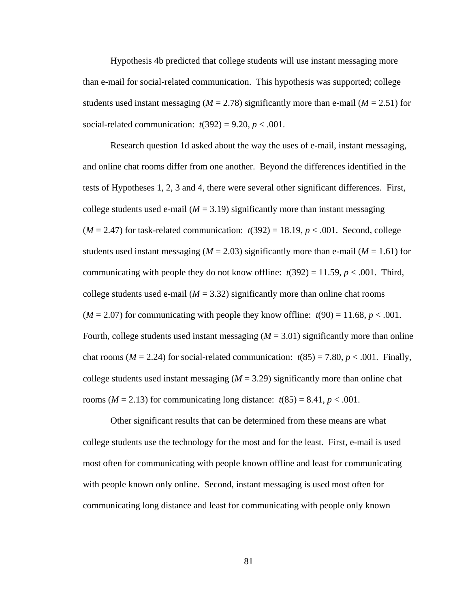Hypothesis 4b predicted that college students will use instant messaging more than e-mail for social-related communication. This hypothesis was supported; college students used instant messaging ( $M = 2.78$ ) significantly more than e-mail ( $M = 2.51$ ) for social-related communication:  $t(392) = 9.20, p < .001$ .

Research question 1d asked about the way the uses of e-mail, instant messaging, and online chat rooms differ from one another. Beyond the differences identified in the tests of Hypotheses 1, 2, 3 and 4, there were several other significant differences. First, college students used e-mail  $(M = 3.19)$  significantly more than instant messaging  $(M = 2.47)$  for task-related communication:  $t(392) = 18.19$ ,  $p < .001$ . Second, college students used instant messaging ( $M = 2.03$ ) significantly more than e-mail ( $M = 1.61$ ) for communicating with people they do not know offline:  $t(392) = 11.59$ ,  $p < .001$ . Third, college students used e-mail  $(M = 3.32)$  significantly more than online chat rooms  $(M = 2.07)$  for communicating with people they know offline:  $t(90) = 11.68$ ,  $p < .001$ . Fourth, college students used instant messaging  $(M = 3.01)$  significantly more than online chat rooms ( $M = 2.24$ ) for social-related communication:  $t(85) = 7.80$ ,  $p < .001$ . Finally, college students used instant messaging  $(M = 3.29)$  significantly more than online chat rooms ( $M = 2.13$ ) for communicating long distance:  $t(85) = 8.41$ ,  $p < .001$ .

Other significant results that can be determined from these means are what college students use the technology for the most and for the least. First, e-mail is used most often for communicating with people known offline and least for communicating with people known only online. Second, instant messaging is used most often for communicating long distance and least for communicating with people only known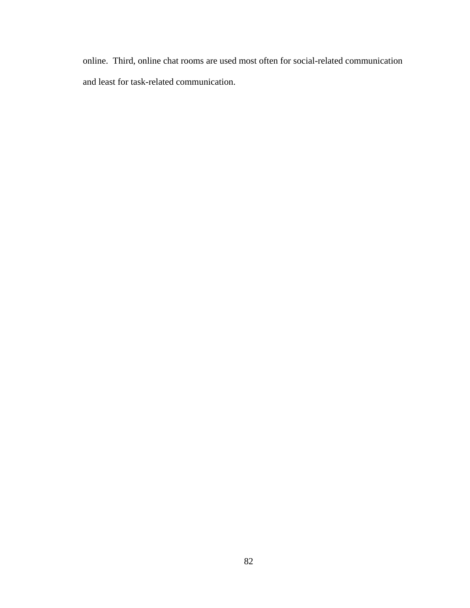online. Third, online chat rooms are used most often for social-related communication and least for task-related communication.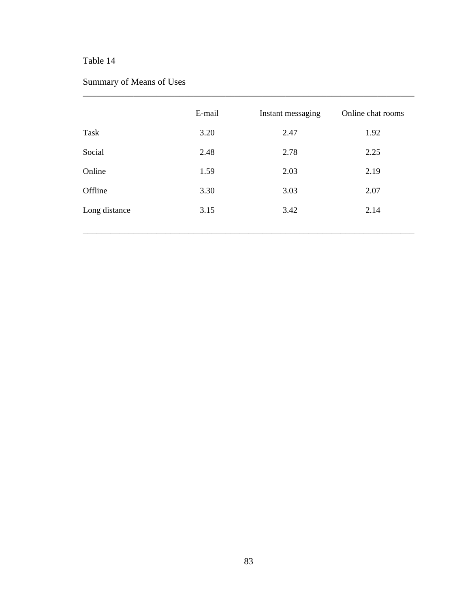## Summary of Means of Uses

|               | E-mail | Instant messaging | Online chat rooms |
|---------------|--------|-------------------|-------------------|
| Task          | 3.20   | 2.47              | 1.92              |
| Social        | 2.48   | 2.78              | 2.25              |
| Online        | 1.59   | 2.03              | 2.19              |
| Offline       | 3.30   | 3.03              | 2.07              |
| Long distance | 3.15   | 3.42              | 2.14              |
|               |        |                   |                   |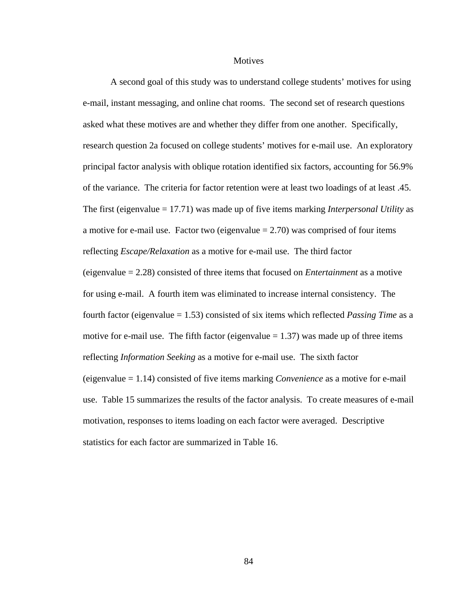#### **Motives**

 A second goal of this study was to understand college students' motives for using e-mail, instant messaging, and online chat rooms. The second set of research questions asked what these motives are and whether they differ from one another. Specifically, research question 2a focused on college students' motives for e-mail use. An exploratory principal factor analysis with oblique rotation identified six factors, accounting for 56.9% of the variance. The criteria for factor retention were at least two loadings of at least .45. The first (eigenvalue = 17.71) was made up of five items marking *Interpersonal Utility* as a motive for e-mail use. Factor two (eigenvalue  $= 2.70$ ) was comprised of four items reflecting *Escape/Relaxation* as a motive for e-mail use. The third factor (eigenvalue = 2.28) consisted of three items that focused on *Entertainment* as a motive for using e-mail. A fourth item was eliminated to increase internal consistency. The fourth factor (eigenvalue = 1.53) consisted of six items which reflected *Passing Time* as a motive for e-mail use. The fifth factor (eigenvalue  $= 1.37$ ) was made up of three items reflecting *Information Seeking* as a motive for e-mail use. The sixth factor (eigenvalue = 1.14) consisted of five items marking *Convenience* as a motive for e-mail use. Table 15 summarizes the results of the factor analysis. To create measures of e-mail motivation, responses to items loading on each factor were averaged. Descriptive statistics for each factor are summarized in Table 16.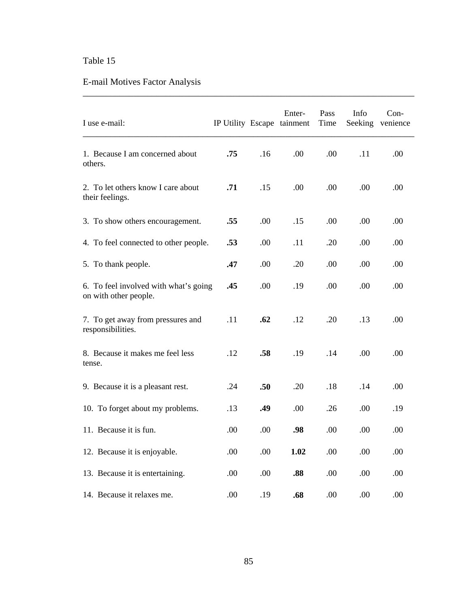# E-mail Motives Factor Analysis

| I use e-mail:                                                  |     |     | Enter-<br>IP Utility Escape tainment | Pass<br>Time | Info<br>Seeking | Con-<br>venience |
|----------------------------------------------------------------|-----|-----|--------------------------------------|--------------|-----------------|------------------|
| 1. Because I am concerned about<br>others.                     | .75 | .16 | .00                                  | .00          | .11             | .00.             |
| 2. To let others know I care about<br>their feelings.          | .71 | .15 | .00.                                 | .00          | .00             | .00.             |
| 3. To show others encouragement.                               | .55 | .00 | .15                                  | .00          | .00.            | .00              |
| 4. To feel connected to other people.                          | .53 | .00 | .11                                  | .20          | .00             | .00              |
| 5. To thank people.                                            | .47 | .00 | .20                                  | .00          | .00             | .00              |
| 6. To feel involved with what's going<br>on with other people. | .45 | .00 | .19                                  | .00          | .00             | .00              |
| 7. To get away from pressures and<br>responsibilities.         | .11 | .62 | .12                                  | .20          | .13             | .00              |
| 8. Because it makes me feel less<br>tense.                     | .12 | .58 | .19                                  | .14          | .00             | .00.             |
| 9. Because it is a pleasant rest.                              | .24 | .50 | .20                                  | .18          | .14             | .00              |
| 10. To forget about my problems.                               | .13 | .49 | .00                                  | .26          | .00             | .19              |
| 11. Because it is fun.                                         | .00 | .00 | .98                                  | .00          | .00             | .00              |
| 12. Because it is enjoyable.                                   | .00 | .00 | 1.02                                 | .00          | .00             | .00              |
| 13. Because it is entertaining.                                | .00 | .00 | .88                                  | .00          | .00             | .00              |
| 14. Because it relaxes me.                                     | .00 | .19 | .68                                  | .00          | .00             | .00              |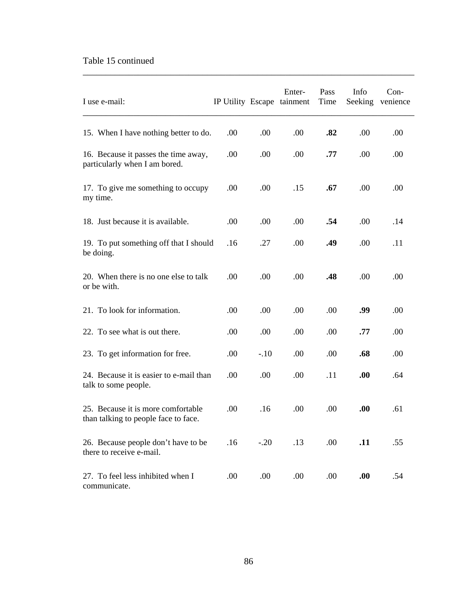### Table 15 continued

| I use e-mail:                                                              |      |        | Enter-<br>IP Utility Escape tainment | Pass<br>Time | Info<br>Seeking | $Con-$<br>venience |
|----------------------------------------------------------------------------|------|--------|--------------------------------------|--------------|-----------------|--------------------|
| 15. When I have nothing better to do.                                      | .00  | .00.   | .00.                                 | .82          | .00             | .00                |
| 16. Because it passes the time away,<br>particularly when I am bored.      | .00. | .00    | .00.                                 | .77          | .00.            | .00                |
| 17. To give me something to occupy<br>my time.                             | .00  | .00.   | .15                                  | .67          | .00             | .00                |
| 18. Just because it is available.                                          | .00  | .00    | .00                                  | .54          | .00             | .14                |
| 19. To put something off that I should<br>be doing.                        | .16  | .27    | .00.                                 | .49          | .00.            | .11                |
| 20. When there is no one else to talk<br>or be with.                       | .00  | .00    | .00.                                 | .48          | .00             | .00                |
| 21. To look for information.                                               | .00  | .00    | .00                                  | .00          | .99             | .00                |
| 22. To see what is out there.                                              | .00  | .00    | .00                                  | .00          | .77             | .00                |
| 23. To get information for free.                                           | .00  | $-.10$ | .00                                  | .00.         | .68             | .00                |
| 24. Because it is easier to e-mail than<br>talk to some people.            | .00  | .00.   | .00.                                 | .11          | .00.            | .64                |
| 25. Because it is more comfortable<br>than talking to people face to face. | .00. | .16    | .00                                  | .00.         | .00.            | .61                |
| 26. Because people don't have to be<br>there to receive e-mail.            | .16  | $-.20$ | .13                                  | .00          | .11             | .55                |
| 27. To feel less inhibited when I<br>communicate.                          | .00  | .00    | .00                                  | .00.         | .00.            | .54                |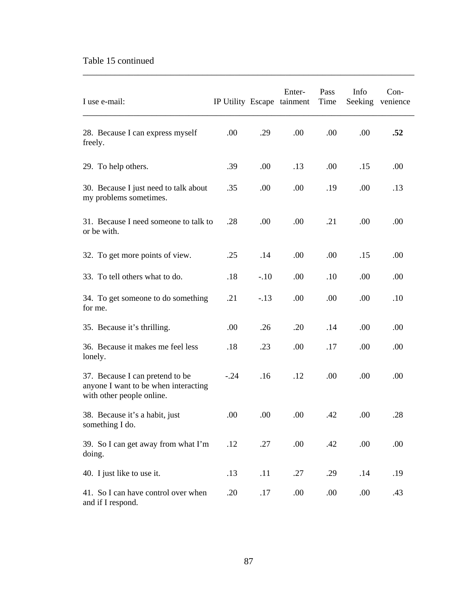### Table 15 continued

| I use e-mail:                                                                                        | IP Utility Escape tainment |        | Enter- | Pass<br>Time | Info<br>Seeking | Con-<br>venience |
|------------------------------------------------------------------------------------------------------|----------------------------|--------|--------|--------------|-----------------|------------------|
| 28. Because I can express myself<br>freely.                                                          | .00                        | .29    | .00    | .00          | .00             | .52              |
| 29. To help others.                                                                                  | .39                        | .00    | .13    | .00          | .15             | .00              |
| 30. Because I just need to talk about<br>my problems sometimes.                                      | .35                        | .00.   | .00    | .19          | .00             | .13              |
| 31. Because I need someone to talk to<br>or be with.                                                 | .28                        | .00    | .00    | .21          | .00             | .00              |
| 32. To get more points of view.                                                                      | .25                        | .14    | .00    | .00          | .15             | .00              |
| 33. To tell others what to do.                                                                       | .18                        | $-.10$ | .00    | .10          | .00             | .00              |
| 34. To get someone to do something<br>for me.                                                        | .21                        | $-.13$ | .00    | .00          | .00             | .10              |
| 35. Because it's thrilling.                                                                          | .00                        | .26    | .20    | .14          | .00             | .00              |
| 36. Because it makes me feel less<br>lonely.                                                         | .18                        | .23    | .00    | .17          | .00             | .00              |
| 37. Because I can pretend to be<br>anyone I want to be when interacting<br>with other people online. | $-.24$                     | .16    | .12    | .00          | .00             | .00              |
| 38. Because it's a habit, just<br>something I do.                                                    | .00                        | .00    | .00    | .42          | .00             | .28              |
| 39. So I can get away from what I'm<br>doing.                                                        | .12                        | .27    | .00    | .42          | .00             | .00              |
| 40. I just like to use it.                                                                           | .13                        | .11    | .27    | .29          | .14             | .19              |
| 41. So I can have control over when<br>and if I respond.                                             | .20                        | .17    | .00.   | .00          | .00.            | .43              |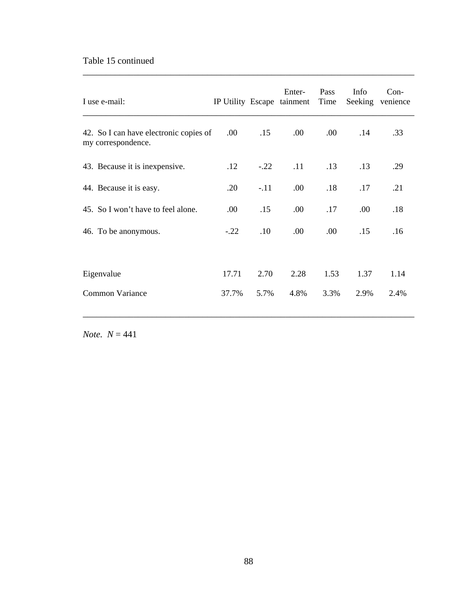### Table 15 continued

| I use e-mail:                                                |        |        | Enter-<br>IP Utility Escape tainment Time | <b>Pass</b> | Info | $Con-$<br>Seeking venience |
|--------------------------------------------------------------|--------|--------|-------------------------------------------|-------------|------|----------------------------|
| 42. So I can have electronic copies of<br>my correspondence. | .00.   | .15    | .00.                                      | .00.        | .14  | .33                        |
| 43. Because it is inexpensive.                               | .12    | $-.22$ | .11                                       | .13         | .13  | .29                        |
| 44. Because it is easy.                                      | .20    | $-.11$ | .00.                                      | .18         | .17  | .21                        |
| 45. So I won't have to feel alone.                           | .00    | .15    | .00.                                      | .17         | .00. | .18                        |
| 46. To be anonymous.                                         | $-.22$ | .10    | .00.                                      | .00.        | .15  | .16                        |
| Eigenvalue                                                   | 17.71  | 2.70   | 2.28                                      | 1.53        | 1.37 | 1.14                       |
| Common Variance                                              | 37.7%  | 5.7%   | 4.8%                                      | 3.3%        | 2.9% | 2.4%                       |

\_\_\_\_\_\_\_\_\_\_\_\_\_\_\_\_\_\_\_\_\_\_\_\_\_\_\_\_\_\_\_\_\_\_\_\_\_\_\_\_\_\_\_\_\_\_\_\_\_\_\_\_\_\_\_\_\_\_\_\_\_\_\_\_\_\_\_\_\_\_\_\_

\_\_\_\_\_\_\_\_\_\_\_\_\_\_\_\_\_\_\_\_\_\_\_\_\_\_\_\_\_\_\_\_\_\_\_\_\_\_\_\_\_\_\_\_\_\_\_\_\_\_\_\_\_\_\_\_\_\_\_\_\_\_\_\_\_\_\_\_\_\_\_\_

*Note.*  $N = 441$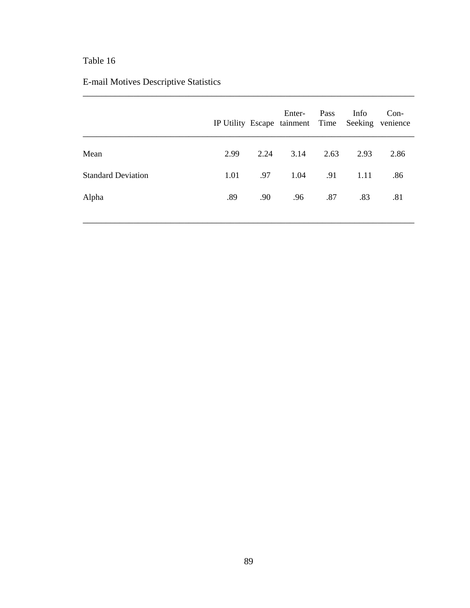# E-mail Motives Descriptive Statistics

|      |      | Enter- | Pass | Info         | $Con-$                                           |
|------|------|--------|------|--------------|--------------------------------------------------|
| 2.99 | 2.24 |        | 2.63 | 2.93         | 2.86                                             |
| 1.01 | .97  |        | .91  | 1.11         | .86                                              |
| .89  | .90  | .96    | .87  | .83          | .81                                              |
|      |      |        |      | 3.14<br>1.04 | IP Utility Escape tainment Time Seeking venience |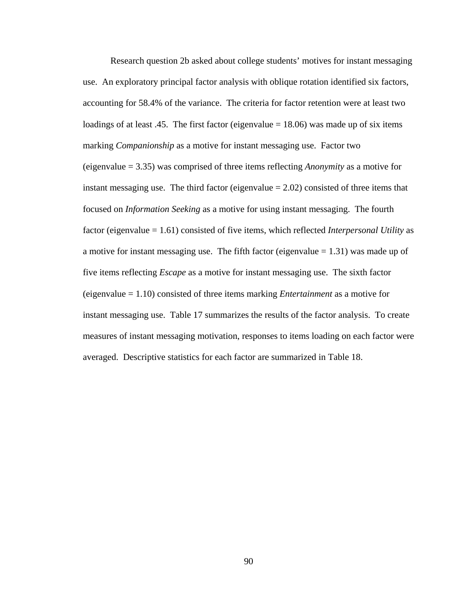Research question 2b asked about college students' motives for instant messaging use. An exploratory principal factor analysis with oblique rotation identified six factors, accounting for 58.4% of the variance. The criteria for factor retention were at least two loadings of at least .45. The first factor (eigenvalue  $= 18.06$ ) was made up of six items marking *Companionship* as a motive for instant messaging use. Factor two (eigenvalue = 3.35) was comprised of three items reflecting *Anonymity* as a motive for instant messaging use. The third factor (eigenvalue  $= 2.02$ ) consisted of three items that focused on *Information Seeking* as a motive for using instant messaging. The fourth factor (eigenvalue = 1.61) consisted of five items, which reflected *Interpersonal Utility* as a motive for instant messaging use. The fifth factor (eigenvalue  $= 1.31$ ) was made up of five items reflecting *Escape* as a motive for instant messaging use. The sixth factor (eigenvalue = 1.10) consisted of three items marking *Entertainment* as a motive for instant messaging use. Table 17 summarizes the results of the factor analysis. To create measures of instant messaging motivation, responses to items loading on each factor were averaged. Descriptive statistics for each factor are summarized in Table 18.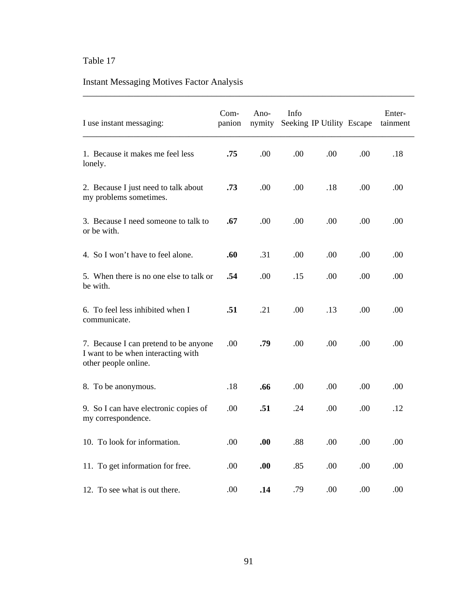# Instant Messaging Motives Factor Analysis

| I use instant messaging:                                                                            | $Com-$<br>panion | Ano-<br>nymity | Info | Seeking IP Utility Escape |      | Enter-<br>tainment |
|-----------------------------------------------------------------------------------------------------|------------------|----------------|------|---------------------------|------|--------------------|
| 1. Because it makes me feel less<br>lonely.                                                         | .75              | .00            | .00  | .00                       | .00  | .18                |
| 2. Because I just need to talk about<br>my problems sometimes.                                      | .73              | .00            | .00  | .18                       | .00  | .00                |
| 3. Because I need someone to talk to<br>or be with.                                                 | .67              | .00            | .00  | .00                       | .00. | .00                |
| 4. So I won't have to feel alone.                                                                   | .60              | .31            | .00. | .00.                      | .00  | .00                |
| 5. When there is no one else to talk or<br>be with.                                                 | .54              | .00            | .15  | .00.                      | .00  | .00                |
| 6. To feel less inhibited when I<br>communicate.                                                    | .51              | .21            | .00. | .13                       | .00. | .00.               |
| 7. Because I can pretend to be anyone<br>I want to be when interacting with<br>other people online. | .00              | .79            | .00  | .00                       | .00  | .00                |
| 8. To be anonymous.                                                                                 | .18              | .66            | .00  | .00                       | .00  | .00                |
| 9. So I can have electronic copies of<br>my correspondence.                                         | .00              | .51            | .24  | .00                       | .00  | .12                |
| 10. To look for information.                                                                        | .00              | .00.           | .88  | .00                       | .00  | .00                |
| 11. To get information for free.                                                                    | .00              | .00.           | .85  | .00                       | .00  | .00                |
| 12. To see what is out there.                                                                       | .00              | .14            | .79  | .00                       | .00  | .00                |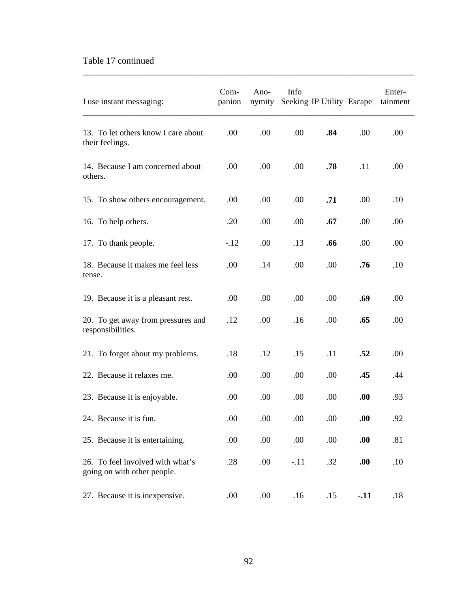### Table 17 continued

| I use instant messaging:                                        | Com-<br>panion | Ano-<br>nymity | Info   | Seeking IP Utility Escape |        | Enter-<br>tainment |
|-----------------------------------------------------------------|----------------|----------------|--------|---------------------------|--------|--------------------|
| 13. To let others know I care about<br>their feelings.          | .00            | .00            | .00    | .84                       | .00    | .00                |
| 14. Because I am concerned about<br>others.                     | .00            | .00            | .00    | .78                       | .11    | .00.               |
| 15. To show others encouragement.                               | .00            | .00            | .00    | .71                       | .00    | .10                |
| 16. To help others.                                             | .20            | .00            | .00    | .67                       | .00    | .00                |
| 17. To thank people.                                            | $-.12$         | .00            | .13    | .66                       | .00    | .00                |
| 18. Because it makes me feel less<br>tense.                     | .00            | .14            | .00    | .00                       | .76    | .10                |
| 19. Because it is a pleasant rest.                              | .00            | .00            | .00    | .00                       | .69    | .00                |
| 20. To get away from pressures and<br>responsibilities.         | .12            | .00            | .16    | .00                       | .65    | .00.               |
| 21. To forget about my problems.                                | .18            | .12            | .15    | .11                       | .52    | .00                |
| 22. Because it relaxes me.                                      | .00            | .00            | .00    | .00                       | .45    | .44                |
| 23. Because it is enjoyable.                                    | .00            | .00            | .00.   | .00                       | .00.   | .93                |
| 24. Because it is fun.                                          | .00            | .00            | .00.   | .00                       | .00.   | .92                |
| 25. Because it is entertaining.                                 | .00            | .00            | .00    | .00                       | .00.   | .81                |
| 26. To feel involved with what's<br>going on with other people. | .28            | .00            | $-.11$ | .32                       | .00.   | .10                |
| 27. Because it is inexpensive.                                  | .00            | .00            | .16    | .15                       | $-.11$ | .18                |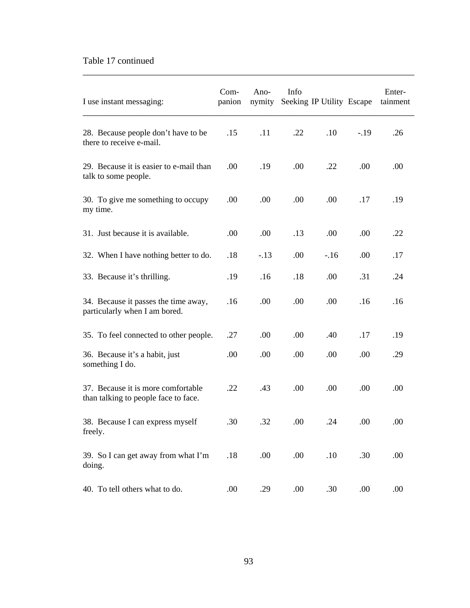### Table 17 continued

| I use instant messaging:                                                   | Com-<br>panion | Ano-<br>nymity | Info | Seeking IP Utility Escape |        | Enter-<br>tainment |
|----------------------------------------------------------------------------|----------------|----------------|------|---------------------------|--------|--------------------|
| 28. Because people don't have to be<br>there to receive e-mail.            | .15            | .11            | .22  | .10                       | $-.19$ | .26                |
| 29. Because it is easier to e-mail than<br>talk to some people.            | .00            | .19            | .00  | .22                       | .00    | .00                |
| 30. To give me something to occupy<br>my time.                             | .00            | .00.           | .00. | .00                       | .17    | .19                |
| 31. Just because it is available.                                          | .00            | .00            | .13  | .00                       | .00    | .22                |
| 32. When I have nothing better to do.                                      | .18            | $-.13$         | .00. | $-16$                     | .00.   | .17                |
| 33. Because it's thrilling.                                                | .19            | .16            | .18  | .00                       | .31    | .24                |
| 34. Because it passes the time away,<br>particularly when I am bored.      | .16            | .00            | .00. | .00                       | .16    | .16                |
| 35. To feel connected to other people.                                     | .27            | .00            | .00. | .40                       | .17    | .19                |
| 36. Because it's a habit, just<br>something I do.                          | .00            | .00.           | .00. | .00                       | .00.   | .29                |
| 37. Because it is more comfortable<br>than talking to people face to face. | .22            | .43            | .00  | .00                       | .00    | .00                |
| 38. Because I can express myself<br>freely.                                | .30            | .32            | .00  | .24                       | .00    | .00                |
| 39. So I can get away from what I'm<br>doing.                              | .18            | .00            | .00  | .10                       | .30    | .00                |
| 40. To tell others what to do.                                             | .00            | .29            | .00  | .30                       | .00.   | .00                |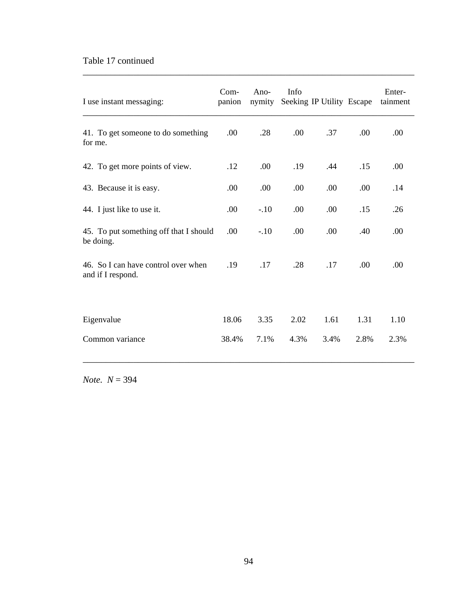### Table 17 continued

| I use instant messaging:                                 | Com-<br>panion | Ano-<br>nymity | Info | Seeking IP Utility Escape |      | Enter-<br>tainment |
|----------------------------------------------------------|----------------|----------------|------|---------------------------|------|--------------------|
| 41. To get someone to do something<br>for me.            | .00            | .28            | .00  | .37                       | .00  | .00                |
| 42. To get more points of view.                          | .12            | .00            | .19  | .44                       | .15  | .00                |
| 43. Because it is easy.                                  | .00            | .00            | .00  | .00                       | .00  | .14                |
| 44. I just like to use it.                               | .00            | $-.10$         | .00  | .00                       | .15  | .26                |
| 45. To put something off that I should<br>be doing.      | .00            | $-.10$         | .00  | .00                       | .40  | .00                |
| 46. So I can have control over when<br>and if I respond. | .19            | .17            | .28  | .17                       | .00  | .00                |
| Eigenvalue                                               | 18.06          | 3.35           | 2.02 | 1.61                      | 1.31 | 1.10               |
| Common variance                                          | 38.4%          | 7.1%           | 4.3% | 3.4%                      | 2.8% | 2.3%               |

\_\_\_\_\_\_\_\_\_\_\_\_\_\_\_\_\_\_\_\_\_\_\_\_\_\_\_\_\_\_\_\_\_\_\_\_\_\_\_\_\_\_\_\_\_\_\_\_\_\_\_\_\_\_\_\_\_\_\_\_\_\_\_\_\_\_\_\_\_\_\_\_

*Note. N* = 394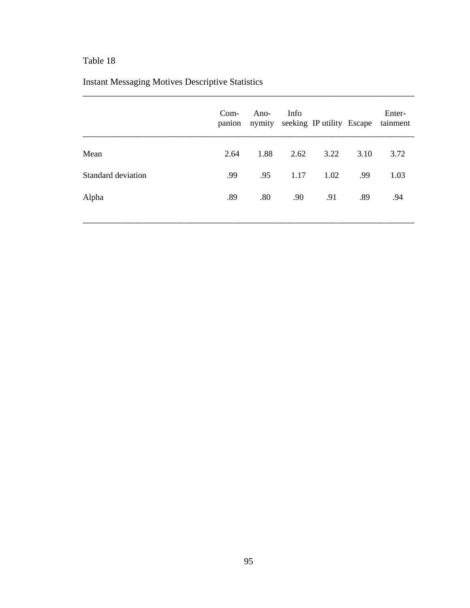# Instant Messaging Motives Descriptive Statistics

|                    | $Com-$<br>panion | Ano- | Info | nymity seeking IP utility Escape |      | Enter-<br>tainment |
|--------------------|------------------|------|------|----------------------------------|------|--------------------|
| Mean               | 2.64             | 1.88 | 2.62 | 3.22                             | 3.10 | 3.72               |
| Standard deviation | .99              | .95  | 1.17 | 1.02                             | .99  | 1.03               |
| Alpha              | .89              | .80  | .90  | .91                              | .89  | .94                |
|                    |                  |      |      |                                  |      |                    |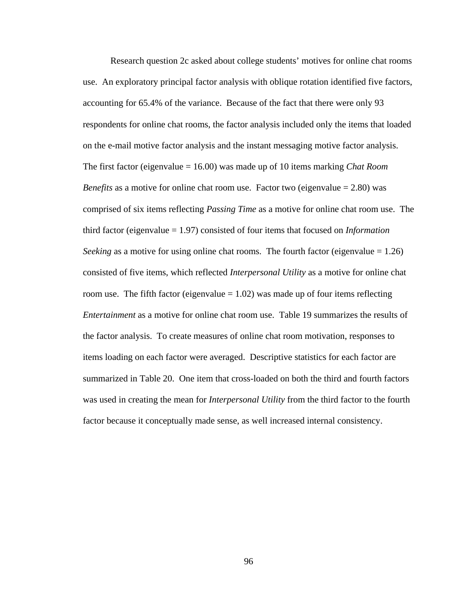Research question 2c asked about college students' motives for online chat rooms use. An exploratory principal factor analysis with oblique rotation identified five factors, accounting for 65.4% of the variance. Because of the fact that there were only 93 respondents for online chat rooms, the factor analysis included only the items that loaded on the e-mail motive factor analysis and the instant messaging motive factor analysis. The first factor (eigenvalue = 16.00) was made up of 10 items marking *Chat Room Benefits* as a motive for online chat room use. Factor two (eigenvalue  $= 2.80$ ) was comprised of six items reflecting *Passing Time* as a motive for online chat room use. The third factor (eigenvalue = 1.97) consisted of four items that focused on *Information Seeking* as a motive for using online chat rooms. The fourth factor (eigenvalue  $= 1.26$ ) consisted of five items, which reflected *Interpersonal Utility* as a motive for online chat room use. The fifth factor (eigenvalue  $= 1.02$ ) was made up of four items reflecting *Entertainment* as a motive for online chat room use. Table 19 summarizes the results of the factor analysis. To create measures of online chat room motivation, responses to items loading on each factor were averaged. Descriptive statistics for each factor are summarized in Table 20. One item that cross-loaded on both the third and fourth factors was used in creating the mean for *Interpersonal Utility* from the third factor to the fourth factor because it conceptually made sense, as well increased internal consistency.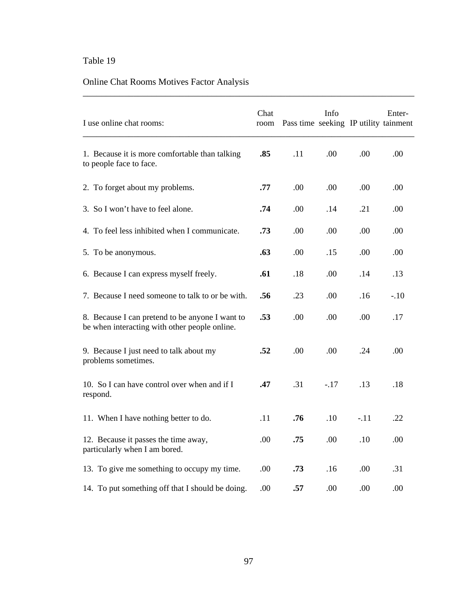# Online Chat Rooms Motives Factor Analysis

| I use online chat rooms:                                                                         | Chat<br>room | Pass time seeking IP utility tainment | Info   |        | Enter- |
|--------------------------------------------------------------------------------------------------|--------------|---------------------------------------|--------|--------|--------|
| 1. Because it is more comfortable than talking<br>to people face to face.                        | .85          | .11                                   | .00    | .00    | .00    |
| 2. To forget about my problems.                                                                  | .77          | .00                                   | .00    | .00    | .00    |
| 3. So I won't have to feel alone.                                                                | .74          | .00                                   | .14    | .21    | .00    |
| 4. To feel less inhibited when I communicate.                                                    | .73          | .00                                   | .00    | .00    | .00    |
| 5. To be anonymous.                                                                              | .63          | .00                                   | .15    | .00    | .00    |
| 6. Because I can express myself freely.                                                          | .61          | .18                                   | .00    | .14    | .13    |
| 7. Because I need someone to talk to or be with.                                                 | .56          | .23                                   | .00    | .16    | $-.10$ |
| 8. Because I can pretend to be anyone I want to<br>be when interacting with other people online. | .53          | .00                                   | .00    | .00    | .17    |
| 9. Because I just need to talk about my<br>problems sometimes.                                   | .52          | .00                                   | .00    | .24    | .00    |
| 10. So I can have control over when and if I<br>respond.                                         | .47          | .31                                   | $-.17$ | .13    | .18    |
| 11. When I have nothing better to do.                                                            | .11          | .76                                   | .10    | $-.11$ | .22    |
| 12. Because it passes the time away,<br>particularly when I am bored.                            | .00          | .75                                   | .00    | .10    | .00    |
| 13. To give me something to occupy my time.                                                      | .00.         | .73                                   | .16    | .00    | .31    |
| 14. To put something off that I should be doing.                                                 | .00          | .57                                   | .00    | .00    | .00    |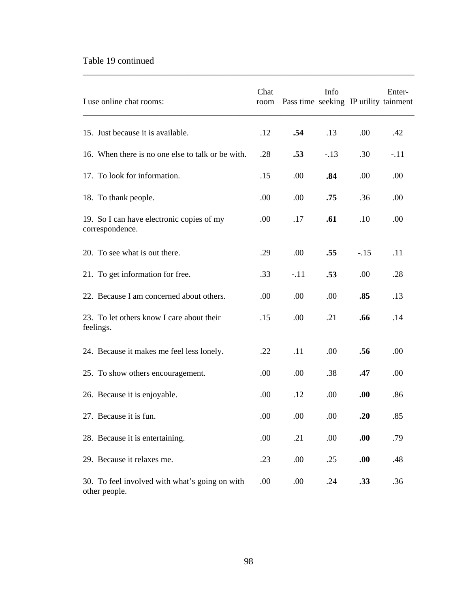### Table 19 continued

| I use online chat rooms:                                        | Chat<br>room | Pass time seeking IP utility tainment | Info   |        | Enter- |
|-----------------------------------------------------------------|--------------|---------------------------------------|--------|--------|--------|
| 15. Just because it is available.                               | .12          | .54                                   | .13    | .00    | .42    |
| 16. When there is no one else to talk or be with.               | .28          | .53                                   | $-.13$ | .30    | $-.11$ |
| 17. To look for information.                                    | .15          | .00                                   | .84    | .00    | .00.   |
| 18. To thank people.                                            | .00          | .00.                                  | .75    | .36    | .00    |
| 19. So I can have electronic copies of my<br>correspondence.    | .00.         | .17                                   | .61    | .10    | .00    |
| 20. To see what is out there.                                   | .29          | .00                                   | .55    | $-.15$ | .11    |
| 21. To get information for free.                                | .33          | $-.11$                                | .53    | .00    | .28    |
| 22. Because I am concerned about others.                        | .00          | .00                                   | .00    | .85    | .13    |
| 23. To let others know I care about their<br>feelings.          | .15          | .00.                                  | .21    | .66    | .14    |
| 24. Because it makes me feel less lonely.                       | .22          | .11                                   | .00    | .56    | .00.   |
| 25. To show others encouragement.                               | .00          | .00.                                  | .38    | .47    | .00    |
| 26. Because it is enjoyable.                                    | .00          | .12                                   | .00    | .00.   | .86    |
| 27. Because it is fun.                                          | .00          | .00                                   | .00    | .20    | .85    |
| 28. Because it is entertaining.                                 | .00          | .21                                   | .00    | .00.   | .79    |
| 29. Because it relaxes me.                                      | .23          | .00                                   | .25    | .00.   | .48    |
| 30. To feel involved with what's going on with<br>other people. | .00          | .00                                   | .24    | .33    | .36    |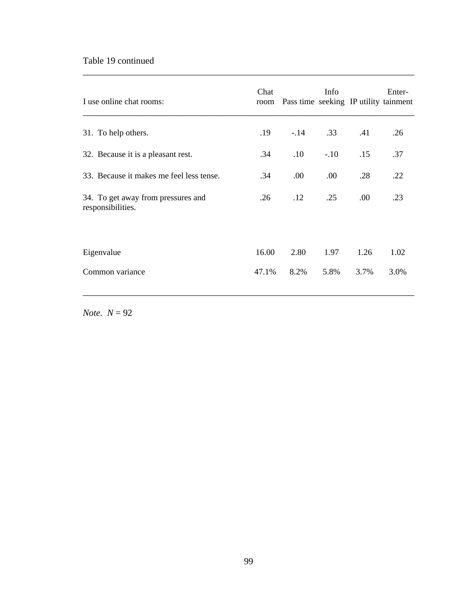### Table 19 continued

| I use online chat rooms:                                | Chat<br>room | Pass time seeking IP utility tainment | Info   |      | Enter- |
|---------------------------------------------------------|--------------|---------------------------------------|--------|------|--------|
| 31. To help others.                                     | .19          | $-14$                                 | .33    | .41  | .26    |
| 32. Because it is a pleasant rest.                      | .34          | .10                                   | $-.10$ | .15  | .37    |
| 33. Because it makes me feel less tense.                | .34          | .00                                   | .00    | .28  | .22    |
| 34. To get away from pressures and<br>responsibilities. | .26          | .12                                   | .25    | .00  | .23    |
|                                                         |              |                                       |        |      |        |
| Eigenvalue                                              | 16.00        | 2.80                                  | 1.97   | 1.26 | 1.02   |
| Common variance                                         | 47.1%        | 8.2%                                  | 5.8%   | 3.7% | 3.0%   |

\_\_\_\_\_\_\_\_\_\_\_\_\_\_\_\_\_\_\_\_\_\_\_\_\_\_\_\_\_\_\_\_\_\_\_\_\_\_\_\_\_\_\_\_\_\_\_\_\_\_\_\_\_\_\_\_\_\_\_\_\_\_\_\_\_\_\_\_\_\_\_\_

*Note.*  $N = 92$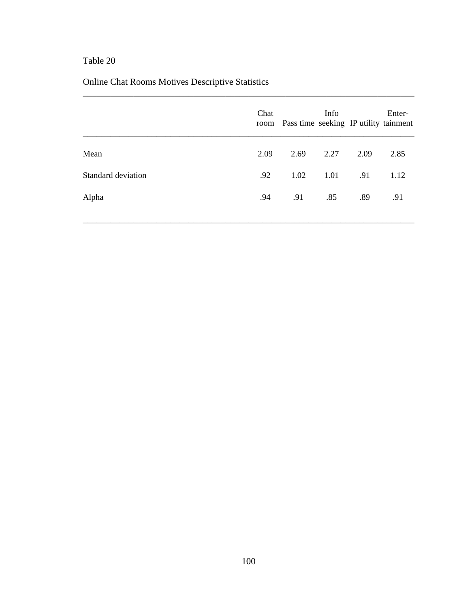# Online Chat Rooms Motives Descriptive Statistics

|                    | Chat | room Pass time seeking IP utility tainment | Info |      | Enter- |
|--------------------|------|--------------------------------------------|------|------|--------|
| Mean               | 2.09 | 2.69                                       | 2.27 | 2.09 | 2.85   |
| Standard deviation | .92  | 1.02                                       | 1.01 | .91  | 1.12   |
| Alpha              | .94  | .91                                        | .85  | .89  | .91    |
|                    |      |                                            |      |      |        |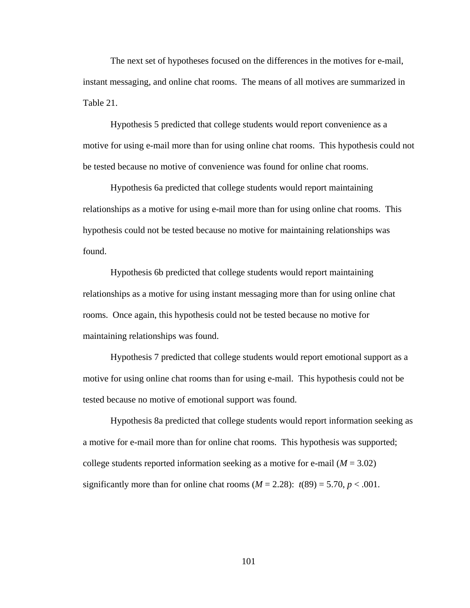The next set of hypotheses focused on the differences in the motives for e-mail, instant messaging, and online chat rooms. The means of all motives are summarized in Table 21.

 Hypothesis 5 predicted that college students would report convenience as a motive for using e-mail more than for using online chat rooms. This hypothesis could not be tested because no motive of convenience was found for online chat rooms.

 Hypothesis 6a predicted that college students would report maintaining relationships as a motive for using e-mail more than for using online chat rooms. This hypothesis could not be tested because no motive for maintaining relationships was found.

 Hypothesis 6b predicted that college students would report maintaining relationships as a motive for using instant messaging more than for using online chat rooms. Once again, this hypothesis could not be tested because no motive for maintaining relationships was found.

 Hypothesis 7 predicted that college students would report emotional support as a motive for using online chat rooms than for using e-mail. This hypothesis could not be tested because no motive of emotional support was found.

 Hypothesis 8a predicted that college students would report information seeking as a motive for e-mail more than for online chat rooms. This hypothesis was supported; college students reported information seeking as a motive for e-mail  $(M = 3.02)$ significantly more than for online chat rooms  $(M = 2.28)$ :  $t(89) = 5.70$ ,  $p < .001$ .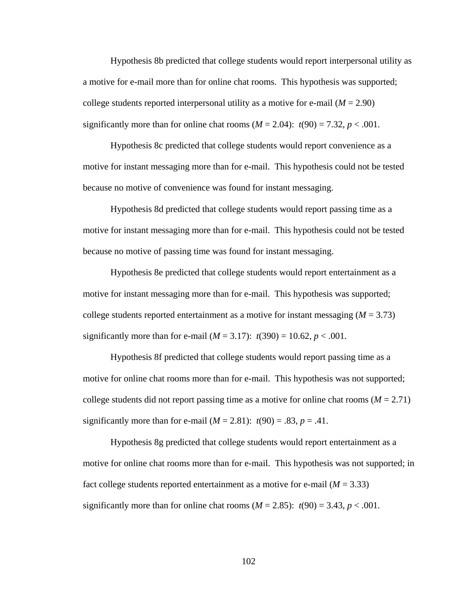Hypothesis 8b predicted that college students would report interpersonal utility as a motive for e-mail more than for online chat rooms. This hypothesis was supported; college students reported interpersonal utility as a motive for e-mail  $(M = 2.90)$ significantly more than for online chat rooms  $(M = 2.04)$ :  $t(90) = 7.32$ ,  $p < .001$ .

 Hypothesis 8c predicted that college students would report convenience as a motive for instant messaging more than for e-mail. This hypothesis could not be tested because no motive of convenience was found for instant messaging.

 Hypothesis 8d predicted that college students would report passing time as a motive for instant messaging more than for e-mail. This hypothesis could not be tested because no motive of passing time was found for instant messaging.

 Hypothesis 8e predicted that college students would report entertainment as a motive for instant messaging more than for e-mail. This hypothesis was supported; college students reported entertainment as a motive for instant messaging  $(M = 3.73)$ significantly more than for e-mail  $(M = 3.17)$ :  $t(390) = 10.62$ ,  $p < .001$ .

 Hypothesis 8f predicted that college students would report passing time as a motive for online chat rooms more than for e-mail. This hypothesis was not supported; college students did not report passing time as a motive for online chat rooms  $(M = 2.71)$ significantly more than for e-mail  $(M = 2.81)$ :  $t(90) = .83$ ,  $p = .41$ .

 Hypothesis 8g predicted that college students would report entertainment as a motive for online chat rooms more than for e-mail. This hypothesis was not supported; in fact college students reported entertainment as a motive for e-mail  $(M = 3.33)$ significantly more than for online chat rooms  $(M = 2.85)$ :  $t(90) = 3.43$ ,  $p < .001$ .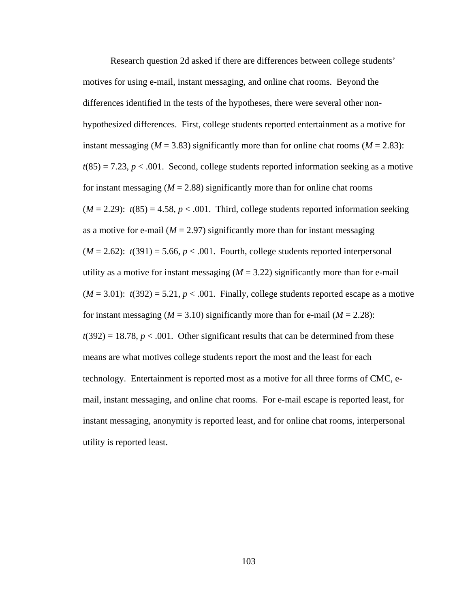Research question 2d asked if there are differences between college students' motives for using e-mail, instant messaging, and online chat rooms. Beyond the differences identified in the tests of the hypotheses, there were several other nonhypothesized differences. First, college students reported entertainment as a motive for instant messaging ( $M = 3.83$ ) significantly more than for online chat rooms ( $M = 2.83$ ):  $t(85) = 7.23, p < .001$ . Second, college students reported information seeking as a motive for instant messaging  $(M = 2.88)$  significantly more than for online chat rooms  $(M = 2.29)$ :  $t(85) = 4.58$ ,  $p < .001$ . Third, college students reported information seeking as a motive for e-mail  $(M = 2.97)$  significantly more than for instant messaging  $(M = 2.62)$ :  $t(391) = 5.66$ ,  $p < .001$ . Fourth, college students reported interpersonal utility as a motive for instant messaging  $(M = 3.22)$  significantly more than for e-mail  $(M = 3.01)$ :  $t(392) = 5.21$ ,  $p < .001$ . Finally, college students reported escape as a motive for instant messaging ( $M = 3.10$ ) significantly more than for e-mail ( $M = 2.28$ ):  $t(392) = 18.78$ ,  $p < .001$ . Other significant results that can be determined from these means are what motives college students report the most and the least for each technology. Entertainment is reported most as a motive for all three forms of CMC, email, instant messaging, and online chat rooms. For e-mail escape is reported least, for instant messaging, anonymity is reported least, and for online chat rooms, interpersonal utility is reported least.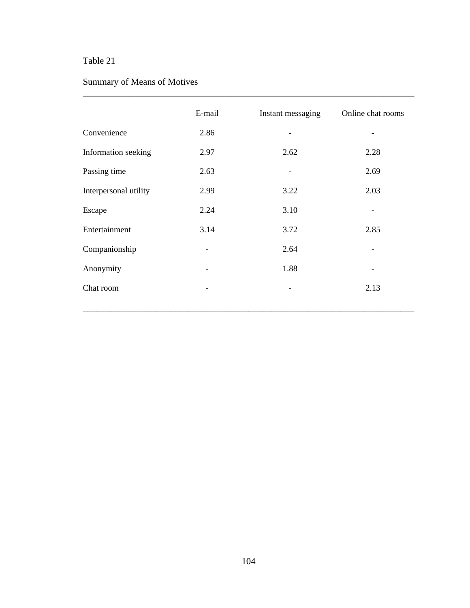# Summary of Means of Motives

|                       | E-mail | Instant messaging | Online chat rooms |
|-----------------------|--------|-------------------|-------------------|
| Convenience           | 2.86   |                   |                   |
| Information seeking   | 2.97   | 2.62              | 2.28              |
| Passing time          | 2.63   |                   | 2.69              |
| Interpersonal utility | 2.99   | 3.22              | 2.03              |
| Escape                | 2.24   | 3.10              |                   |
| Entertainment         | 3.14   | 3.72              | 2.85              |
| Companionship         | -      | 2.64              |                   |
| Anonymity             | -      | 1.88              |                   |
| Chat room             |        |                   | 2.13              |
|                       |        |                   |                   |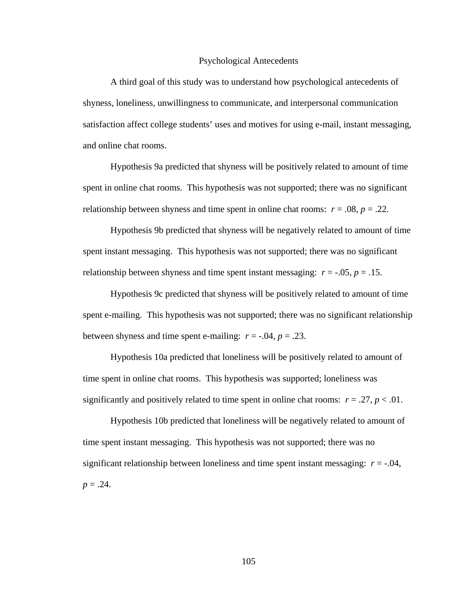#### Psychological Antecedents

 A third goal of this study was to understand how psychological antecedents of shyness, loneliness, unwillingness to communicate, and interpersonal communication satisfaction affect college students' uses and motives for using e-mail, instant messaging, and online chat rooms.

 Hypothesis 9a predicted that shyness will be positively related to amount of time spent in online chat rooms. This hypothesis was not supported; there was no significant relationship between shyness and time spent in online chat rooms:  $r = .08$ ,  $p = .22$ .

 Hypothesis 9b predicted that shyness will be negatively related to amount of time spent instant messaging. This hypothesis was not supported; there was no significant relationship between shyness and time spent instant messaging:  $r = -0.05$ ,  $p = 0.15$ .

 Hypothesis 9c predicted that shyness will be positively related to amount of time spent e-mailing. This hypothesis was not supported; there was no significant relationship between shyness and time spent e-mailing:  $r = -.04$ ,  $p = .23$ .

 Hypothesis 10a predicted that loneliness will be positively related to amount of time spent in online chat rooms. This hypothesis was supported; loneliness was significantly and positively related to time spent in online chat rooms:  $r = .27$ ,  $p < .01$ .

 Hypothesis 10b predicted that loneliness will be negatively related to amount of time spent instant messaging. This hypothesis was not supported; there was no significant relationship between loneliness and time spent instant messaging:  $r = -0.04$ ,  $p = .24$ .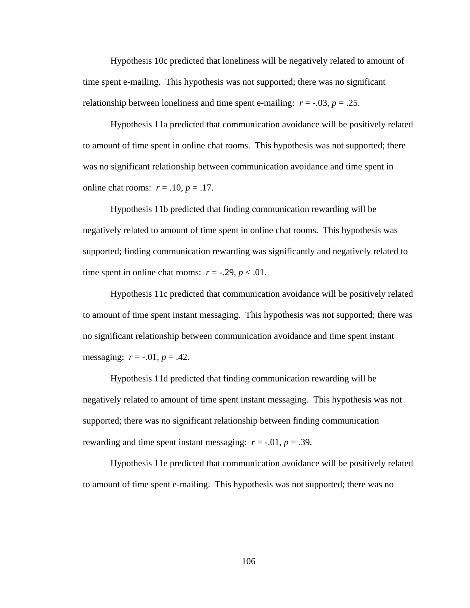Hypothesis 10c predicted that loneliness will be negatively related to amount of time spent e-mailing. This hypothesis was not supported; there was no significant relationship between loneliness and time spent e-mailing:  $r = -0.03$ ,  $p = 0.25$ .

 Hypothesis 11a predicted that communication avoidance will be positively related to amount of time spent in online chat rooms. This hypothesis was not supported; there was no significant relationship between communication avoidance and time spent in online chat rooms:  $r = .10$ ,  $p = .17$ .

 Hypothesis 11b predicted that finding communication rewarding will be negatively related to amount of time spent in online chat rooms. This hypothesis was supported; finding communication rewarding was significantly and negatively related to time spent in online chat rooms:  $r = -.29$ ,  $p < .01$ .

 Hypothesis 11c predicted that communication avoidance will be positively related to amount of time spent instant messaging. This hypothesis was not supported; there was no significant relationship between communication avoidance and time spent instant messaging:  $r = -.01$ ,  $p = .42$ .

Hypothesis 11d predicted that finding communication rewarding will be negatively related to amount of time spent instant messaging. This hypothesis was not supported; there was no significant relationship between finding communication rewarding and time spent instant messaging:  $r = -0.01$ ,  $p = 0.39$ .

 Hypothesis 11e predicted that communication avoidance will be positively related to amount of time spent e-mailing. This hypothesis was not supported; there was no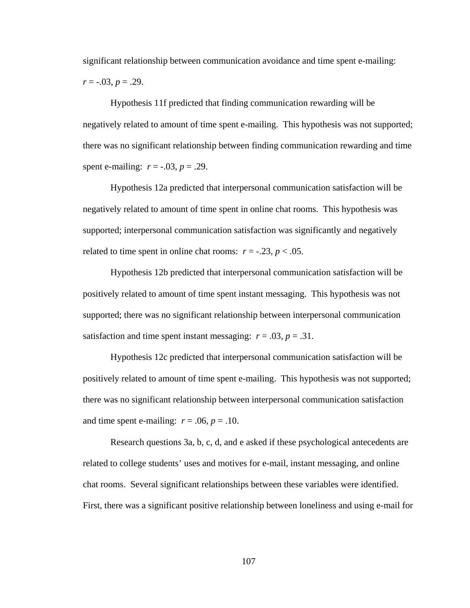significant relationship between communication avoidance and time spent e-mailing: *r* = -.03, *p* = .29.

 Hypothesis 11f predicted that finding communication rewarding will be negatively related to amount of time spent e-mailing. This hypothesis was not supported; there was no significant relationship between finding communication rewarding and time spent e-mailing:  $r = -.03$ ,  $p = .29$ .

 Hypothesis 12a predicted that interpersonal communication satisfaction will be negatively related to amount of time spent in online chat rooms. This hypothesis was supported; interpersonal communication satisfaction was significantly and negatively related to time spent in online chat rooms:  $r = -.23$ ,  $p < .05$ .

 Hypothesis 12b predicted that interpersonal communication satisfaction will be positively related to amount of time spent instant messaging. This hypothesis was not supported; there was no significant relationship between interpersonal communication satisfaction and time spent instant messaging:  $r = .03$ ,  $p = .31$ .

 Hypothesis 12c predicted that interpersonal communication satisfaction will be positively related to amount of time spent e-mailing. This hypothesis was not supported; there was no significant relationship between interpersonal communication satisfaction and time spent e-mailing:  $r = .06$ ,  $p = .10$ .

 Research questions 3a, b, c, d, and e asked if these psychological antecedents are related to college students' uses and motives for e-mail, instant messaging, and online chat rooms. Several significant relationships between these variables were identified. First, there was a significant positive relationship between loneliness and using e-mail for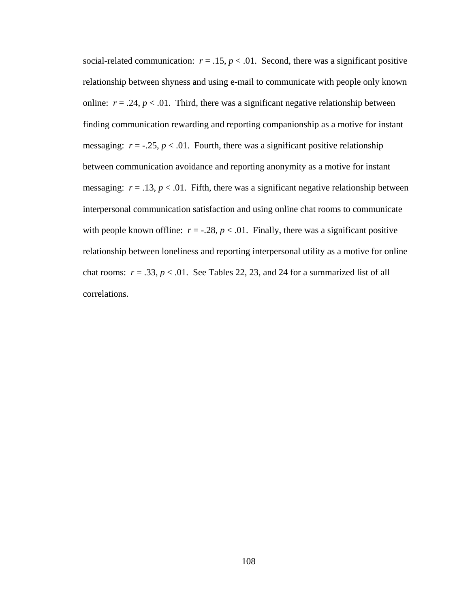social-related communication:  $r = .15$ ,  $p < .01$ . Second, there was a significant positive relationship between shyness and using e-mail to communicate with people only known online:  $r = .24$ ,  $p < .01$ . Third, there was a significant negative relationship between finding communication rewarding and reporting companionship as a motive for instant messaging:  $r = -0.25$ ,  $p < 0.01$ . Fourth, there was a significant positive relationship between communication avoidance and reporting anonymity as a motive for instant messaging:  $r = .13$ ,  $p < .01$ . Fifth, there was a significant negative relationship between interpersonal communication satisfaction and using online chat rooms to communicate with people known offline:  $r = -0.28$ ,  $p < 0.01$ . Finally, there was a significant positive relationship between loneliness and reporting interpersonal utility as a motive for online chat rooms:  $r = .33$ ,  $p < .01$ . See Tables 22, 23, and 24 for a summarized list of all correlations.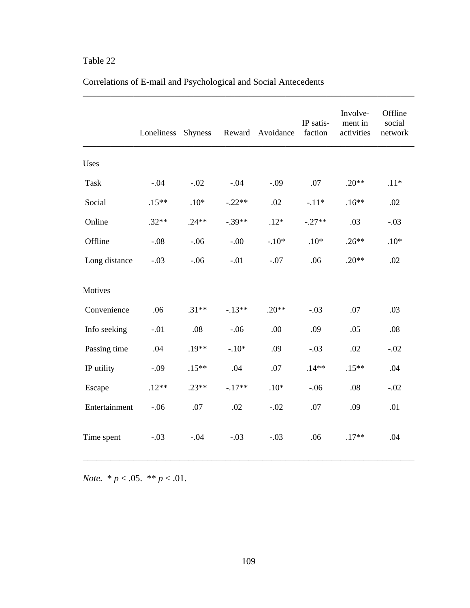|               | Loneliness | <b>Shyness</b> |          | Reward Avoidance | IP satis-<br>faction | Involve-<br>ment in<br>activities | Offline<br>social<br>network |
|---------------|------------|----------------|----------|------------------|----------------------|-----------------------------------|------------------------------|
| Uses          |            |                |          |                  |                      |                                   |                              |
| Task          | $-.04$     | $-.02$         | $-.04$   | $-.09$           | .07                  | $.20**$                           | $.11*$                       |
| Social        | $.15**$    | $.10*$         | $-.22**$ | .02              | $-.11*$              | $.16**$                           | .02                          |
| Online        | $.32**$    | $.24**$        | $-.39**$ | $.12*$           | $-.27**$             | .03                               | $-.03$                       |
| Offline       | $-.08$     | $-.06$         | $-0.00$  | $-.10*$          | $.10*$               | $.26**$                           | $.10*$                       |
| Long distance | $-.03$     | $-.06$         | $-.01$   | $-.07$           | .06                  | $.20**$                           | .02                          |
| Motives       |            |                |          |                  |                      |                                   |                              |
| Convenience   | .06        | $.31**$        | $-13**$  | $.20**$          | $-.03$               | .07                               | .03                          |
| Info seeking  | $-.01$     | .08            | $-.06$   | .00              | .09                  | .05                               | .08                          |
| Passing time  | .04        | $.19**$        | $-.10*$  | .09              | $-.03$               | .02                               | $-.02$                       |
| IP utility    | $-.09$     | $.15**$        | .04      | .07              | $.14**$              | $.15**$                           | .04                          |
| Escape        | $.12**$    | $.23**$        | $-.17**$ | $.10*$           | $-.06$               | .08                               | $-.02$                       |
| Entertainment | $-.06$     | .07            | .02      | $-.02$           | .07                  | .09                               | .01                          |
| Time spent    | $-.03$     | $-.04$         | $-.03$   | $-.03$           | .06                  | $.17**$                           | .04                          |

\_\_\_\_\_\_\_\_\_\_\_\_\_\_\_\_\_\_\_\_\_\_\_\_\_\_\_\_\_\_\_\_\_\_\_\_\_\_\_\_\_\_\_\_\_\_\_\_\_\_\_\_\_\_\_\_\_\_\_\_\_\_\_\_\_\_\_\_\_\_\_\_

# Correlations of E-mail and Psychological and Social Antecedents

*Note.* \* *p* < .05. \*\* *p* < .01.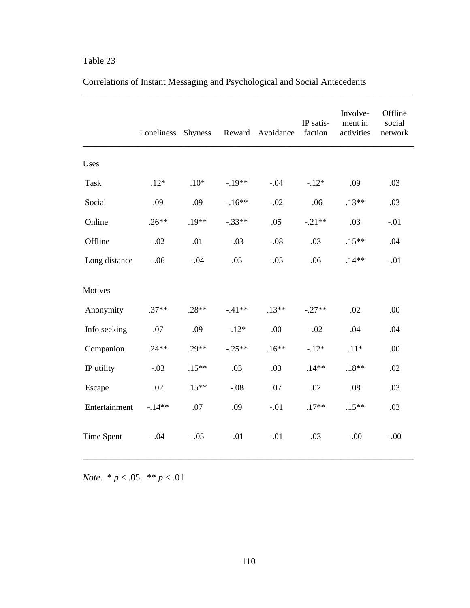|               | Loneliness | <b>Shyness</b> |          | Reward Avoidance | IP satis-<br>faction | Involve-<br>ment in<br>activities | Offline<br>social<br>network |
|---------------|------------|----------------|----------|------------------|----------------------|-----------------------------------|------------------------------|
| Uses          |            |                |          |                  |                      |                                   |                              |
| Task          | $.12*$     | $.10*$         | $-.19**$ | $-.04$           | $-.12*$              | .09                               | .03                          |
| Social        | .09        | .09            | $-16**$  | $-.02$           | $-.06$               | $.13**$                           | .03                          |
| Online        | $.26**$    | $.19**$        | $-.33**$ | .05              | $-.21**$             | .03                               | $-.01$                       |
| Offline       | $-.02$     | .01            | $-.03$   | $-.08$           | .03                  | $.15**$                           | .04                          |
| Long distance | $-.06$     | $-.04$         | .05      | $-.05$           | .06                  | $.14**$                           | $-.01$                       |
| Motives       |            |                |          |                  |                      |                                   |                              |
| Anonymity     | $.37**$    | $.28**$        | $-41**$  | $.13**$          | $-.27**$             | .02                               | .00                          |
| Info seeking  | .07        | .09            | $-.12*$  | .00              | $-.02$               | .04                               | .04                          |
| Companion     | $.24**$    | $.29**$        | $-.25**$ | $.16**$          | $-.12*$              | $.11*$                            | .00                          |
| IP utility    | $-.03$     | $.15**$        | .03      | .03              | $.14**$              | $.18**$                           | .02                          |
| Escape        | .02        | $.15**$        | $-.08$   | .07              | .02                  | .08                               | .03                          |
| Entertainment | $-.14**$   | .07            | .09      | $-.01$           | $.17**$              | $.15**$                           | .03                          |
| Time Spent    | $-.04$     | $-.05$         | $-.01$   | $-.01$           | .03                  | $-.00.$                           | $-.00$                       |

# Correlations of Instant Messaging and Psychological and Social Antecedents

\_\_\_\_\_\_\_\_\_\_\_\_\_\_\_\_\_\_\_\_\_\_\_\_\_\_\_\_\_\_\_\_\_\_\_\_\_\_\_\_\_\_\_\_\_\_\_\_\_\_\_\_\_\_\_\_\_\_\_\_\_\_\_\_\_\_\_\_\_\_\_\_

*Note.* \* *p* < .05. \*\* *p* < .01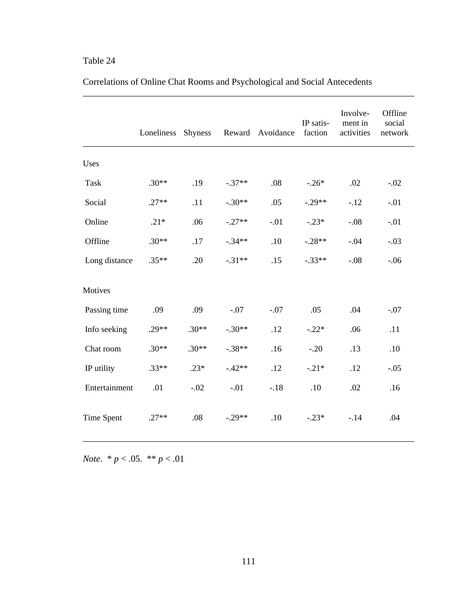|                   | Loneliness | <b>Shyness</b> |          | Reward Avoidance | IP satis-<br>faction | Involve-<br>ment in<br>activities | Offline<br>social<br>network |
|-------------------|------------|----------------|----------|------------------|----------------------|-----------------------------------|------------------------------|
| Uses              |            |                |          |                  |                      |                                   |                              |
| Task              | $.30**$    | .19            | $-.37**$ | .08              | $-.26*$              | .02                               | $-.02$                       |
| Social            | $.27**$    | .11            | $-.30**$ | .05              | $-.29**$             | $-.12$                            | $-.01$                       |
| Online            | $.21*$     | .06            | $-.27**$ | $-.01$           | $-.23*$              | $-.08$                            | $-.01$                       |
| Offline           | $.30**$    | $.17$          | $-.34**$ | .10              | $-.28**$             | $-.04$                            | $-.03$                       |
| Long distance     | $.35**$    | .20            | $-.31**$ | .15              | $-.33**$             | $-.08$                            | $-.06$                       |
| Motives           |            |                |          |                  |                      |                                   |                              |
| Passing time      | .09        | .09            | $-.07$   | $-.07$           | .05                  | .04                               | $-.07$                       |
| Info seeking      | $.29**$    | $.30**$        | $-.30**$ | .12              | $-.22*$              | .06                               | .11                          |
| Chat room         | $.30**$    | $.30**$        | $-.38**$ | .16              | $-.20$               | .13                               | .10                          |
| IP utility        | $.33**$    | $.23*$         | $-42**$  | .12              | $-.21*$              | .12                               | $-.05$                       |
| Entertainment     | .01        | $-.02$         | $-.01$   | $-.18$           | .10                  | .02                               | .16                          |
| <b>Time Spent</b> | $.27**$    | .08            | $-.29**$ | .10              | $-.23*$              | $-.14$                            | .04                          |

# Correlations of Online Chat Rooms and Psychological and Social Antecedents

\_\_\_\_\_\_\_\_\_\_\_\_\_\_\_\_\_\_\_\_\_\_\_\_\_\_\_\_\_\_\_\_\_\_\_\_\_\_\_\_\_\_\_\_\_\_\_\_\_\_\_\_\_\_\_\_\_\_\_\_\_\_\_\_\_\_\_\_\_\_\_\_

*Note.* \* *p* < .05. \*\* *p* < .01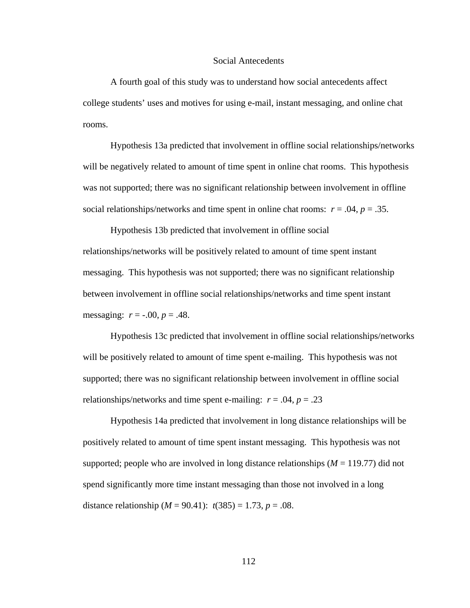#### Social Antecedents

 A fourth goal of this study was to understand how social antecedents affect college students' uses and motives for using e-mail, instant messaging, and online chat rooms.

 Hypothesis 13a predicted that involvement in offline social relationships/networks will be negatively related to amount of time spent in online chat rooms. This hypothesis was not supported; there was no significant relationship between involvement in offline social relationships/networks and time spent in online chat rooms:  $r = .04$ ,  $p = .35$ .

 Hypothesis 13b predicted that involvement in offline social relationships/networks will be positively related to amount of time spent instant messaging. This hypothesis was not supported; there was no significant relationship between involvement in offline social relationships/networks and time spent instant messaging:  $r = -.00, p = .48$ .

 Hypothesis 13c predicted that involvement in offline social relationships/networks will be positively related to amount of time spent e-mailing. This hypothesis was not supported; there was no significant relationship between involvement in offline social relationships/networks and time spent e-mailing:  $r = .04$ ,  $p = .23$ 

 Hypothesis 14a predicted that involvement in long distance relationships will be positively related to amount of time spent instant messaging. This hypothesis was not supported; people who are involved in long distance relationships  $(M = 119.77)$  did not spend significantly more time instant messaging than those not involved in a long distance relationship  $(M = 90.41)$ :  $t(385) = 1.73$ ,  $p = .08$ .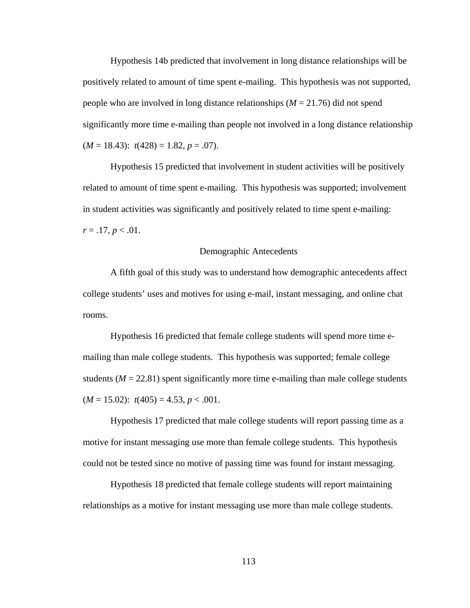Hypothesis 14b predicted that involvement in long distance relationships will be positively related to amount of time spent e-mailing. This hypothesis was not supported, people who are involved in long distance relationships (*M* = 21.76) did not spend significantly more time e-mailing than people not involved in a long distance relationship  $(M = 18.43)$ :  $t(428) = 1.82, p = .07$ ).

 Hypothesis 15 predicted that involvement in student activities will be positively related to amount of time spent e-mailing. This hypothesis was supported; involvement in student activities was significantly and positively related to time spent e-mailing:  $r = .17, p < .01$ .

#### Demographic Antecedents

 A fifth goal of this study was to understand how demographic antecedents affect college students' uses and motives for using e-mail, instant messaging, and online chat rooms.

 Hypothesis 16 predicted that female college students will spend more time emailing than male college students. This hypothesis was supported; female college students  $(M = 22.81)$  spent significantly more time e-mailing than male college students  $(M = 15.02)$ :  $t(405) = 4.53, p < .001$ .

 Hypothesis 17 predicted that male college students will report passing time as a motive for instant messaging use more than female college students. This hypothesis could not be tested since no motive of passing time was found for instant messaging.

 Hypothesis 18 predicted that female college students will report maintaining relationships as a motive for instant messaging use more than male college students.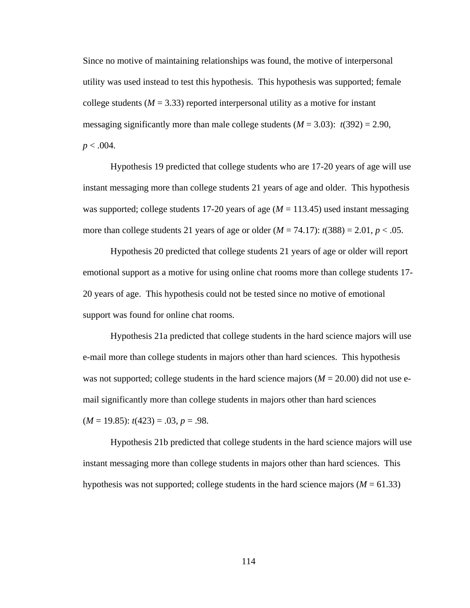Since no motive of maintaining relationships was found, the motive of interpersonal utility was used instead to test this hypothesis. This hypothesis was supported; female college students ( $M = 3.33$ ) reported interpersonal utility as a motive for instant messaging significantly more than male college students  $(M = 3.03)$ :  $t(392) = 2.90$ ,  $p < .004$ .

 Hypothesis 19 predicted that college students who are 17-20 years of age will use instant messaging more than college students 21 years of age and older. This hypothesis was supported; college students 17-20 years of age  $(M = 113.45)$  used instant messaging more than college students 21 years of age or older  $(M = 74.17)$ :  $t(388) = 2.01$ ,  $p < .05$ .

 Hypothesis 20 predicted that college students 21 years of age or older will report emotional support as a motive for using online chat rooms more than college students 17- 20 years of age. This hypothesis could not be tested since no motive of emotional support was found for online chat rooms.

 Hypothesis 21a predicted that college students in the hard science majors will use e-mail more than college students in majors other than hard sciences. This hypothesis was not supported; college students in the hard science majors  $(M = 20.00)$  did not use email significantly more than college students in majors other than hard sciences (*M* = 19.85): *t*(423) = .03, *p* = .98.

 Hypothesis 21b predicted that college students in the hard science majors will use instant messaging more than college students in majors other than hard sciences. This hypothesis was not supported; college students in the hard science majors ( $M = 61.33$ )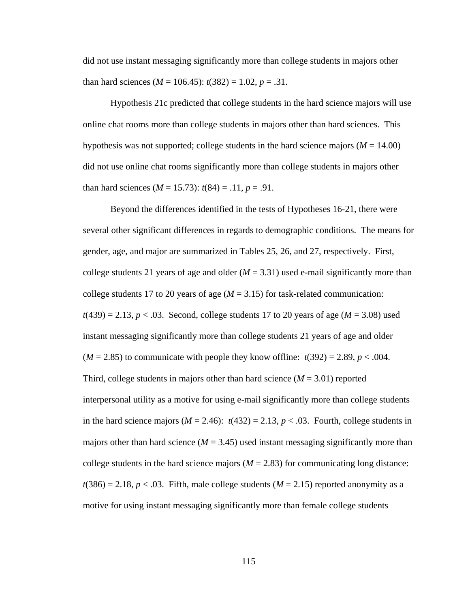did not use instant messaging significantly more than college students in majors other than hard sciences ( $M = 106.45$ ):  $t(382) = 1.02$ ,  $p = .31$ .

 Hypothesis 21c predicted that college students in the hard science majors will use online chat rooms more than college students in majors other than hard sciences. This hypothesis was not supported; college students in the hard science majors ( $M = 14.00$ ) did not use online chat rooms significantly more than college students in majors other than hard sciences  $(M = 15.73)$ :  $t(84) = .11$ ,  $p = .91$ .

 Beyond the differences identified in the tests of Hypotheses 16-21, there were several other significant differences in regards to demographic conditions. The means for gender, age, and major are summarized in Tables 25, 26, and 27, respectively. First, college students 21 years of age and older  $(M = 3.31)$  used e-mail significantly more than college students 17 to 20 years of age  $(M = 3.15)$  for task-related communication:  $t(439) = 2.13, p < .03$ . Second, college students 17 to 20 years of age ( $M = 3.08$ ) used instant messaging significantly more than college students 21 years of age and older  $(M = 2.85)$  to communicate with people they know offline:  $t(392) = 2.89$ ,  $p < .004$ . Third, college students in majors other than hard science  $(M = 3.01)$  reported interpersonal utility as a motive for using e-mail significantly more than college students in the hard science majors  $(M = 2.46)$ :  $t(432) = 2.13$ ,  $p < .03$ . Fourth, college students in majors other than hard science  $(M = 3.45)$  used instant messaging significantly more than college students in the hard science majors  $(M = 2.83)$  for communicating long distance:  $t(386) = 2.18$ ,  $p < .03$ . Fifth, male college students ( $M = 2.15$ ) reported anonymity as a motive for using instant messaging significantly more than female college students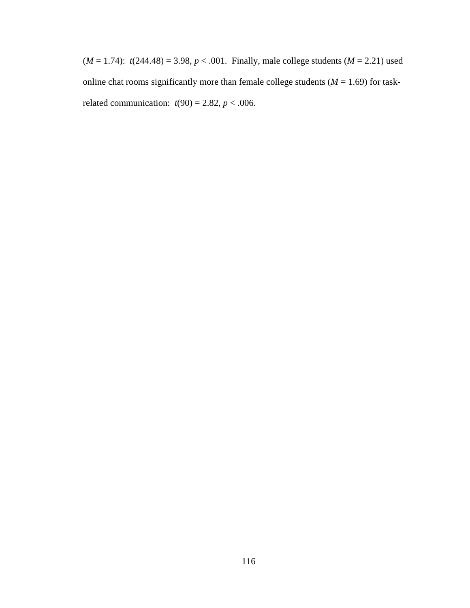$(M = 1.74)$ :  $t(244.48) = 3.98, p < .001$ . Finally, male college students  $(M = 2.21)$  used online chat rooms significantly more than female college students  $(M = 1.69)$  for taskrelated communication:  $t(90) = 2.82$ ,  $p < .006$ .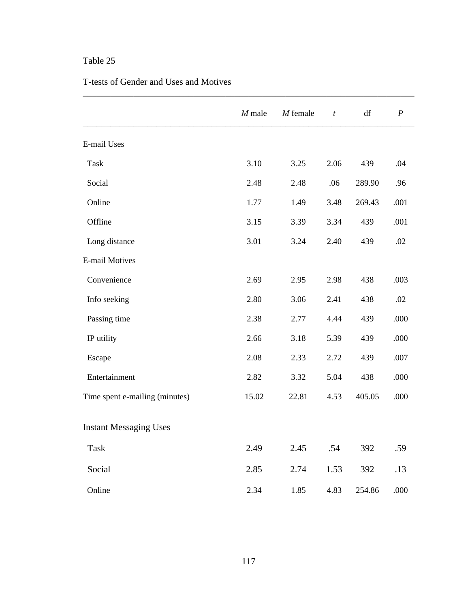#### T-tests of Gender and Uses and Motives

|                                | $M$ male | $M$ female | $\boldsymbol{t}$ | df     | $\boldsymbol{P}$ |
|--------------------------------|----------|------------|------------------|--------|------------------|
| E-mail Uses                    |          |            |                  |        |                  |
| <b>Task</b>                    | 3.10     | 3.25       | 2.06             | 439    | .04              |
| Social                         | 2.48     | 2.48       | .06              | 289.90 | .96              |
| Online                         | 1.77     | 1.49       | 3.48             | 269.43 | .001             |
| Offline                        | 3.15     | 3.39       | 3.34             | 439    | .001             |
| Long distance                  | 3.01     | 3.24       | 2.40             | 439    | .02              |
| <b>E-mail Motives</b>          |          |            |                  |        |                  |
| Convenience                    | 2.69     | 2.95       | 2.98             | 438    | .003             |
| Info seeking                   | 2.80     | 3.06       | 2.41             | 438    | .02              |
| Passing time                   | 2.38     | 2.77       | 4.44             | 439    | .000             |
| IP utility                     | 2.66     | 3.18       | 5.39             | 439    | .000             |
| Escape                         | 2.08     | 2.33       | 2.72             | 439    | .007             |
| Entertainment                  | 2.82     | 3.32       | 5.04             | 438    | .000             |
| Time spent e-mailing (minutes) | 15.02    | 22.81      | 4.53             | 405.05 | .000             |
| <b>Instant Messaging Uses</b>  |          |            |                  |        |                  |
| Task                           | 2.49     | 2.45       | .54              | 392    | .59              |
| Social                         | 2.85     | 2.74       | 1.53             | 392    | .13              |
| Online                         | 2.34     | 1.85       | 4.83             | 254.86 | .000             |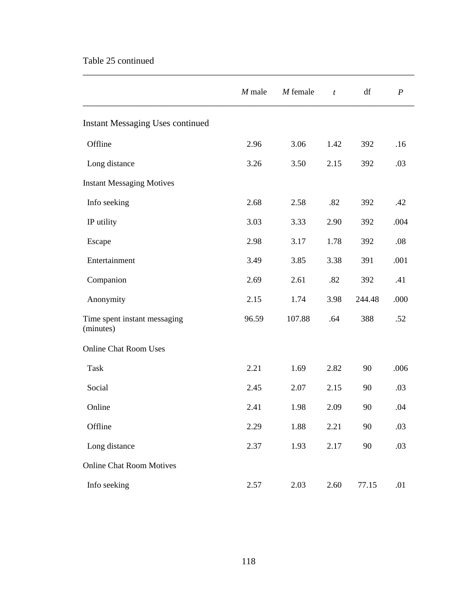### Table 25 continued

|                                           | $M$ male | $M$ female | $\boldsymbol{t}$ | df     | $\boldsymbol{P}$ |
|-------------------------------------------|----------|------------|------------------|--------|------------------|
| <b>Instant Messaging Uses continued</b>   |          |            |                  |        |                  |
| Offline                                   | 2.96     | 3.06       | 1.42             | 392    | .16              |
| Long distance                             | 3.26     | 3.50       | 2.15             | 392    | .03              |
| <b>Instant Messaging Motives</b>          |          |            |                  |        |                  |
| Info seeking                              | 2.68     | 2.58       | .82              | 392    | .42              |
| IP utility                                | 3.03     | 3.33       | 2.90             | 392    | .004             |
| Escape                                    | 2.98     | 3.17       | 1.78             | 392    | .08              |
| Entertainment                             | 3.49     | 3.85       | 3.38             | 391    | .001             |
| Companion                                 | 2.69     | 2.61       | .82              | 392    | .41              |
| Anonymity                                 | 2.15     | 1.74       | 3.98             | 244.48 | .000             |
| Time spent instant messaging<br>(minutes) | 96.59    | 107.88     | .64              | 388    | .52              |
| <b>Online Chat Room Uses</b>              |          |            |                  |        |                  |
| Task                                      | 2.21     | 1.69       | 2.82             | 90     | .006             |
| Social                                    | 2.45     | 2.07       | 2.15             | 90     | .03              |
| Online                                    | 2.41     | 1.98       | 2.09             | 90     | .04              |
| Offline                                   | 2.29     | 1.88       | 2.21             | $90\,$ | .03              |
| Long distance                             | 2.37     | 1.93       | 2.17             | 90     | .03              |
| <b>Online Chat Room Motives</b>           |          |            |                  |        |                  |
| Info seeking                              | 2.57     | 2.03       | 2.60             | 77.15  | .01              |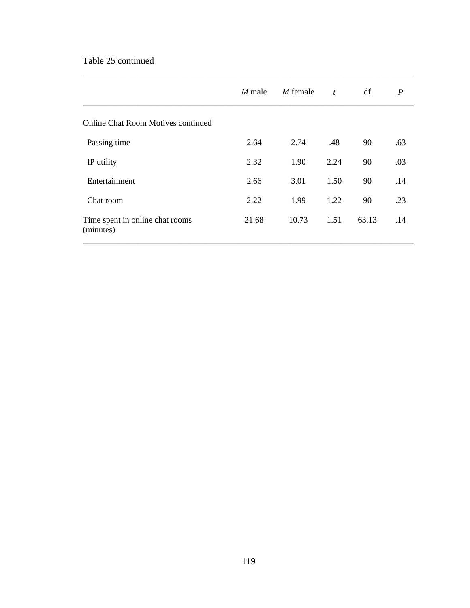### Table 25 continued

|                                              | $M$ male | M female | $\boldsymbol{t}$ | df    | $\boldsymbol{P}$ |
|----------------------------------------------|----------|----------|------------------|-------|------------------|
| <b>Online Chat Room Motives continued</b>    |          |          |                  |       |                  |
| Passing time                                 | 2.64     | 2.74     | .48              | 90    | .63              |
| IP utility                                   | 2.32     | 1.90     | 2.24             | 90    | .03              |
| Entertainment                                | 2.66     | 3.01     | 1.50             | 90    | .14              |
| Chat room                                    | 2.22     | 1.99     | 1.22             | 90    | .23              |
| Time spent in online chat rooms<br>(minutes) | 21.68    | 10.73    | 1.51             | 63.13 | .14              |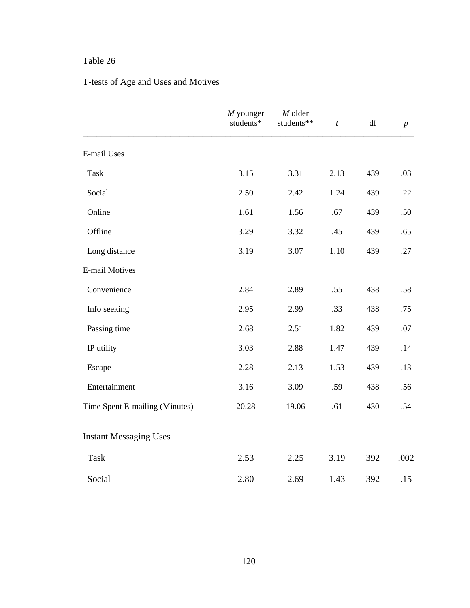# T-tests of Age and Uses and Motives

|                                | $M$ younger<br>students* | $M$ older<br>students** | $\boldsymbol{t}$ | $\mathrm{d}\mathrm{f}$ | $\boldsymbol{p}$ |
|--------------------------------|--------------------------|-------------------------|------------------|------------------------|------------------|
| E-mail Uses                    |                          |                         |                  |                        |                  |
| Task                           | 3.15                     | 3.31                    | 2.13             | 439                    | .03              |
| Social                         | 2.50                     | 2.42                    | 1.24             | 439                    | .22              |
| Online                         | 1.61                     | 1.56                    | .67              | 439                    | .50              |
| Offline                        | 3.29                     | 3.32                    | .45              | 439                    | .65              |
| Long distance                  | 3.19                     | 3.07                    | 1.10             | 439                    | .27              |
| <b>E-mail Motives</b>          |                          |                         |                  |                        |                  |
| Convenience                    | 2.84                     | 2.89                    | .55              | 438                    | .58              |
| Info seeking                   | 2.95                     | 2.99                    | .33              | 438                    | .75              |
| Passing time                   | 2.68                     | 2.51                    | 1.82             | 439                    | .07              |
| IP utility                     | 3.03                     | 2.88                    | 1.47             | 439                    | .14              |
| Escape                         | 2.28                     | 2.13                    | 1.53             | 439                    | .13              |
| Entertainment                  | 3.16                     | 3.09                    | .59              | 438                    | .56              |
| Time Spent E-mailing (Minutes) | 20.28                    | 19.06                   | .61              | 430                    | .54              |
| <b>Instant Messaging Uses</b>  |                          |                         |                  |                        |                  |
| Task                           | 2.53                     | 2.25                    | 3.19             | 392                    | .002             |
| Social                         | 2.80                     | 2.69                    | 1.43             | 392                    | .15              |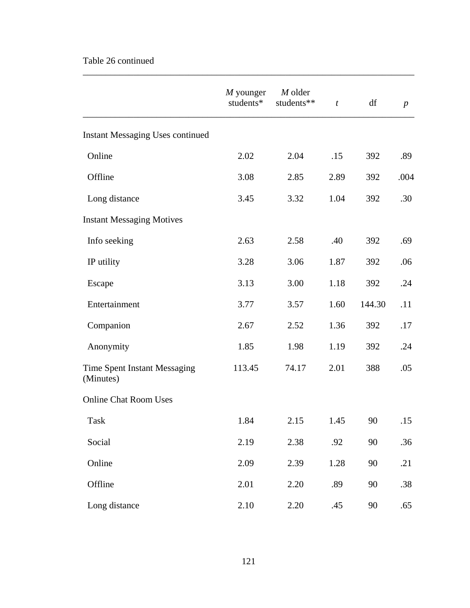### Table 26 continued

|                                           | $M$ younger<br>students* | M older<br>students** | $\boldsymbol{t}$ | df     | $\boldsymbol{p}$ |
|-------------------------------------------|--------------------------|-----------------------|------------------|--------|------------------|
| <b>Instant Messaging Uses continued</b>   |                          |                       |                  |        |                  |
| Online                                    | 2.02                     | 2.04                  | .15              | 392    | .89              |
| Offline                                   | 3.08                     | 2.85                  | 2.89             | 392    | .004             |
| Long distance                             | 3.45                     | 3.32                  | 1.04             | 392    | .30              |
| <b>Instant Messaging Motives</b>          |                          |                       |                  |        |                  |
| Info seeking                              | 2.63                     | 2.58                  | .40              | 392    | .69              |
| IP utility                                | 3.28                     | 3.06                  | 1.87             | 392    | .06              |
| Escape                                    | 3.13                     | 3.00                  | 1.18             | 392    | .24              |
| Entertainment                             | 3.77                     | 3.57                  | 1.60             | 144.30 | .11              |
| Companion                                 | 2.67                     | 2.52                  | 1.36             | 392    | .17              |
| Anonymity                                 | 1.85                     | 1.98                  | 1.19             | 392    | .24              |
| Time Spent Instant Messaging<br>(Minutes) | 113.45                   | 74.17                 | 2.01             | 388    | .05              |
| <b>Online Chat Room Uses</b>              |                          |                       |                  |        |                  |
| Task                                      | 1.84                     | 2.15                  | 1.45             | 90     | .15              |
| Social                                    | 2.19                     | 2.38                  | .92              | 90     | .36              |
| Online                                    | 2.09                     | 2.39                  | 1.28             | 90     | .21              |
| Offline                                   | 2.01                     | 2.20                  | .89              | 90     | .38              |
| Long distance                             | 2.10                     | 2.20                  | .45              | 90     | .65              |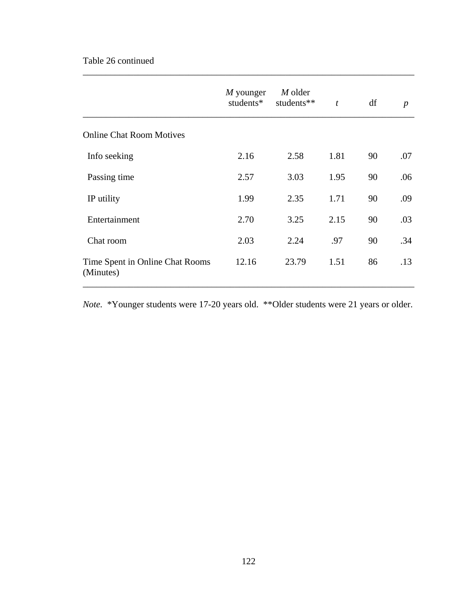### Table 26 continued

|                                              | $M$ younger<br>students* | M older<br>students** | $\boldsymbol{t}$ | df | $\boldsymbol{p}$ |
|----------------------------------------------|--------------------------|-----------------------|------------------|----|------------------|
| <b>Online Chat Room Motives</b>              |                          |                       |                  |    |                  |
| Info seeking                                 | 2.16                     | 2.58                  | 1.81             | 90 | .07              |
| Passing time                                 | 2.57                     | 3.03                  | 1.95             | 90 | .06              |
| IP utility                                   | 1.99                     | 2.35                  | 1.71             | 90 | .09              |
| Entertainment                                | 2.70                     | 3.25                  | 2.15             | 90 | .03              |
| Chat room                                    | 2.03                     | 2.24                  | .97              | 90 | .34              |
| Time Spent in Online Chat Rooms<br>(Minutes) | 12.16                    | 23.79                 | 1.51             | 86 | .13              |

\_\_\_\_\_\_\_\_\_\_\_\_\_\_\_\_\_\_\_\_\_\_\_\_\_\_\_\_\_\_\_\_\_\_\_\_\_\_\_\_\_\_\_\_\_\_\_\_\_\_\_\_\_\_\_\_\_\_\_\_\_\_\_\_\_\_\_\_\_\_\_\_

*Note.* \*Younger students were 17-20 years old. \*\*Older students were 21 years or older.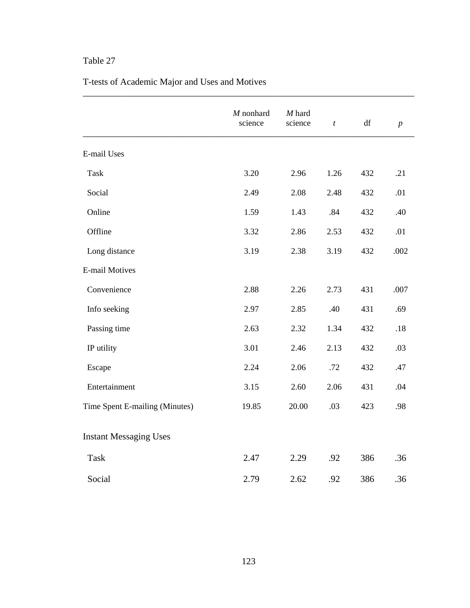|                                | $M$ nonhard<br>science | $M$ hard<br>science | $\boldsymbol{t}$ | $\mathrm{d}\mathrm{f}$ | $\boldsymbol{p}$ |
|--------------------------------|------------------------|---------------------|------------------|------------------------|------------------|
|                                |                        |                     |                  |                        |                  |
| <b>E-mail Uses</b>             |                        |                     |                  |                        |                  |
| Task                           | 3.20                   | 2.96                | 1.26             | 432                    | .21              |
| Social                         | 2.49                   | 2.08                | 2.48             | 432                    | .01              |
| Online                         | 1.59                   | 1.43                | .84              | 432                    | .40              |
| Offline                        | 3.32                   | 2.86                | 2.53             | 432                    | .01              |
| Long distance                  | 3.19                   | 2.38                | 3.19             | 432                    | .002             |
| E-mail Motives                 |                        |                     |                  |                        |                  |
| Convenience                    | 2.88                   | 2.26                | 2.73             | 431                    | .007             |
| Info seeking                   | 2.97                   | 2.85                | .40              | 431                    | .69              |
| Passing time                   | 2.63                   | 2.32                | 1.34             | 432                    | $.18$            |
| IP utility                     | 3.01                   | 2.46                | 2.13             | 432                    | .03              |
| Escape                         | 2.24                   | 2.06                | .72              | 432                    | .47              |
| Entertainment                  | 3.15                   | 2.60                | 2.06             | 431                    | .04              |
| Time Spent E-mailing (Minutes) | 19.85                  | 20.00               | .03              | 423                    | .98              |
| <b>Instant Messaging Uses</b>  |                        |                     |                  |                        |                  |
| <b>Task</b>                    | 2.47                   | 2.29                | .92              | 386                    | .36              |
| Social                         | 2.79                   | 2.62                | .92              | 386                    | .36              |

\_\_\_\_\_\_\_\_\_\_\_\_\_\_\_\_\_\_\_\_\_\_\_\_\_\_\_\_\_\_\_\_\_\_\_\_\_\_\_\_\_\_\_\_\_\_\_\_\_\_\_\_\_\_\_\_\_\_\_\_\_\_\_\_\_\_\_\_\_\_\_\_

# T-tests of Academic Major and Uses and Motives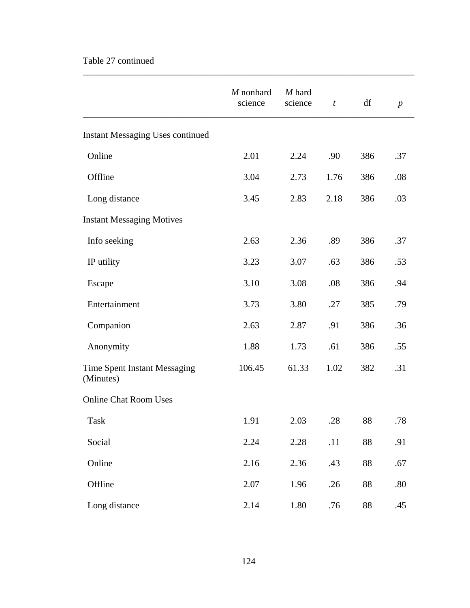# Table 27 continued

|                                           | M nonhard<br>science | M hard<br>science | $\boldsymbol{t}$ | df  | $\boldsymbol{p}$ |
|-------------------------------------------|----------------------|-------------------|------------------|-----|------------------|
| Instant Messaging Uses continued          |                      |                   |                  |     |                  |
| Online                                    | 2.01                 | 2.24              | .90              | 386 | .37              |
| Offline                                   | 3.04                 | 2.73              | 1.76             | 386 | .08              |
| Long distance                             | 3.45                 | 2.83              | 2.18             | 386 | .03              |
| <b>Instant Messaging Motives</b>          |                      |                   |                  |     |                  |
| Info seeking                              | 2.63                 | 2.36              | .89              | 386 | .37              |
| IP utility                                | 3.23                 | 3.07              | .63              | 386 | .53              |
| Escape                                    | 3.10                 | 3.08              | .08              | 386 | .94              |
| Entertainment                             | 3.73                 | 3.80              | .27              | 385 | .79              |
| Companion                                 | 2.63                 | 2.87              | .91              | 386 | .36              |
| Anonymity                                 | 1.88                 | 1.73              | .61              | 386 | .55              |
| Time Spent Instant Messaging<br>(Minutes) | 106.45               | 61.33             | 1.02             | 382 | .31              |
| <b>Online Chat Room Uses</b>              |                      |                   |                  |     |                  |
| Task                                      | 1.91                 | 2.03              | .28              | 88  | .78              |
| Social                                    | 2.24                 | 2.28              | .11              | 88  | .91              |
| Online                                    | 2.16                 | 2.36              | .43              | 88  | .67              |
| Offline                                   | 2.07                 | 1.96              | .26              | 88  | .80              |
| Long distance                             | 2.14                 | 1.80              | .76              | 88  | .45              |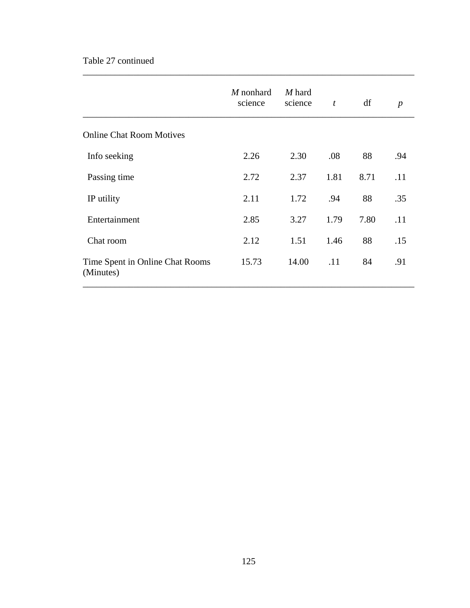### Table 27 continued

|                                              | M nonhard<br>science | M hard<br>science | $\boldsymbol{t}$ | df   | $\boldsymbol{p}$ |
|----------------------------------------------|----------------------|-------------------|------------------|------|------------------|
| <b>Online Chat Room Motives</b>              |                      |                   |                  |      |                  |
| Info seeking                                 | 2.26                 | 2.30              | .08              | 88   | .94              |
| Passing time                                 | 2.72                 | 2.37              | 1.81             | 8.71 | .11              |
| IP utility                                   | 2.11                 | 1.72              | .94              | 88   | .35              |
| Entertainment                                | 2.85                 | 3.27              | 1.79             | 7.80 | .11              |
| Chat room                                    | 2.12                 | 1.51              | 1.46             | 88   | .15              |
| Time Spent in Online Chat Rooms<br>(Minutes) | 15.73                | 14.00             | .11              | 84   | .91              |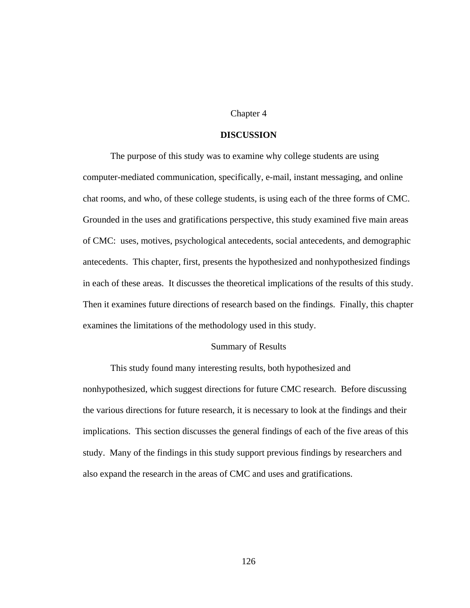#### Chapter 4

#### **DISCUSSION**

 The purpose of this study was to examine why college students are using computer-mediated communication, specifically, e-mail, instant messaging, and online chat rooms, and who, of these college students, is using each of the three forms of CMC. Grounded in the uses and gratifications perspective, this study examined five main areas of CMC: uses, motives, psychological antecedents, social antecedents, and demographic antecedents. This chapter, first, presents the hypothesized and nonhypothesized findings in each of these areas. It discusses the theoretical implications of the results of this study. Then it examines future directions of research based on the findings. Finally, this chapter examines the limitations of the methodology used in this study.

#### Summary of Results

 This study found many interesting results, both hypothesized and nonhypothesized, which suggest directions for future CMC research. Before discussing the various directions for future research, it is necessary to look at the findings and their implications. This section discusses the general findings of each of the five areas of this study. Many of the findings in this study support previous findings by researchers and also expand the research in the areas of CMC and uses and gratifications.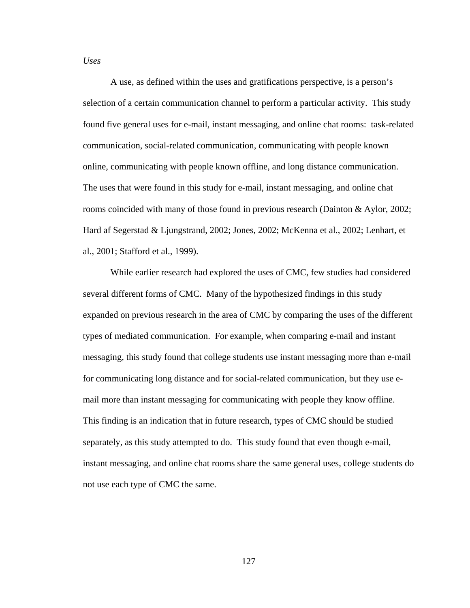*Uses*

 A use, as defined within the uses and gratifications perspective, is a person's selection of a certain communication channel to perform a particular activity. This study found five general uses for e-mail, instant messaging, and online chat rooms: task-related communication, social-related communication, communicating with people known online, communicating with people known offline, and long distance communication. The uses that were found in this study for e-mail, instant messaging, and online chat rooms coincided with many of those found in previous research (Dainton & Aylor, 2002; Hard af Segerstad & Ljungstrand, 2002; Jones, 2002; McKenna et al., 2002; Lenhart, et al., 2001; Stafford et al., 1999).

 While earlier research had explored the uses of CMC, few studies had considered several different forms of CMC. Many of the hypothesized findings in this study expanded on previous research in the area of CMC by comparing the uses of the different types of mediated communication. For example, when comparing e-mail and instant messaging, this study found that college students use instant messaging more than e-mail for communicating long distance and for social-related communication, but they use email more than instant messaging for communicating with people they know offline. This finding is an indication that in future research, types of CMC should be studied separately, as this study attempted to do. This study found that even though e-mail, instant messaging, and online chat rooms share the same general uses, college students do not use each type of CMC the same.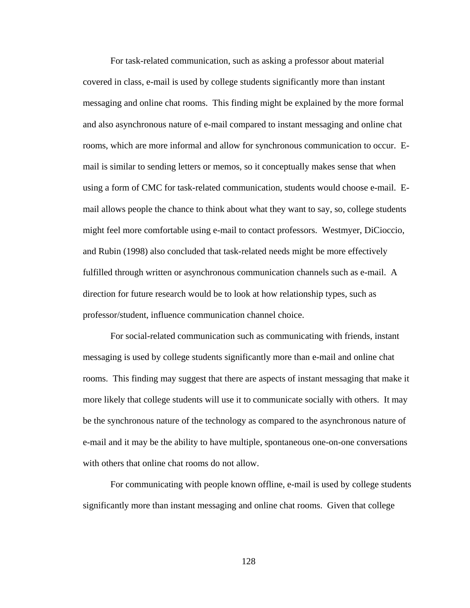For task-related communication, such as asking a professor about material covered in class, e-mail is used by college students significantly more than instant messaging and online chat rooms. This finding might be explained by the more formal and also asynchronous nature of e-mail compared to instant messaging and online chat rooms, which are more informal and allow for synchronous communication to occur. Email is similar to sending letters or memos, so it conceptually makes sense that when using a form of CMC for task-related communication, students would choose e-mail. Email allows people the chance to think about what they want to say, so, college students might feel more comfortable using e-mail to contact professors. Westmyer, DiCioccio, and Rubin (1998) also concluded that task-related needs might be more effectively fulfilled through written or asynchronous communication channels such as e-mail. A direction for future research would be to look at how relationship types, such as professor/student, influence communication channel choice.

For social-related communication such as communicating with friends, instant messaging is used by college students significantly more than e-mail and online chat rooms. This finding may suggest that there are aspects of instant messaging that make it more likely that college students will use it to communicate socially with others. It may be the synchronous nature of the technology as compared to the asynchronous nature of e-mail and it may be the ability to have multiple, spontaneous one-on-one conversations with others that online chat rooms do not allow.

For communicating with people known offline, e-mail is used by college students significantly more than instant messaging and online chat rooms. Given that college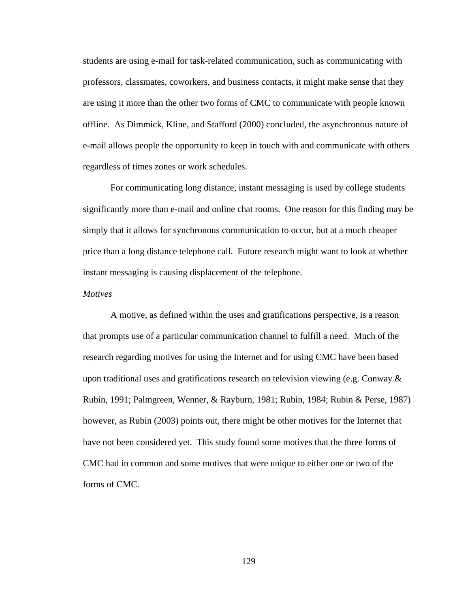students are using e-mail for task-related communication, such as communicating with professors, classmates, coworkers, and business contacts, it might make sense that they are using it more than the other two forms of CMC to communicate with people known offline. As Dimmick, Kline, and Stafford (2000) concluded, the asynchronous nature of e-mail allows people the opportunity to keep in touch with and communicate with others regardless of times zones or work schedules.

For communicating long distance, instant messaging is used by college students significantly more than e-mail and online chat rooms. One reason for this finding may be simply that it allows for synchronous communication to occur, but at a much cheaper price than a long distance telephone call. Future research might want to look at whether instant messaging is causing displacement of the telephone.

#### *Motives*

A motive, as defined within the uses and gratifications perspective, is a reason that prompts use of a particular communication channel to fulfill a need. Much of the research regarding motives for using the Internet and for using CMC have been based upon traditional uses and gratifications research on television viewing (e.g. Conway  $\&$ Rubin, 1991; Palmgreen, Wenner, & Rayburn, 1981; Rubin, 1984; Rubin & Perse, 1987) however, as Rubin (2003) points out, there might be other motives for the Internet that have not been considered yet. This study found some motives that the three forms of CMC had in common and some motives that were unique to either one or two of the forms of CMC.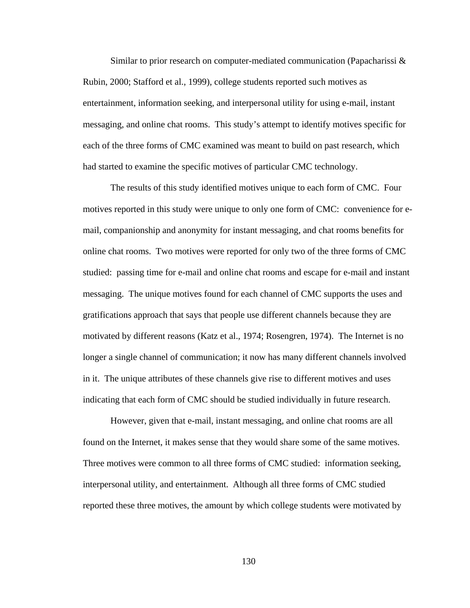Similar to prior research on computer-mediated communication (Papacharissi & Rubin, 2000; Stafford et al., 1999), college students reported such motives as entertainment, information seeking, and interpersonal utility for using e-mail, instant messaging, and online chat rooms. This study's attempt to identify motives specific for each of the three forms of CMC examined was meant to build on past research, which had started to examine the specific motives of particular CMC technology.

The results of this study identified motives unique to each form of CMC. Four motives reported in this study were unique to only one form of CMC: convenience for email, companionship and anonymity for instant messaging, and chat rooms benefits for online chat rooms. Two motives were reported for only two of the three forms of CMC studied: passing time for e-mail and online chat rooms and escape for e-mail and instant messaging. The unique motives found for each channel of CMC supports the uses and gratifications approach that says that people use different channels because they are motivated by different reasons (Katz et al., 1974; Rosengren, 1974). The Internet is no longer a single channel of communication; it now has many different channels involved in it. The unique attributes of these channels give rise to different motives and uses indicating that each form of CMC should be studied individually in future research.

However, given that e-mail, instant messaging, and online chat rooms are all found on the Internet, it makes sense that they would share some of the same motives. Three motives were common to all three forms of CMC studied: information seeking, interpersonal utility, and entertainment. Although all three forms of CMC studied reported these three motives, the amount by which college students were motivated by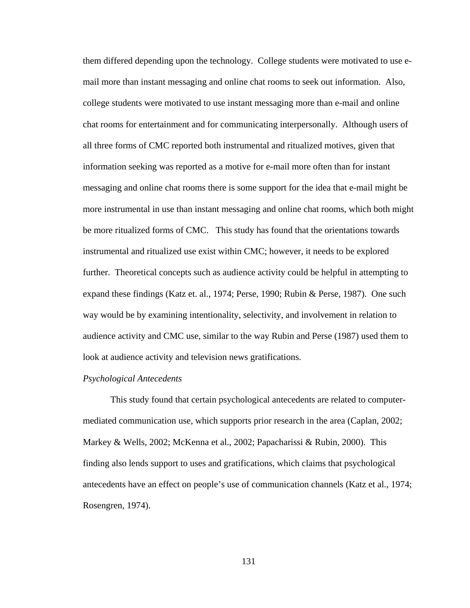them differed depending upon the technology. College students were motivated to use email more than instant messaging and online chat rooms to seek out information. Also, college students were motivated to use instant messaging more than e-mail and online chat rooms for entertainment and for communicating interpersonally. Although users of all three forms of CMC reported both instrumental and ritualized motives, given that information seeking was reported as a motive for e-mail more often than for instant messaging and online chat rooms there is some support for the idea that e-mail might be more instrumental in use than instant messaging and online chat rooms, which both might be more ritualized forms of CMC. This study has found that the orientations towards instrumental and ritualized use exist within CMC; however, it needs to be explored further. Theoretical concepts such as audience activity could be helpful in attempting to expand these findings (Katz et. al., 1974; Perse, 1990; Rubin & Perse, 1987). One such way would be by examining intentionality, selectivity, and involvement in relation to audience activity and CMC use, similar to the way Rubin and Perse (1987) used them to look at audience activity and television news gratifications.

#### *Psychological Antecedents*

 This study found that certain psychological antecedents are related to computermediated communication use, which supports prior research in the area (Caplan, 2002; Markey & Wells, 2002; McKenna et al., 2002; Papacharissi & Rubin, 2000). This finding also lends support to uses and gratifications, which claims that psychological antecedents have an effect on people's use of communication channels (Katz et al., 1974; Rosengren, 1974).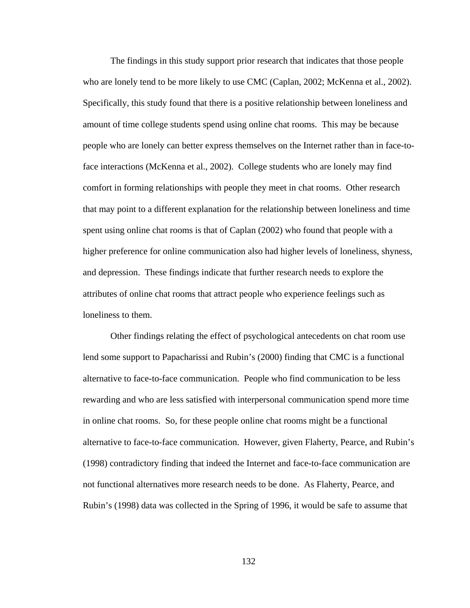The findings in this study support prior research that indicates that those people who are lonely tend to be more likely to use CMC (Caplan, 2002; McKenna et al., 2002). Specifically, this study found that there is a positive relationship between loneliness and amount of time college students spend using online chat rooms. This may be because people who are lonely can better express themselves on the Internet rather than in face-toface interactions (McKenna et al., 2002). College students who are lonely may find comfort in forming relationships with people they meet in chat rooms. Other research that may point to a different explanation for the relationship between loneliness and time spent using online chat rooms is that of Caplan (2002) who found that people with a higher preference for online communication also had higher levels of loneliness, shyness, and depression. These findings indicate that further research needs to explore the attributes of online chat rooms that attract people who experience feelings such as loneliness to them.

 Other findings relating the effect of psychological antecedents on chat room use lend some support to Papacharissi and Rubin's (2000) finding that CMC is a functional alternative to face-to-face communication. People who find communication to be less rewarding and who are less satisfied with interpersonal communication spend more time in online chat rooms. So, for these people online chat rooms might be a functional alternative to face-to-face communication. However, given Flaherty, Pearce, and Rubin's (1998) contradictory finding that indeed the Internet and face-to-face communication are not functional alternatives more research needs to be done. As Flaherty, Pearce, and Rubin's (1998) data was collected in the Spring of 1996, it would be safe to assume that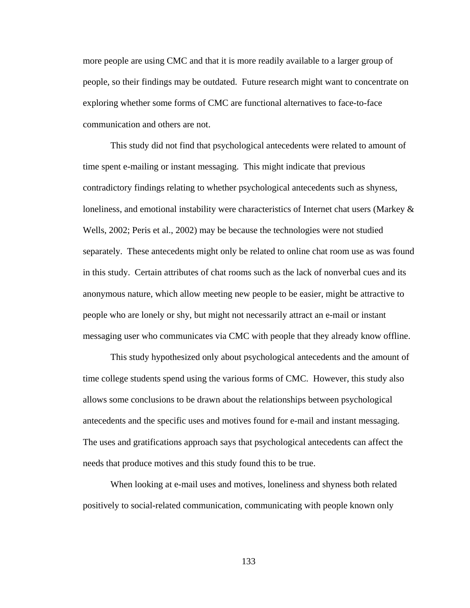more people are using CMC and that it is more readily available to a larger group of people, so their findings may be outdated. Future research might want to concentrate on exploring whether some forms of CMC are functional alternatives to face-to-face communication and others are not.

 This study did not find that psychological antecedents were related to amount of time spent e-mailing or instant messaging. This might indicate that previous contradictory findings relating to whether psychological antecedents such as shyness, loneliness, and emotional instability were characteristics of Internet chat users (Markey & Wells, 2002; Peris et al., 2002) may be because the technologies were not studied separately. These antecedents might only be related to online chat room use as was found in this study. Certain attributes of chat rooms such as the lack of nonverbal cues and its anonymous nature, which allow meeting new people to be easier, might be attractive to people who are lonely or shy, but might not necessarily attract an e-mail or instant messaging user who communicates via CMC with people that they already know offline.

 This study hypothesized only about psychological antecedents and the amount of time college students spend using the various forms of CMC. However, this study also allows some conclusions to be drawn about the relationships between psychological antecedents and the specific uses and motives found for e-mail and instant messaging. The uses and gratifications approach says that psychological antecedents can affect the needs that produce motives and this study found this to be true.

 When looking at e-mail uses and motives, loneliness and shyness both related positively to social-related communication, communicating with people known only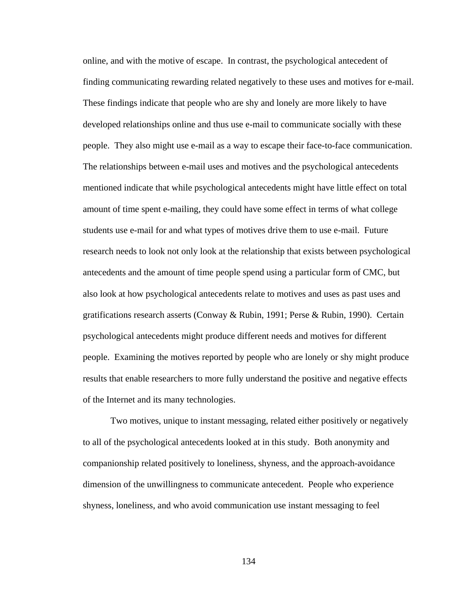online, and with the motive of escape. In contrast, the psychological antecedent of finding communicating rewarding related negatively to these uses and motives for e-mail. These findings indicate that people who are shy and lonely are more likely to have developed relationships online and thus use e-mail to communicate socially with these people. They also might use e-mail as a way to escape their face-to-face communication. The relationships between e-mail uses and motives and the psychological antecedents mentioned indicate that while psychological antecedents might have little effect on total amount of time spent e-mailing, they could have some effect in terms of what college students use e-mail for and what types of motives drive them to use e-mail. Future research needs to look not only look at the relationship that exists between psychological antecedents and the amount of time people spend using a particular form of CMC, but also look at how psychological antecedents relate to motives and uses as past uses and gratifications research asserts (Conway & Rubin, 1991; Perse & Rubin, 1990). Certain psychological antecedents might produce different needs and motives for different people. Examining the motives reported by people who are lonely or shy might produce results that enable researchers to more fully understand the positive and negative effects of the Internet and its many technologies.

 Two motives, unique to instant messaging, related either positively or negatively to all of the psychological antecedents looked at in this study. Both anonymity and companionship related positively to loneliness, shyness, and the approach-avoidance dimension of the unwillingness to communicate antecedent. People who experience shyness, loneliness, and who avoid communication use instant messaging to feel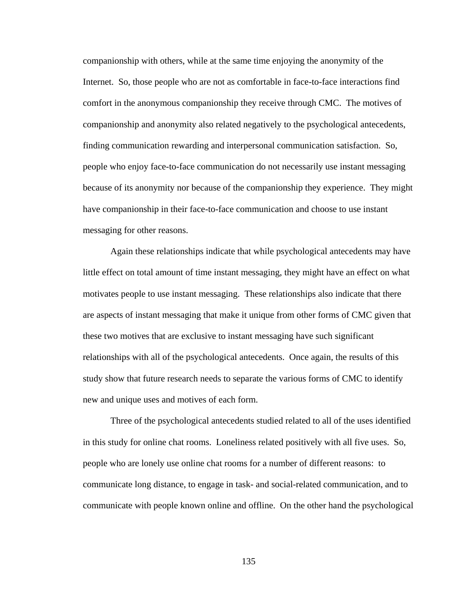companionship with others, while at the same time enjoying the anonymity of the Internet. So, those people who are not as comfortable in face-to-face interactions find comfort in the anonymous companionship they receive through CMC. The motives of companionship and anonymity also related negatively to the psychological antecedents, finding communication rewarding and interpersonal communication satisfaction. So, people who enjoy face-to-face communication do not necessarily use instant messaging because of its anonymity nor because of the companionship they experience. They might have companionship in their face-to-face communication and choose to use instant messaging for other reasons.

 Again these relationships indicate that while psychological antecedents may have little effect on total amount of time instant messaging, they might have an effect on what motivates people to use instant messaging. These relationships also indicate that there are aspects of instant messaging that make it unique from other forms of CMC given that these two motives that are exclusive to instant messaging have such significant relationships with all of the psychological antecedents. Once again, the results of this study show that future research needs to separate the various forms of CMC to identify new and unique uses and motives of each form.

 Three of the psychological antecedents studied related to all of the uses identified in this study for online chat rooms. Loneliness related positively with all five uses. So, people who are lonely use online chat rooms for a number of different reasons: to communicate long distance, to engage in task- and social-related communication, and to communicate with people known online and offline. On the other hand the psychological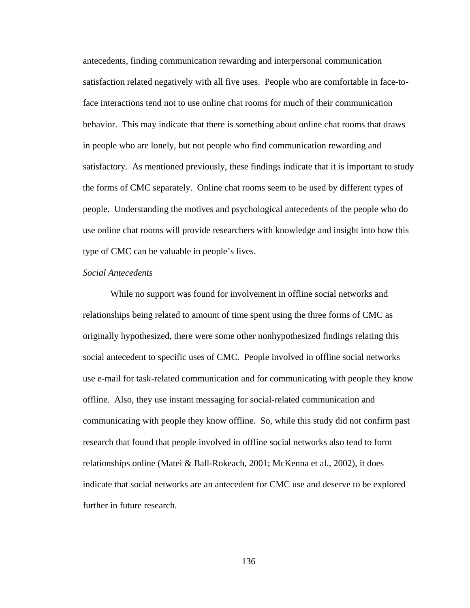antecedents, finding communication rewarding and interpersonal communication satisfaction related negatively with all five uses. People who are comfortable in face-toface interactions tend not to use online chat rooms for much of their communication behavior. This may indicate that there is something about online chat rooms that draws in people who are lonely, but not people who find communication rewarding and satisfactory. As mentioned previously, these findings indicate that it is important to study the forms of CMC separately. Online chat rooms seem to be used by different types of people. Understanding the motives and psychological antecedents of the people who do use online chat rooms will provide researchers with knowledge and insight into how this type of CMC can be valuable in people's lives.

## *Social Antecedents*

 While no support was found for involvement in offline social networks and relationships being related to amount of time spent using the three forms of CMC as originally hypothesized, there were some other nonhypothesized findings relating this social antecedent to specific uses of CMC. People involved in offline social networks use e-mail for task-related communication and for communicating with people they know offline. Also, they use instant messaging for social-related communication and communicating with people they know offline. So, while this study did not confirm past research that found that people involved in offline social networks also tend to form relationships online (Matei & Ball-Rokeach, 2001; McKenna et al., 2002), it does indicate that social networks are an antecedent for CMC use and deserve to be explored further in future research.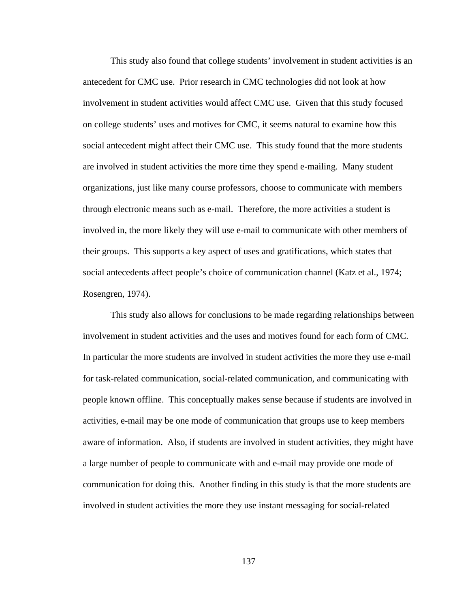This study also found that college students' involvement in student activities is an antecedent for CMC use. Prior research in CMC technologies did not look at how involvement in student activities would affect CMC use. Given that this study focused on college students' uses and motives for CMC, it seems natural to examine how this social antecedent might affect their CMC use. This study found that the more students are involved in student activities the more time they spend e-mailing. Many student organizations, just like many course professors, choose to communicate with members through electronic means such as e-mail. Therefore, the more activities a student is involved in, the more likely they will use e-mail to communicate with other members of their groups. This supports a key aspect of uses and gratifications, which states that social antecedents affect people's choice of communication channel (Katz et al., 1974; Rosengren, 1974).

 This study also allows for conclusions to be made regarding relationships between involvement in student activities and the uses and motives found for each form of CMC. In particular the more students are involved in student activities the more they use e-mail for task-related communication, social-related communication, and communicating with people known offline. This conceptually makes sense because if students are involved in activities, e-mail may be one mode of communication that groups use to keep members aware of information. Also, if students are involved in student activities, they might have a large number of people to communicate with and e-mail may provide one mode of communication for doing this. Another finding in this study is that the more students are involved in student activities the more they use instant messaging for social-related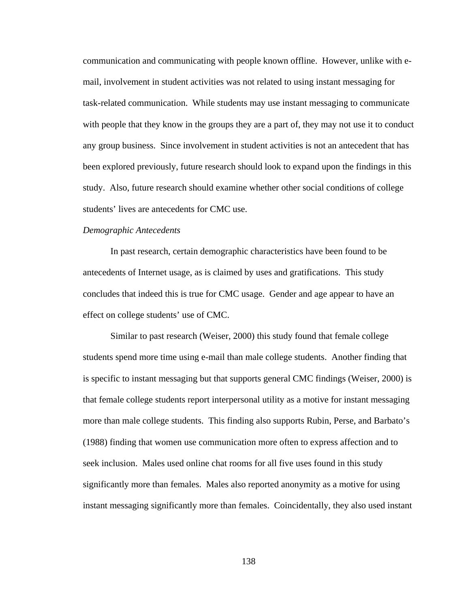communication and communicating with people known offline. However, unlike with email, involvement in student activities was not related to using instant messaging for task-related communication. While students may use instant messaging to communicate with people that they know in the groups they are a part of, they may not use it to conduct any group business. Since involvement in student activities is not an antecedent that has been explored previously, future research should look to expand upon the findings in this study. Also, future research should examine whether other social conditions of college students' lives are antecedents for CMC use.

## *Demographic Antecedents*

 In past research, certain demographic characteristics have been found to be antecedents of Internet usage, as is claimed by uses and gratifications. This study concludes that indeed this is true for CMC usage. Gender and age appear to have an effect on college students' use of CMC.

Similar to past research (Weiser, 2000) this study found that female college students spend more time using e-mail than male college students. Another finding that is specific to instant messaging but that supports general CMC findings (Weiser, 2000) is that female college students report interpersonal utility as a motive for instant messaging more than male college students. This finding also supports Rubin, Perse, and Barbato's (1988) finding that women use communication more often to express affection and to seek inclusion. Males used online chat rooms for all five uses found in this study significantly more than females. Males also reported anonymity as a motive for using instant messaging significantly more than females. Coincidentally, they also used instant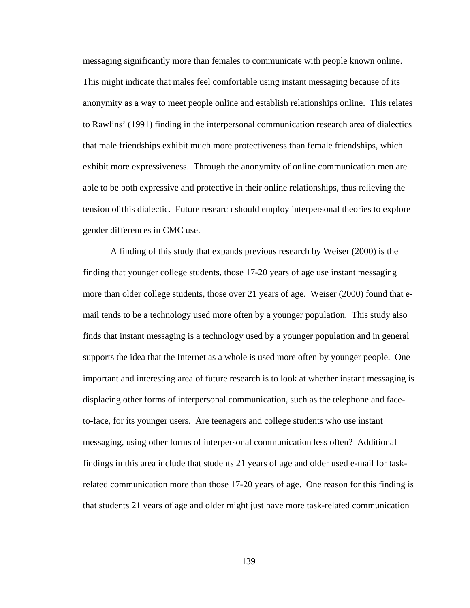messaging significantly more than females to communicate with people known online. This might indicate that males feel comfortable using instant messaging because of its anonymity as a way to meet people online and establish relationships online. This relates to Rawlins' (1991) finding in the interpersonal communication research area of dialectics that male friendships exhibit much more protectiveness than female friendships, which exhibit more expressiveness. Through the anonymity of online communication men are able to be both expressive and protective in their online relationships, thus relieving the tension of this dialectic. Future research should employ interpersonal theories to explore gender differences in CMC use.

A finding of this study that expands previous research by Weiser (2000) is the finding that younger college students, those 17-20 years of age use instant messaging more than older college students, those over 21 years of age. Weiser (2000) found that email tends to be a technology used more often by a younger population. This study also finds that instant messaging is a technology used by a younger population and in general supports the idea that the Internet as a whole is used more often by younger people. One important and interesting area of future research is to look at whether instant messaging is displacing other forms of interpersonal communication, such as the telephone and faceto-face, for its younger users. Are teenagers and college students who use instant messaging, using other forms of interpersonal communication less often? Additional findings in this area include that students 21 years of age and older used e-mail for taskrelated communication more than those 17-20 years of age. One reason for this finding is that students 21 years of age and older might just have more task-related communication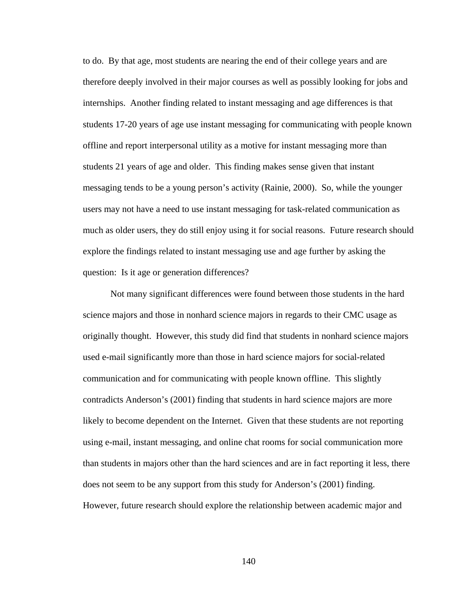to do. By that age, most students are nearing the end of their college years and are therefore deeply involved in their major courses as well as possibly looking for jobs and internships. Another finding related to instant messaging and age differences is that students 17-20 years of age use instant messaging for communicating with people known offline and report interpersonal utility as a motive for instant messaging more than students 21 years of age and older. This finding makes sense given that instant messaging tends to be a young person's activity (Rainie, 2000). So, while the younger users may not have a need to use instant messaging for task-related communication as much as older users, they do still enjoy using it for social reasons. Future research should explore the findings related to instant messaging use and age further by asking the question: Is it age or generation differences?

 Not many significant differences were found between those students in the hard science majors and those in nonhard science majors in regards to their CMC usage as originally thought. However, this study did find that students in nonhard science majors used e-mail significantly more than those in hard science majors for social-related communication and for communicating with people known offline. This slightly contradicts Anderson's (2001) finding that students in hard science majors are more likely to become dependent on the Internet. Given that these students are not reporting using e-mail, instant messaging, and online chat rooms for social communication more than students in majors other than the hard sciences and are in fact reporting it less, there does not seem to be any support from this study for Anderson's (2001) finding. However, future research should explore the relationship between academic major and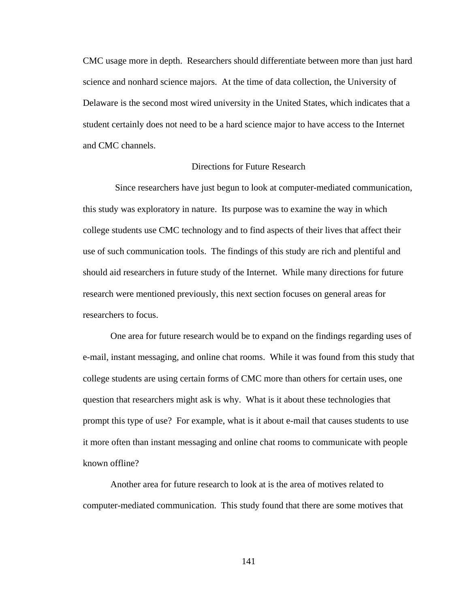CMC usage more in depth. Researchers should differentiate between more than just hard science and nonhard science majors. At the time of data collection, the University of Delaware is the second most wired university in the United States, which indicates that a student certainly does not need to be a hard science major to have access to the Internet and CMC channels.

# Directions for Future Research

 Since researchers have just begun to look at computer-mediated communication, this study was exploratory in nature. Its purpose was to examine the way in which college students use CMC technology and to find aspects of their lives that affect their use of such communication tools. The findings of this study are rich and plentiful and should aid researchers in future study of the Internet. While many directions for future research were mentioned previously, this next section focuses on general areas for researchers to focus.

 One area for future research would be to expand on the findings regarding uses of e-mail, instant messaging, and online chat rooms. While it was found from this study that college students are using certain forms of CMC more than others for certain uses, one question that researchers might ask is why. What is it about these technologies that prompt this type of use? For example, what is it about e-mail that causes students to use it more often than instant messaging and online chat rooms to communicate with people known offline?

 Another area for future research to look at is the area of motives related to computer-mediated communication. This study found that there are some motives that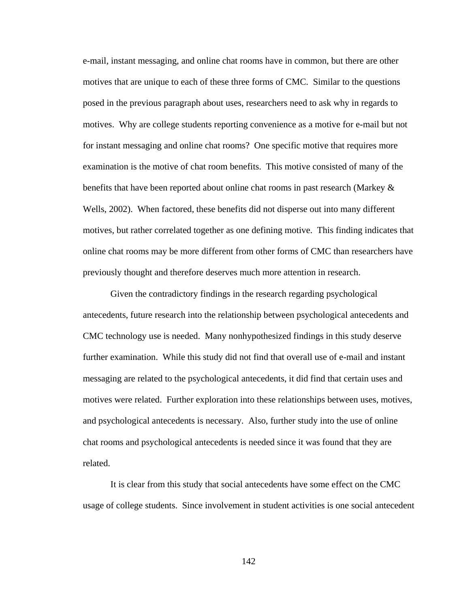e-mail, instant messaging, and online chat rooms have in common, but there are other motives that are unique to each of these three forms of CMC. Similar to the questions posed in the previous paragraph about uses, researchers need to ask why in regards to motives. Why are college students reporting convenience as a motive for e-mail but not for instant messaging and online chat rooms? One specific motive that requires more examination is the motive of chat room benefits. This motive consisted of many of the benefits that have been reported about online chat rooms in past research (Markey & Wells, 2002). When factored, these benefits did not disperse out into many different motives, but rather correlated together as one defining motive. This finding indicates that online chat rooms may be more different from other forms of CMC than researchers have previously thought and therefore deserves much more attention in research.

 Given the contradictory findings in the research regarding psychological antecedents, future research into the relationship between psychological antecedents and CMC technology use is needed. Many nonhypothesized findings in this study deserve further examination. While this study did not find that overall use of e-mail and instant messaging are related to the psychological antecedents, it did find that certain uses and motives were related. Further exploration into these relationships between uses, motives, and psychological antecedents is necessary. Also, further study into the use of online chat rooms and psychological antecedents is needed since it was found that they are related.

 It is clear from this study that social antecedents have some effect on the CMC usage of college students. Since involvement in student activities is one social antecedent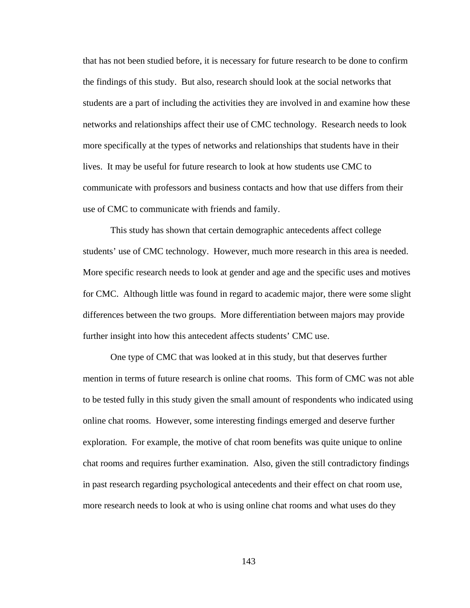that has not been studied before, it is necessary for future research to be done to confirm the findings of this study. But also, research should look at the social networks that students are a part of including the activities they are involved in and examine how these networks and relationships affect their use of CMC technology. Research needs to look more specifically at the types of networks and relationships that students have in their lives. It may be useful for future research to look at how students use CMC to communicate with professors and business contacts and how that use differs from their use of CMC to communicate with friends and family.

 This study has shown that certain demographic antecedents affect college students' use of CMC technology. However, much more research in this area is needed. More specific research needs to look at gender and age and the specific uses and motives for CMC. Although little was found in regard to academic major, there were some slight differences between the two groups. More differentiation between majors may provide further insight into how this antecedent affects students' CMC use.

 One type of CMC that was looked at in this study, but that deserves further mention in terms of future research is online chat rooms. This form of CMC was not able to be tested fully in this study given the small amount of respondents who indicated using online chat rooms. However, some interesting findings emerged and deserve further exploration. For example, the motive of chat room benefits was quite unique to online chat rooms and requires further examination. Also, given the still contradictory findings in past research regarding psychological antecedents and their effect on chat room use, more research needs to look at who is using online chat rooms and what uses do they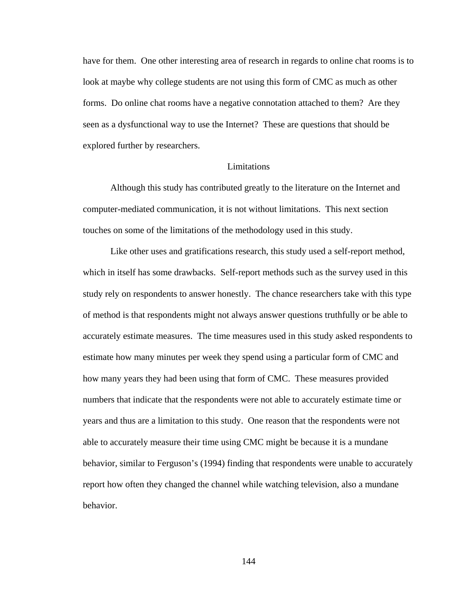have for them. One other interesting area of research in regards to online chat rooms is to look at maybe why college students are not using this form of CMC as much as other forms. Do online chat rooms have a negative connotation attached to them? Are they seen as a dysfunctional way to use the Internet? These are questions that should be explored further by researchers.

## Limitations

 Although this study has contributed greatly to the literature on the Internet and computer-mediated communication, it is not without limitations. This next section touches on some of the limitations of the methodology used in this study.

 Like other uses and gratifications research, this study used a self-report method, which in itself has some drawbacks. Self-report methods such as the survey used in this study rely on respondents to answer honestly. The chance researchers take with this type of method is that respondents might not always answer questions truthfully or be able to accurately estimate measures. The time measures used in this study asked respondents to estimate how many minutes per week they spend using a particular form of CMC and how many years they had been using that form of CMC. These measures provided numbers that indicate that the respondents were not able to accurately estimate time or years and thus are a limitation to this study. One reason that the respondents were not able to accurately measure their time using CMC might be because it is a mundane behavior, similar to Ferguson's (1994) finding that respondents were unable to accurately report how often they changed the channel while watching television, also a mundane behavior.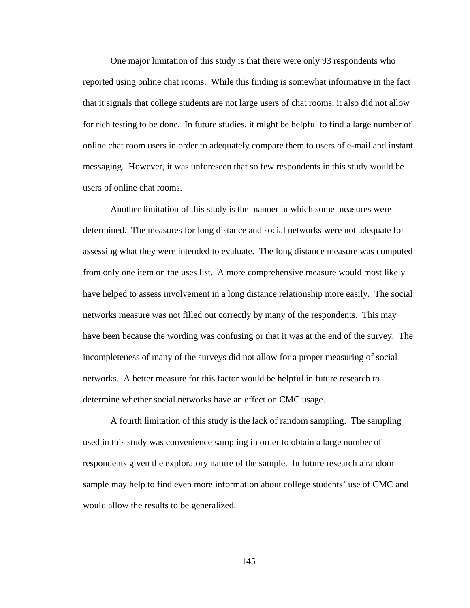One major limitation of this study is that there were only 93 respondents who reported using online chat rooms. While this finding is somewhat informative in the fact that it signals that college students are not large users of chat rooms, it also did not allow for rich testing to be done. In future studies, it might be helpful to find a large number of online chat room users in order to adequately compare them to users of e-mail and instant messaging. However, it was unforeseen that so few respondents in this study would be users of online chat rooms.

 Another limitation of this study is the manner in which some measures were determined. The measures for long distance and social networks were not adequate for assessing what they were intended to evaluate. The long distance measure was computed from only one item on the uses list. A more comprehensive measure would most likely have helped to assess involvement in a long distance relationship more easily. The social networks measure was not filled out correctly by many of the respondents. This may have been because the wording was confusing or that it was at the end of the survey. The incompleteness of many of the surveys did not allow for a proper measuring of social networks. A better measure for this factor would be helpful in future research to determine whether social networks have an effect on CMC usage.

 A fourth limitation of this study is the lack of random sampling. The sampling used in this study was convenience sampling in order to obtain a large number of respondents given the exploratory nature of the sample. In future research a random sample may help to find even more information about college students' use of CMC and would allow the results to be generalized.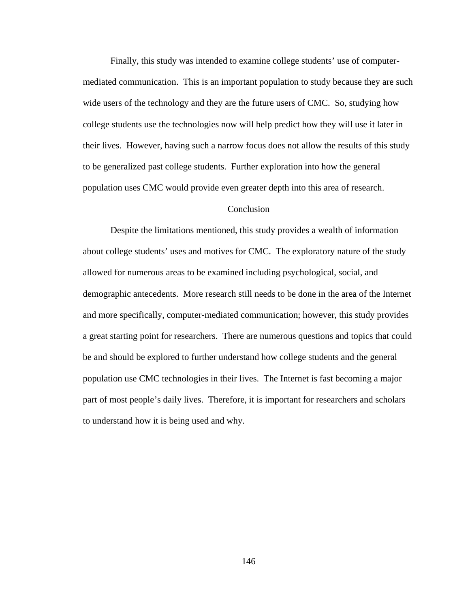Finally, this study was intended to examine college students' use of computermediated communication. This is an important population to study because they are such wide users of the technology and they are the future users of CMC. So, studying how college students use the technologies now will help predict how they will use it later in their lives. However, having such a narrow focus does not allow the results of this study to be generalized past college students. Further exploration into how the general population uses CMC would provide even greater depth into this area of research.

# **Conclusion**

 Despite the limitations mentioned, this study provides a wealth of information about college students' uses and motives for CMC. The exploratory nature of the study allowed for numerous areas to be examined including psychological, social, and demographic antecedents. More research still needs to be done in the area of the Internet and more specifically, computer-mediated communication; however, this study provides a great starting point for researchers. There are numerous questions and topics that could be and should be explored to further understand how college students and the general population use CMC technologies in their lives. The Internet is fast becoming a major part of most people's daily lives. Therefore, it is important for researchers and scholars to understand how it is being used and why.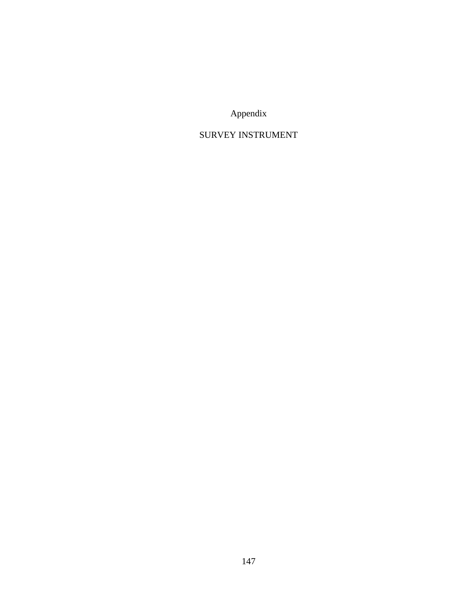Appendix

# SURVEY INSTRUMENT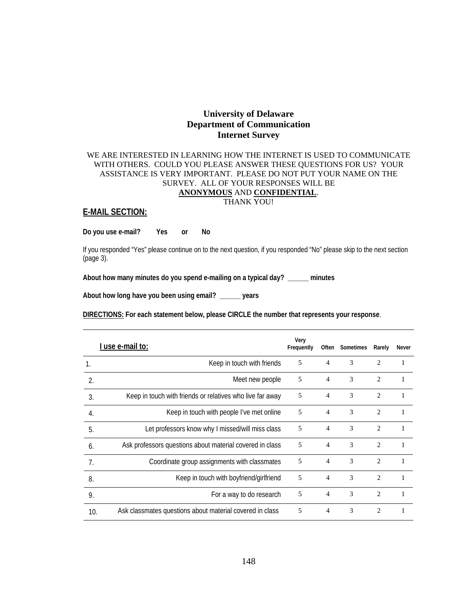# **University of Delaware Department of Communication Internet Survey**

### WE ARE INTERESTED IN LEARNING HOW THE INTERNET IS USED TO COMMUNICATE WITH OTHERS. COULD YOU PLEASE ANSWER THESE QUESTIONS FOR US? YOUR ASSISTANCE IS VERY IMPORTANT. PLEASE DO NOT PUT YOUR NAME ON THE SURVEY. ALL OF YOUR RESPONSES WILL BE **ANONYMOUS** AND **CONFIDENTIAL**. THANK YOU!

### **E-MAIL SECTION:**

**Do you use e-mail? Yes or No** 

If you responded "Yes" please continue on to the next question, if you responded "No" please skip to the next section (page 3).

**About how many minutes do you spend e-mailing on a typical day? \_\_\_\_\_\_ minutes** 

**About how long have you been using email? \_\_\_\_\_\_ years** 

**DIRECTIONS: For each statement below, please CIRCLE the number that represents your response**.

|                | I use e-mail to:                                          | Very<br>Frequently |                | Often Sometimes | Rarely                      | Never |
|----------------|-----------------------------------------------------------|--------------------|----------------|-----------------|-----------------------------|-------|
| $\mathbf{1}$ . | Keep in touch with friends                                | 5                  | $\overline{4}$ | 3               | $\overline{c}$              | 1     |
| $\mathfrak{D}$ | Meet new people                                           | 5                  | $\overline{4}$ | 3               | $\overline{2}$              | 1     |
| $\overline{3}$ | Keep in touch with friends or relatives who live far away | 5                  | 4              | 3               | $\mathfrak{D}$              |       |
| 4.             | Keep in touch with people I've met online                 | 5                  | 4              | 3               | $\overline{c}$              | 1     |
| 5.             | Let professors know why I missed/will miss class          | 5                  | 4              | 3               | $\overline{c}$              | 1     |
| 6.             | Ask professors questions about material covered in class  | 5                  | $\overline{4}$ | 3               | $\mathcal{D}_{\mathcal{L}}$ | 1     |
| 7.             | Coordinate group assignments with classmates              | 5                  | 4              | 3               | $\mathfrak{D}$              |       |
| 8.             | Keep in touch with boyfriend/girlfriend                   | 5                  | $\overline{4}$ | 3               | $\overline{2}$              | 1     |
| 9.             | For a way to do research                                  | 5                  | $\overline{4}$ | 3               | $\overline{c}$              |       |
| 10.            | Ask classmates questions about material covered in class  | 5                  | $\overline{4}$ | 3               | $\mathcal{D}_{\mathcal{L}}$ |       |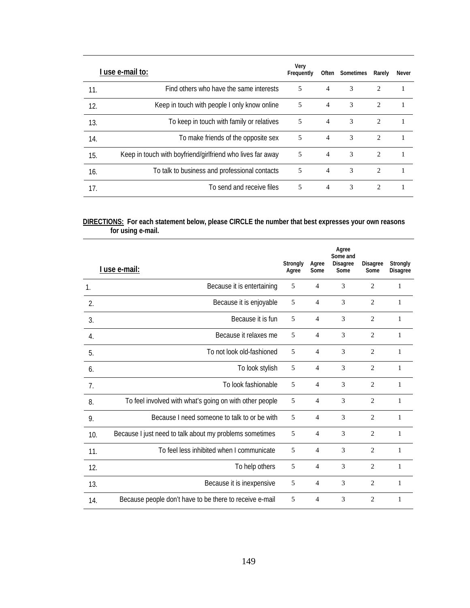|     | use e-mail to:                                             | Very<br>Frequently |                | Often Sometimes | Rarely                        | Never |
|-----|------------------------------------------------------------|--------------------|----------------|-----------------|-------------------------------|-------|
| 11. | Find others who have the same interests                    | 5                  | $\overline{4}$ | 3               | 2                             |       |
| 12. | Keep in touch with people I only know online               | 5                  | $\overline{4}$ | 3               | 2                             |       |
| 13. | To keep in touch with family or relatives                  | 5                  | $\overline{4}$ | 3               | 2                             |       |
| 14. | To make friends of the opposite sex                        | 5                  | $\overline{4}$ | 3               | $\mathfrak{D}$                |       |
| 15. | Keep in touch with boyfriend/girlfriend who lives far away | 5                  | $\overline{4}$ | 3               | 2                             |       |
| 16. | To talk to business and professional contacts              | 5                  | $\overline{4}$ | 3               | 2                             |       |
| 17. | To send and receive files                                  | 5                  | $\overline{4}$ | 3               | $\mathfrak{D}_{\mathfrak{p}}$ |       |

#### **DIRECTIONS: For each statement below, please CIRCLE the number that best expresses your own reasons for using e-mail.**

|     | <u>l use e-mail:</u>                                    | Strongly<br>Agree | Agree<br>Some  | Agree<br>Some and<br><b>Disagree</b><br>Some | <b>Disagree</b><br>Some | Strongly<br><b>Disagree</b> |
|-----|---------------------------------------------------------|-------------------|----------------|----------------------------------------------|-------------------------|-----------------------------|
| 1.  | Because it is entertaining                              | 5                 | $\overline{4}$ | 3                                            | $\overline{2}$          | 1                           |
| 2.  | Because it is enjoyable                                 | 5                 | $\overline{4}$ | 3                                            | $\overline{2}$          | 1                           |
| 3.  | Because it is fun                                       | 5                 | $\overline{4}$ | 3                                            | $\overline{2}$          | $\mathbf{1}$                |
| 4.  | Because it relaxes me                                   | 5                 | $\overline{4}$ | 3                                            | $\overline{2}$          | 1                           |
| 5.  | To not look old-fashioned                               | 5                 | $\overline{4}$ | 3                                            | $\overline{2}$          | $\mathbf{1}$                |
| 6.  | To look stylish                                         | 5                 | $\overline{4}$ | 3                                            | $\overline{2}$          | $\mathbf{1}$                |
| 7.  | To look fashionable                                     | 5                 | $\overline{4}$ | 3                                            | $\overline{c}$          | 1                           |
| 8.  | To feel involved with what's going on with other people | 5                 | $\overline{4}$ | 3                                            | $\overline{2}$          | $\mathbf{1}$                |
| 9.  | Because I need someone to talk to or be with            | 5                 | $\overline{4}$ | 3                                            | $\overline{2}$          | 1                           |
| 10. | Because I just need to talk about my problems sometimes | 5                 | $\overline{4}$ | 3                                            | $\overline{2}$          | $\mathbf{1}$                |
| 11. | To feel less inhibited when I communicate               | 5                 | $\overline{4}$ | 3                                            | $\overline{2}$          | $\mathbf{1}$                |
| 12. | To help others                                          | 5                 | $\overline{4}$ | 3                                            | $\overline{2}$          | 1                           |
| 13. | Because it is inexpensive                               | 5                 | $\overline{4}$ | 3                                            | $\overline{2}$          | $\mathbf{1}$                |
| 14. | Because people don't have to be there to receive e-mail | 5                 | $\overline{4}$ | 3                                            | $\overline{2}$          | 1                           |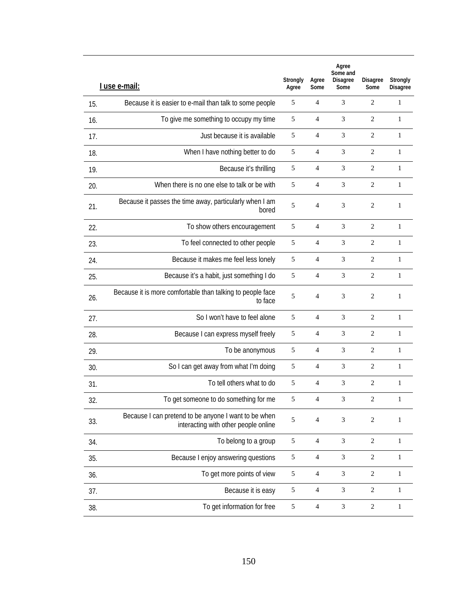|     | I use e-mail:                                                                                | Strongly<br>Agree | Agree<br>Some  | Agree<br>Some and<br><b>Disagree</b><br>Some | <b>Disagree</b><br>Some | Strongly<br><b>Disagree</b> |
|-----|----------------------------------------------------------------------------------------------|-------------------|----------------|----------------------------------------------|-------------------------|-----------------------------|
| 15. | Because it is easier to e-mail than talk to some people                                      | 5                 | $\overline{4}$ | 3                                            | $\overline{2}$          | 1                           |
| 16. | To give me something to occupy my time                                                       | 5                 | 4              | 3                                            | 2                       | $\mathbf{1}$                |
| 17. | Just because it is available                                                                 | 5                 | $\overline{4}$ | 3                                            | $\overline{2}$          | $\mathbf{1}$                |
| 18. | When I have nothing better to do                                                             | 5                 | 4              | 3                                            | 2                       | $\mathbf{1}$                |
| 19. | Because it's thrilling                                                                       | 5                 | $\overline{4}$ | 3                                            | $\overline{c}$          | $\mathbf{1}$                |
| 20. | When there is no one else to talk or be with                                                 | 5                 | $\overline{4}$ | 3                                            | $\overline{c}$          | 1                           |
| 21. | Because it passes the time away, particularly when I am<br>bored                             | 5                 | $\overline{4}$ | 3                                            | $\mathbf{2}$            | 1                           |
| 22. | To show others encouragement                                                                 | $\mathfrak s$     | $\overline{4}$ | 3                                            | $\mathbf{2}$            | $\mathbf{1}$                |
| 23. | To feel connected to other people                                                            | 5                 | $\overline{4}$ | 3                                            | $\overline{c}$          | $\mathbf{1}$                |
| 24. | Because it makes me feel less lonely                                                         | $\mathfrak s$     | $\overline{4}$ | 3                                            | $\overline{2}$          | $\mathbf{1}$                |
| 25. | Because it's a habit, just something I do                                                    | 5                 | $\overline{4}$ | 3                                            | 2                       | 1                           |
| 26. | Because it is more comfortable than talking to people face<br>to face                        | 5                 | $\overline{4}$ | 3                                            | 2                       | 1                           |
| 27. | So I won't have to feel alone                                                                | 5                 | 4              | 3                                            | $\overline{2}$          | $\mathbf{1}$                |
| 28. | Because I can express myself freely                                                          | 5                 | $\overline{4}$ | 3                                            | $\overline{c}$          | $\mathbf{1}$                |
| 29. | To be anonymous                                                                              | 5                 | 4              | 3                                            | 2                       | $\mathbf{1}$                |
| 30. | So I can get away from what I'm doing                                                        | 5                 | $\overline{4}$ | 3                                            | $\overline{2}$          | $\mathbf{1}$                |
| 31. | To tell others what to do                                                                    | 5                 | 4              | 3                                            | $\overline{2}$          | $\mathbf{1}$                |
| 32. | To get someone to do something for me                                                        | 5                 | $\overline{4}$ | 3                                            | 2                       | 1                           |
| 33. | Because I can pretend to be anyone I want to be when<br>interacting with other people online | 5                 | $\overline{4}$ | 3                                            | 2                       | 1                           |
| 34. | To belong to a group                                                                         | $\sqrt{5}$        | $\overline{4}$ | $\ensuremath{\mathfrak{Z}}$                  | $\overline{c}$          | 1                           |
| 35. | Because I enjoy answering questions                                                          | $\sqrt{5}$        | $\overline{4}$ | $\ensuremath{\mathfrak{Z}}$                  | $\sqrt{2}$              | $\mathbf{1}$                |
| 36. | To get more points of view                                                                   | $\sqrt{5}$        | $\overline{4}$ | $\ensuremath{\mathfrak{Z}}$                  | $\sqrt{2}$              | 1                           |
| 37. | Because it is easy                                                                           | $\sqrt{5}$        | $\overline{4}$ | $\ensuremath{\mathfrak{Z}}$                  | $\sqrt{2}$              | $\mathbf{1}$                |
| 38. | To get information for free                                                                  | 5                 | $\overline{4}$ | $\mathfrak{Z}$                               | $\overline{c}$          | $\mathbf{1}$                |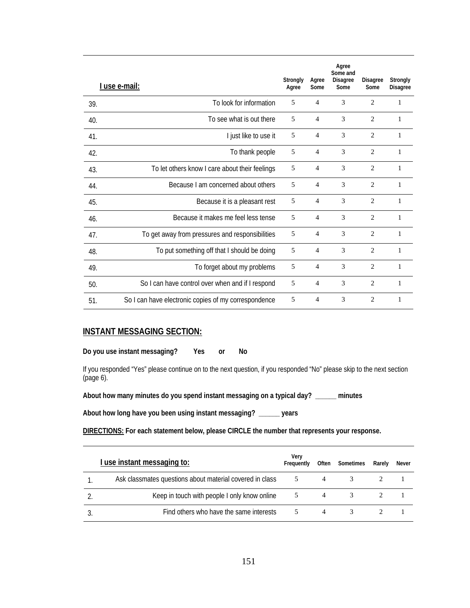|     | <u>I use e-mail:</u>                                 | Strongly<br>Agree | Agree<br>Some  | Agree<br>Some and<br><b>Disagree</b><br>Some | <b>Disagree</b><br>Some | Strongly<br><b>Disagree</b> |
|-----|------------------------------------------------------|-------------------|----------------|----------------------------------------------|-------------------------|-----------------------------|
| 39. | To look for information                              | 5                 | 4              | 3                                            | $\overline{c}$          | 1                           |
| 40. | To see what is out there                             | 5                 | $\overline{4}$ | 3                                            | 2                       | 1                           |
| 41. | I just like to use it                                | 5                 | $\overline{4}$ | 3                                            | $\overline{c}$          | 1                           |
| 42. | To thank people                                      | 5                 | $\overline{4}$ | 3                                            | $\overline{2}$          | 1                           |
| 43. | To let others know I care about their feelings       | 5                 | $\overline{4}$ | 3                                            | $\overline{c}$          | 1                           |
| 44. | Because Lam concerned about others                   | 5                 | $\overline{4}$ | 3                                            | $\overline{2}$          | $\mathbf{1}$                |
| 45. | Because it is a pleasant rest                        | 5                 | $\overline{4}$ | 3                                            | $\overline{c}$          | $\mathbf{1}$                |
| 46. | Because it makes me feel less tense                  | 5                 | $\overline{4}$ | 3                                            | $\overline{c}$          | $\mathbf{1}$                |
| 47. | To get away from pressures and responsibilities      | 5                 | $\overline{4}$ | 3                                            | $\overline{c}$          | 1                           |
| 48. | To put something off that I should be doing          | 5                 | $\overline{4}$ | 3                                            | $\overline{2}$          | 1                           |
| 49. | To forget about my problems                          | 5                 | $\overline{4}$ | 3                                            | 2                       | 1                           |
| 50. | So I can have control over when and if I respond     | 5                 | $\overline{4}$ | 3                                            | $\overline{c}$          | 1                           |
| 51. | So I can have electronic copies of my correspondence | 5                 | $\overline{4}$ | 3                                            | $\overline{c}$          | 1                           |

# **INSTANT MESSAGING SECTION:**

**Do you use instant messaging? Yes or No** 

If you responded "Yes" please continue on to the next question, if you responded "No" please skip to the next section (page 6).

**About how many minutes do you spend instant messaging on a typical day? \_\_\_\_\_\_ minutes** 

**About how long have you been using instant messaging? \_\_\_\_\_\_ years** 

**DIRECTIONS: For each statement below, please CIRCLE the number that represents your response.** 

| <u>I use instant messaging to:</u>                       | Verv<br>Frequently | Often | Sometimes | Rarely | Never |
|----------------------------------------------------------|--------------------|-------|-----------|--------|-------|
| Ask classmates questions about material covered in class |                    | 4     |           |        |       |
| Keep in touch with people I only know online             |                    | 4     |           |        |       |
| Find others who have the same interests                  |                    | 4     |           |        |       |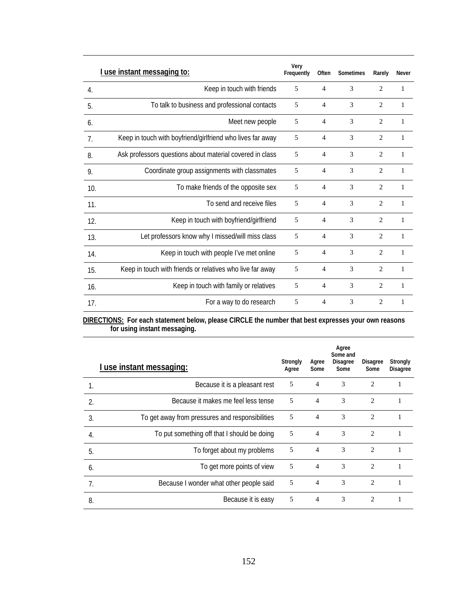|     | <u>I use instant messaging to:</u>                         | Very<br>Frequently | Often          | Sometimes | Rarely         | Never        |
|-----|------------------------------------------------------------|--------------------|----------------|-----------|----------------|--------------|
| 4.  | Keep in touch with friends                                 | 5                  | $\overline{4}$ | 3         | $\overline{2}$ | $\mathbf{1}$ |
| 5.  | To talk to business and professional contacts              | 5                  | 4              | 3         | $\overline{c}$ | 1            |
| 6.  | Meet new people                                            | 5                  | $\overline{4}$ | 3         | $\overline{2}$ | 1            |
| 7.  | Keep in touch with boyfriend/girlfriend who lives far away | 5                  | 4              | 3         | $\overline{c}$ | 1            |
| 8.  | Ask professors questions about material covered in class   | 5                  | $\overline{4}$ | 3         | $\overline{c}$ | 1            |
| 9.  | Coordinate group assignments with classmates               | 5                  | 4              | 3         | $\overline{2}$ | 1            |
| 10. | To make friends of the opposite sex                        | 5                  | $\overline{4}$ | 3         | $\overline{2}$ | 1            |
| 11. | To send and receive files                                  | 5                  | 4              | 3         | $\overline{2}$ | $\mathbf{1}$ |
| 12. | Keep in touch with boyfriend/girlfriend                    | 5                  | 4              | 3         | $\overline{2}$ | 1            |
| 13. | Let professors know why I missed/will miss class           | 5                  | 4              | 3         | $\overline{2}$ | $\mathbf{1}$ |
| 14. | Keep in touch with people I've met online                  | 5                  | 4              | 3         | $\overline{2}$ | 1            |
| 15. | Keep in touch with friends or relatives who live far away  | 5                  | 4              | 3         | $\overline{2}$ | 1            |
| 16. | Keep in touch with family or relatives                     | 5                  | 4              | 3         | $\overline{2}$ | 1            |
| 17. | For a way to do research                                   | 5                  | $\overline{4}$ | 3         | $\overline{2}$ | 1            |

**DIRECTIONS: For each statement below, please CIRCLE the number that best expresses your own reasons for using instant messaging.** 

|                | I use instant messaging:                        | Strongly<br>Agree | Agree<br>Some  | Agree<br>Some and<br><b>Disagree</b><br>Some | <b>Disagree</b><br>Some | Strongly<br><b>Disagree</b> |
|----------------|-------------------------------------------------|-------------------|----------------|----------------------------------------------|-------------------------|-----------------------------|
| 1.             | Because it is a pleasant rest                   | 5                 | $\overline{4}$ | 3                                            | $\mathfrak{D}$          |                             |
| $\mathfrak{D}$ | Because it makes me feel less tense             | 5                 | $\overline{4}$ | 3                                            | $\mathcal{L}$           |                             |
| 3.             | To get away from pressures and responsibilities | 5                 | $\overline{4}$ | 3                                            | 2                       | 1                           |
| 4.             | To put something off that I should be doing     | 5                 | $\overline{4}$ | 3                                            | $\overline{c}$          |                             |
| 5.             | To forget about my problems                     | 5                 | $\overline{4}$ | 3                                            | $\overline{c}$          |                             |
| 6.             | To get more points of view                      | 5                 | $\overline{4}$ | 3                                            | $\mathfrak{D}$          |                             |
| 7.             | Because I wonder what other people said         | 5                 | $\overline{4}$ | 3                                            | $\overline{c}$          |                             |
| 8.             | Because it is easy                              | 5                 | $\overline{4}$ | 3                                            | $\overline{c}$          |                             |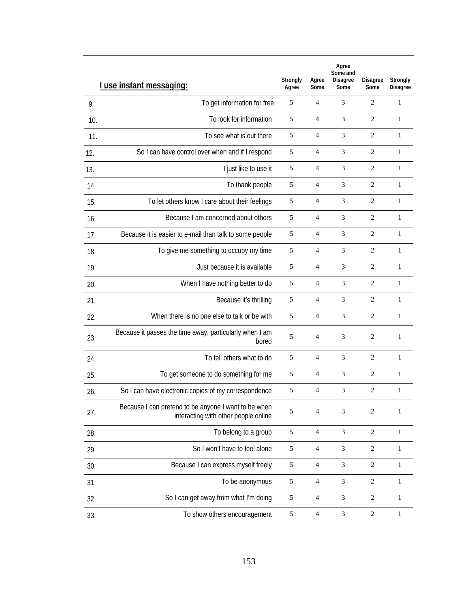|     | I use instant messaging:                                                                     | Strongly<br>Agree | Agree<br>Some  | Agree<br>Some and<br><b>Disagree</b><br>Some | <b>Disagree</b><br>Some | Strongly<br><b>Disagree</b> |
|-----|----------------------------------------------------------------------------------------------|-------------------|----------------|----------------------------------------------|-------------------------|-----------------------------|
| 9.  | To get information for free                                                                  | 5                 | 4              | 3                                            | 2                       | 1                           |
| 10. | To look for information                                                                      | 5                 | $\overline{4}$ | 3                                            | $\overline{2}$          | 1                           |
| 11. | To see what is out there                                                                     | 5                 | $\overline{4}$ | 3                                            | $\overline{2}$          | 1                           |
| 12. | So I can have control over when and if I respond                                             | 5                 | $\overline{4}$ | 3                                            | $\overline{2}$          | $\mathbf{1}$                |
| 13. | I just like to use it                                                                        | 5                 | $\overline{4}$ | 3                                            | $\overline{2}$          | 1                           |
| 14. | To thank people                                                                              | 5                 | $\overline{4}$ | 3                                            | $\overline{2}$          | 1                           |
| 15. | To let others know I care about their feelings                                               | 5                 | $\overline{4}$ | 3                                            | 2                       | 1                           |
| 16. | Because I am concerned about others                                                          | 5                 | $\overline{4}$ | 3                                            | $\overline{2}$          | $\mathbf{1}$                |
| 17. | Because it is easier to e-mail than talk to some people                                      | 5                 | $\overline{4}$ | 3                                            | 2                       | 1                           |
| 18. | To give me something to occupy my time                                                       | 5                 | $\overline{4}$ | 3                                            | $\overline{c}$          | $\mathbf{1}$                |
| 19. | Just because it is available                                                                 | 5                 | $\overline{4}$ | 3                                            | $\overline{2}$          | $\mathbf{1}$                |
| 20. | When I have nothing better to do                                                             | 5                 | 4              | 3                                            | 2                       | 1                           |
| 21. | Because it's thrilling                                                                       | 5                 | $\overline{4}$ | 3                                            | 2                       | $\mathbf{1}$                |
| 22. | When there is no one else to talk or be with                                                 | 5                 | $\overline{4}$ | 3                                            | 2                       | $\mathbf{1}$                |
| 23. | Because it passes the time away, particularly when I am<br>bored                             | 5                 | $\overline{4}$ | 3                                            | 2                       | 1                           |
| 24. | To tell others what to do                                                                    | 5                 | $\overline{4}$ | 3                                            | 2                       | 1                           |
| 25. | To get someone to do something for me                                                        | 5                 | $\overline{4}$ | 3                                            | $\overline{2}$          | $\mathbf{1}$                |
| 26. | So I can have electronic copies of my correspondence                                         | 5                 | $\overline{4}$ | 3                                            | 2                       | $\mathbf{1}$                |
| 27. | Because I can pretend to be anyone I want to be when<br>interacting with other people online | 5                 | 4              | 3                                            | $\overline{c}$          | $\mathbf{1}$                |
| 28. | To belong to a group                                                                         | $\sqrt{5}$        | $\overline{4}$ | 3                                            | $\sqrt{2}$              | 1                           |
| 29. | So I won't have to feel alone                                                                | $\sqrt{5}$        | $\overline{4}$ | 3                                            | $\mathbf{2}$            | 1                           |
| 30. | Because I can express myself freely                                                          | $\sqrt{5}$        | $\overline{4}$ | 3                                            | $\sqrt{2}$              | $\mathbf{1}$                |
| 31. | To be anonymous                                                                              | $\sqrt{5}$        | $\overline{4}$ | 3                                            | $\mathbf{2}$            | 1                           |
| 32. | So I can get away from what I'm doing                                                        | $\sqrt{5}$        | $\overline{4}$ | $\ensuremath{\mathfrak{Z}}$                  | $\sqrt{2}$              | $\mathbf{1}$                |
| 33. | To show others encouragement                                                                 | $\sqrt{5}$        | $\overline{4}$ | 3                                            | $\overline{c}$          | $\mathbf{1}$                |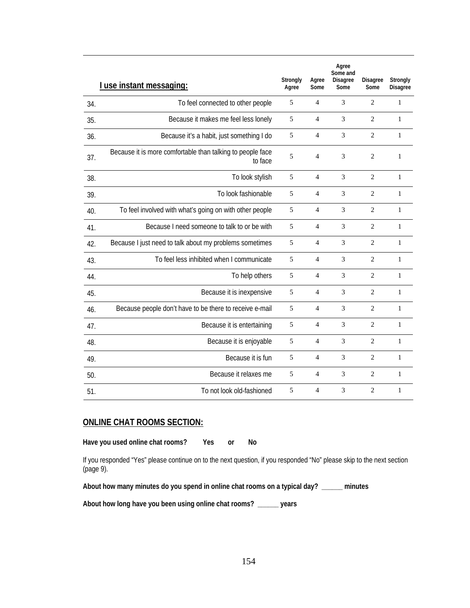|     | I use instant messaging:                                              | Strongly<br>Agree | Agree<br>Some  | Agree<br>Some and<br><b>Disagree</b><br>Some | <b>Disagree</b><br>Some | Strongly<br><b>Disagree</b> |
|-----|-----------------------------------------------------------------------|-------------------|----------------|----------------------------------------------|-------------------------|-----------------------------|
| 34. | To feel connected to other people                                     | 5                 | $\overline{4}$ | 3                                            | $\overline{c}$          | $\mathbf{1}$                |
| 35. | Because it makes me feel less lonely                                  | 5                 | $\overline{4}$ | 3                                            | $\overline{c}$          | 1                           |
| 36. | Because it's a habit, just something I do                             | 5                 | $\overline{4}$ | 3                                            | 2                       | 1                           |
| 37. | Because it is more comfortable than talking to people face<br>to face | 5                 | $\overline{4}$ | 3                                            | $\overline{2}$          | $\mathbf{1}$                |
| 38. | To look stylish                                                       | 5                 | $\overline{4}$ | 3                                            | $\overline{2}$          | $\mathbf{1}$                |
| 39. | To look fashionable                                                   | 5                 | 4              | 3                                            | $\overline{c}$          | $\mathbf{1}$                |
| 40. | To feel involved with what's going on with other people               | 5                 | $\overline{4}$ | 3                                            | $\overline{c}$          | $\mathbf{1}$                |
| 41. | Because I need someone to talk to or be with                          | 5                 | $\overline{4}$ | 3                                            | $\overline{c}$          | $\mathbf{1}$                |
| 42. | Because I just need to talk about my problems sometimes               | 5                 | $\overline{4}$ | 3                                            | $\overline{c}$          | $\mathbf{1}$                |
| 43. | To feel less inhibited when I communicate                             | 5                 | $\overline{4}$ | 3                                            | $\overline{c}$          | $\mathbf{1}$                |
| 44. | To help others                                                        | 5                 | $\overline{4}$ | 3                                            | $\overline{2}$          | $\mathbf{1}$                |
| 45. | Because it is inexpensive                                             | 5                 | 4              | 3                                            | $\overline{c}$          | $\mathbf{1}$                |
| 46. | Because people don't have to be there to receive e-mail               | 5                 | $\overline{4}$ | 3                                            | $\overline{c}$          | $\mathbf{1}$                |
| 47. | Because it is entertaining                                            | 5                 | $\overline{4}$ | 3                                            | $\overline{c}$          | $\mathbf{1}$                |
| 48. | Because it is enjoyable                                               | 5                 | $\overline{4}$ | 3                                            | $\overline{c}$          | $\mathbf{1}$                |
| 49. | Because it is fun                                                     | 5                 | $\overline{4}$ | 3                                            | $\overline{2}$          | $\mathbf{1}$                |
| 50. | Because it relaxes me                                                 | 5                 | 4              | 3                                            | $\overline{c}$          | 1                           |
| 51. | To not look old-fashioned                                             | 5                 | 4              | 3                                            | $\overline{c}$          | 1                           |

# **ONLINE CHAT ROOMS SECTION:**

**Have you used online chat rooms? Yes or No** 

If you responded "Yes" please continue on to the next question, if you responded "No" please skip to the next section (page 9).

**About how many minutes do you spend in online chat rooms on a typical day? \_\_\_\_\_\_ minutes** 

**About how long have you been using online chat rooms? \_\_\_\_\_\_ years**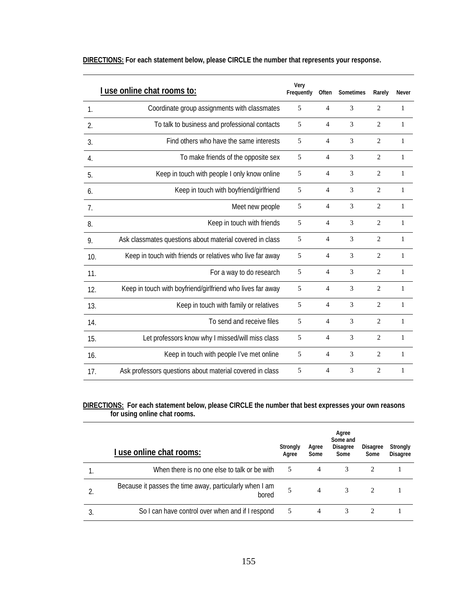|     | I use online chat rooms to:                                | Very<br>Frequently | Often          | Sometimes | Rarely         | Never        |
|-----|------------------------------------------------------------|--------------------|----------------|-----------|----------------|--------------|
| 1.  | Coordinate group assignments with classmates               | 5                  | $\overline{4}$ | 3         | $\overline{c}$ | 1            |
| 2.  | To talk to business and professional contacts              | 5                  | $\overline{4}$ | 3         | 2              | 1            |
| 3.  | Find others who have the same interests                    | 5                  | 4              | 3         | 2              | 1            |
| 4.  | To make friends of the opposite sex                        | 5                  | $\overline{4}$ | 3         | $\overline{2}$ | 1            |
| 5.  | Keep in touch with people I only know online               | 5                  | 4              | 3         | $\overline{2}$ | 1            |
| 6.  | Keep in touch with boyfriend/girlfriend                    | 5                  | 4              | 3         | 2              | 1            |
| 7.  | Meet new people                                            | 5                  | $\overline{4}$ | 3         | $\overline{2}$ | $\mathbf{1}$ |
| 8.  | Keep in touch with friends                                 | 5                  | $\overline{4}$ | 3         | $\overline{2}$ | 1            |
| 9.  | Ask classmates questions about material covered in class   | 5                  | $\overline{4}$ | 3         | $\overline{2}$ | 1            |
| 10. | Keep in touch with friends or relatives who live far away  | 5                  | $\overline{4}$ | 3         | $\overline{2}$ | $\mathbf{1}$ |
| 11. | For a way to do research                                   | 5                  | $\overline{4}$ | 3         | $\overline{2}$ | $\mathbf{1}$ |
| 12. | Keep in touch with boyfriend/girlfriend who lives far away | 5                  | $\overline{4}$ | 3         | $\overline{2}$ | 1            |
| 13. | Keep in touch with family or relatives                     | 5                  | $\overline{4}$ | 3         | $\overline{2}$ | 1            |
| 14. | To send and receive files                                  | 5                  | $\overline{4}$ | 3         | $\overline{2}$ | 1            |
| 15. | Let professors know why I missed/will miss class           | 5                  | 4              | 3         | $\overline{2}$ | 1            |
| 16. | Keep in touch with people I've met online                  | 5                  | $\overline{4}$ | 3         | $\overline{2}$ | 1            |
| 17. | Ask professors questions about material covered in class   | 5                  | $\overline{4}$ | 3         | $\overline{c}$ | $\mathbf{1}$ |

**DIRECTIONS: For each statement below, please CIRCLE the number that represents your response.** 

# **DIRECTIONS: For each statement below, please CIRCLE the number that best expresses your own reasons for using online chat rooms.**

| I use online chat rooms:                                         | Strongly<br>Agree | Agree<br>Some | Agree<br>Some and<br><b>Disagree</b><br>Some | <b>Disagree</b><br>Some | Strongly<br><b>Disagree</b> |
|------------------------------------------------------------------|-------------------|---------------|----------------------------------------------|-------------------------|-----------------------------|
| When there is no one else to talk or be with                     | 5                 | 4             | 3                                            | 2                       |                             |
| Because it passes the time away, particularly when I am<br>bored | 5                 | 4             | 3                                            | 2                       |                             |
| So I can have control over when and if I respond                 | 5                 | 4             | 3                                            |                         |                             |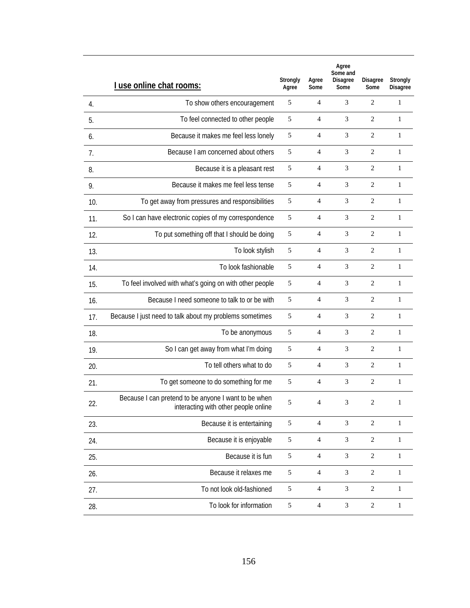|     | I use online chat rooms:                                                                     | Strongly<br>Agree | Agree<br>Some  | Agree<br>Some and<br><b>Disagree</b><br>Some | <b>Disagree</b><br>Some | Strongly<br><b>Disagree</b> |
|-----|----------------------------------------------------------------------------------------------|-------------------|----------------|----------------------------------------------|-------------------------|-----------------------------|
| 4.  | To show others encouragement                                                                 | 5                 | 4              | 3                                            | 2                       | 1                           |
| 5.  | To feel connected to other people                                                            | 5                 | 4              | 3                                            | $\overline{c}$          | $\mathbf{1}$                |
| 6.  | Because it makes me feel less lonely                                                         | 5                 | 4              | 3                                            | $\overline{c}$          | 1                           |
| 7.  | Because I am concerned about others                                                          | 5                 | $\overline{4}$ | 3                                            | $\overline{2}$          | $\mathbf{1}$                |
| 8.  | Because it is a pleasant rest                                                                | 5                 | 4              | 3                                            | $\overline{2}$          | 1                           |
| 9.  | Because it makes me feel less tense                                                          | 5                 | 4              | 3                                            | $\overline{c}$          | 1                           |
| 10. | To get away from pressures and responsibilities                                              | 5                 | 4              | 3                                            | 2                       | 1                           |
| 11. | So I can have electronic copies of my correspondence                                         | 5                 | $\overline{4}$ | 3                                            | $\overline{2}$          | 1                           |
| 12. | To put something off that I should be doing                                                  | 5                 | 4              | 3                                            | 2                       | 1                           |
| 13. | To look stylish                                                                              | 5                 | $\overline{4}$ | 3                                            | $\overline{c}$          | $\mathbf{1}$                |
| 14. | To look fashionable                                                                          | 5                 | 4              | 3                                            | $\overline{c}$          | 1                           |
| 15. | To feel involved with what's going on with other people                                      | 5                 | 4              | 3                                            | $\overline{c}$          | 1                           |
| 16. | Because I need someone to talk to or be with                                                 | 5                 | 4              | 3                                            | 2                       | $\mathbf{1}$                |
| 17. | Because I just need to talk about my problems sometimes                                      | 5                 | 4              | 3                                            | 2                       | 1                           |
| 18. | To be anonymous                                                                              | 5                 | $\overline{4}$ | 3                                            | 2                       | 1                           |
| 19. | So I can get away from what I'm doing                                                        | 5                 | 4              | 3                                            | 2                       | $\mathbf{1}$                |
| 20. | To tell others what to do                                                                    | 5                 | 4              | 3                                            | $\overline{c}$          | 1                           |
| 21. | To get someone to do something for me                                                        | 5                 | $\overline{4}$ | 3                                            | $\overline{2}$          | $\mathbf{1}$                |
| 22. | Because I can pretend to be anyone I want to be when<br>interacting with other people online | 5                 | $\overline{4}$ | $\mathfrak{Z}$                               | $\boldsymbol{2}$        | 1                           |
| 23. | Because it is entertaining                                                                   | $\sqrt{5}$        | $\overline{4}$ | 3                                            | $\overline{c}$          | $\,1$                       |
| 24. | Because it is enjoyable                                                                      | $\mathfrak s$     | $\overline{4}$ | 3                                            | $\boldsymbol{2}$        | 1                           |
| 25. | Because it is fun                                                                            | $\mathfrak s$     | 4              | 3                                            | $\overline{c}$          | $\mathbf{1}$                |
| 26. | Because it relaxes me                                                                        | 5                 | $\overline{4}$ | 3                                            | $\boldsymbol{2}$        | 1                           |
| 27. | To not look old-fashioned                                                                    | $\sqrt{5}$        | $\overline{4}$ | 3                                            | $\mathbf{2}$            | $\mathbf{1}$                |
| 28. | To look for information                                                                      | 5                 | $\overline{4}$ | 3                                            | $\overline{c}$          | $\mathbf{1}$                |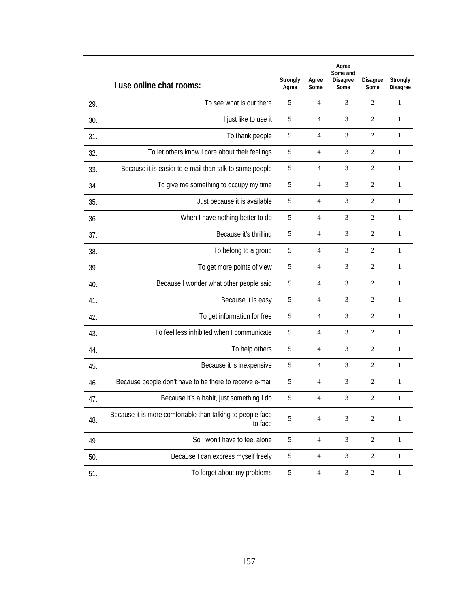|     | I use online chat rooms:                                              | Strongly<br>Agree | Agree<br>Some            | Agree<br>Some and<br><b>Disagree</b><br>Some | <b>Disagree</b><br>Some | Strongly<br><b>Disagree</b> |
|-----|-----------------------------------------------------------------------|-------------------|--------------------------|----------------------------------------------|-------------------------|-----------------------------|
| 29. | To see what is out there                                              | 5                 | 4                        | 3                                            | $\overline{2}$          | 1                           |
| 30. | I just like to use it                                                 | 5                 | 4                        | 3                                            | 2                       | 1                           |
| 31. | To thank people                                                       | 5                 | 4                        | 3                                            | 2                       | 1                           |
| 32. | To let others know I care about their feelings                        | $\sqrt{5}$        | $\overline{4}$           | 3                                            | $\overline{2}$          | $\mathbf{1}$                |
| 33. | Because it is easier to e-mail than talk to some people               | 5                 | 4                        | 3                                            | $\mathbf{2}$            | $\mathbf{1}$                |
| 34. | To give me something to occupy my time                                | 5                 | 4                        | 3                                            | $\overline{2}$          | 1                           |
| 35. | Just because it is available                                          | 5                 | 4                        | 3                                            | $\overline{2}$          | 1                           |
| 36. | When I have nothing better to do                                      | 5                 | 4                        | 3                                            | 2                       | 1                           |
| 37. | Because it's thrilling                                                | 5                 | $\overline{4}$           | 3                                            | $\overline{2}$          | $\mathbf{1}$                |
| 38. | To belong to a group                                                  | $\mathfrak s$     | 4                        | 3                                            | $\overline{2}$          | 1                           |
| 39. | To get more points of view                                            | 5                 | 4                        | 3                                            | $\overline{2}$          | $\mathbf{1}$                |
| 40. | Because I wonder what other people said                               | 5                 | 4                        | 3                                            | $\overline{2}$          | 1                           |
| 41. | Because it is easy                                                    | 5                 | $\overline{4}$           | 3                                            | $\overline{2}$          | $\mathbf{1}$                |
| 42. | To get information for free                                           | 5                 | 4                        | 3                                            | $\mathbf{2}$            | $\mathbf{1}$                |
| 43. | To feel less inhibited when I communicate                             | 5                 | $\overline{4}$           | 3                                            | $\overline{2}$          | 1                           |
| 44. | To help others                                                        | $\mathfrak s$     | 4                        | 3                                            | $\overline{2}$          | $\mathbf{1}$                |
| 45. | Because it is inexpensive                                             | 5                 | 4                        | 3                                            | $\overline{2}$          | 1                           |
| 46. | Because people don't have to be there to receive e-mail               | 5                 | $\overline{4}$           | 3                                            | $\overline{2}$          | 1                           |
| 47. | Because it's a habit, just something I do                             | 5                 | 4                        | 3                                            | 2                       | 1                           |
| 48. | Because it is more comfortable than talking to people face<br>to face | 5                 | $\overline{\mathcal{A}}$ | 3                                            | $\overline{c}$          | $\mathbf{1}$                |
| 49. | So I won't have to feel alone                                         | $\sqrt{5}$        | 4                        | 3                                            | $\overline{c}$          | $\mathbf{1}$                |
| 50. | Because I can express myself freely                                   | 5                 | $\overline{4}$           | $\mathfrak{Z}$                               | $\sqrt{2}$              | $\mathbf{1}$                |
| 51. | To forget about my problems                                           | $\sqrt{5}$        | $\overline{4}$           | $\mathfrak{Z}$                               | $\sqrt{2}$              | $\mathbf{1}$                |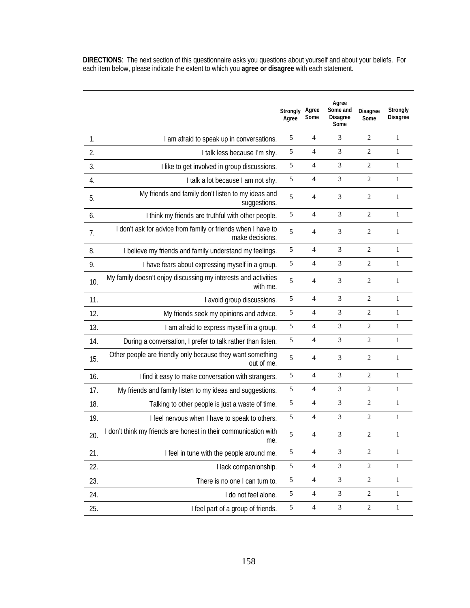**DIRECTIONS**: The next section of this questionnaire asks you questions about yourself and about your beliefs. For each item below, please indicate the extent to which you **agree or disagree** with each statement.

|     |                                                                                 | Strongly<br>Agree | Agree<br>Some  | Agree<br>Some and<br><b>Disagree</b><br>Some | <b>Disagree</b><br>Some | Strongly<br><b>Disagree</b> |
|-----|---------------------------------------------------------------------------------|-------------------|----------------|----------------------------------------------|-------------------------|-----------------------------|
| 1.  | I am afraid to speak up in conversations.                                       | 5                 | $\overline{4}$ | 3                                            | $\overline{2}$          | $\mathbf{1}$                |
| 2.  | I talk less because I'm shy.                                                    | $\sqrt{5}$        | 4              | 3                                            | 2                       | $\mathbf{1}$                |
| 3.  | I like to get involved in group discussions.                                    | $\sqrt{5}$        | $\overline{4}$ | 3                                            | 2                       | $\mathbf{1}$                |
| 4.  | I talk a lot because I am not shy.                                              | $\sqrt{5}$        | 4              | 3                                            | 2                       | 1                           |
| 5.  | My friends and family don't listen to my ideas and<br>suggestions.              | 5                 | $\overline{4}$ | 3                                            | $\overline{2}$          | 1                           |
| 6.  | I think my friends are truthful with other people.                              | 5                 | 4              | 3                                            | $\overline{2}$          | 1                           |
| 7.  | I don't ask for advice from family or friends when I have to<br>make decisions. | 5                 | 4              | 3                                            | $\overline{2}$          | 1                           |
| 8.  | I believe my friends and family understand my feelings.                         | $\sqrt{5}$        | $\overline{4}$ | 3                                            | $\overline{2}$          | $\mathbf{1}$                |
| 9.  | I have fears about expressing myself in a group.                                | $\sqrt{5}$        | $\overline{4}$ | 3                                            | 2                       | $\mathbf{1}$                |
| 10. | My family doesn't enjoy discussing my interests and activities<br>with me.      | 5                 | $\overline{4}$ | 3                                            | $\overline{2}$          | 1                           |
| 11. | I avoid group discussions.                                                      | 5                 | $\overline{4}$ | 3                                            | 2                       | $\mathbf{1}$                |
| 12. | My friends seek my opinions and advice.                                         | $\sqrt{5}$        | 4              | 3                                            | $\overline{2}$          | $\mathbf{1}$                |
| 13. | I am afraid to express myself in a group.                                       | $\sqrt{5}$        | 4              | 3                                            | 2                       | $\mathbf{1}$                |
| 14. | During a conversation, I prefer to talk rather than listen.                     | $\sqrt{5}$        | 4              | 3                                            | $\mathbf{2}$            | $\mathbf{1}$                |
| 15. | Other people are friendly only because they want something<br>out of me.        | 5                 | 4              | 3                                            | $\overline{2}$          | 1                           |
| 16. | I find it easy to make conversation with strangers.                             | $\sqrt{5}$        | $\overline{4}$ | 3                                            | $\overline{2}$          | $\mathbf{1}$                |
| 17. | My friends and family listen to my ideas and suggestions.                       | $\sqrt{5}$        | 4              | 3                                            | $\overline{2}$          | 1                           |
| 18. | Talking to other people is just a waste of time.                                | $\sqrt{5}$        | 4              | 3                                            | $\overline{2}$          | $\mathbf{1}$                |
| 19. | I feel nervous when I have to speak to others.                                  | 5                 | 4              | 3                                            | 2                       | 1                           |
| 20. | I don't think my friends are honest in their communication with<br>me           | 5                 | 4              | 3                                            | $\overline{c}$          | 1                           |
| 21. | I feel in tune with the people around me.                                       | 5                 | $\overline{4}$ | 3                                            | $\overline{2}$          | $\mathbf{1}$                |
| 22. | I lack companionship.                                                           | $\sqrt{5}$        | $\overline{4}$ | 3                                            | $\sqrt{2}$              | $\mathbf{1}$                |
| 23. | There is no one I can turn to.                                                  | 5                 | $\overline{4}$ | $\ensuremath{\mathfrak{Z}}$                  | $\overline{2}$          | $\mathbf{1}$                |
| 24. | I do not feel alone.                                                            | 5                 | $\overline{4}$ | 3                                            | $\sqrt{2}$              | $\mathbf{1}$                |
| 25. | I feel part of a group of friends.                                              | 5                 | $\overline{4}$ | $\ensuremath{\mathfrak{Z}}$                  | $\sqrt{2}$              | $\mathbf{1}$                |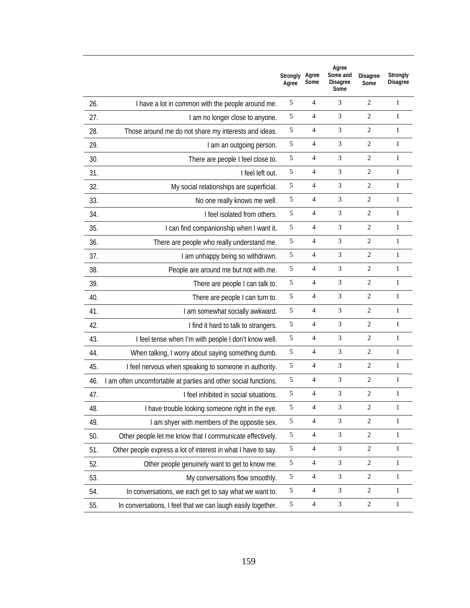|     |                                                                 | Strongly<br>Agree | Agree<br>Some  | Agree<br>Some and<br><b>Disagree</b><br>Some | <b>Disagree</b><br>Some | Strongly<br><b>Disagree</b> |
|-----|-----------------------------------------------------------------|-------------------|----------------|----------------------------------------------|-------------------------|-----------------------------|
| 26. | I have a lot in common with the people around me.               | 5                 | 4              | 3                                            | 2                       | 1                           |
| 27. | I am no longer close to anyone.                                 | 5                 | $\overline{4}$ | 3                                            | 2                       | $\mathbf{1}$                |
| 28. | Those around me do not share my interests and ideas.            | 5                 | 4              | 3                                            | 2                       | 1                           |
| 29. | I am an outgoing person.                                        | 5                 | $\overline{4}$ | 3                                            | 2                       | $\mathbf{1}$                |
| 30. | There are people I feel close to.                               | 5                 | 4              | 3                                            | 2                       | 1                           |
| 31. | I feel left out.                                                | 5                 | $\overline{4}$ | 3                                            | 2                       | $\mathbf{1}$                |
| 32. | My social relationships are superficial.                        | 5                 | 4              | 3                                            | 2                       | 1                           |
| 33. | No one really knows me well.                                    | 5                 | 4              | 3                                            | 2                       | $\mathbf{1}$                |
| 34. | I feel isolated from others.                                    | 5                 | $\overline{4}$ | 3                                            | 2                       | $\mathbf{1}$                |
| 35. | I can find companionship when I want it.                        | 5                 | 4              | 3                                            | 2                       | $\mathbf{1}$                |
| 36. | There are people who really understand me.                      | 5                 | $\overline{4}$ | 3                                            | 2                       | 1                           |
| 37. | I am unhappy being so withdrawn.                                | 5                 | 4              | 3                                            | 2                       | $\mathbf{1}$                |
| 38. | People are around me but not with me.                           | 5                 | $\overline{4}$ | 3                                            | 2                       | 1                           |
| 39. | There are people I can talk to.                                 | 5                 | 4              | 3                                            | 2                       | $\mathbf{1}$                |
| 40. | There are people I can turn to.                                 | 5                 | $\overline{4}$ | 3                                            | 2                       | 1                           |
| 41. | I am somewhat socially awkward.                                 | 5                 | 4              | 3                                            | 2                       | 1                           |
| 42. | I find it hard to talk to strangers.                            | 5                 | $\overline{4}$ | 3                                            | 2                       | 1                           |
| 43. | I feel tense when I'm with people I don't know well.            | 5                 | $\overline{4}$ | 3                                            | 2                       | 1                           |
| 44. | When talking, I worry about saying something dumb.              | 5                 | $\overline{4}$ | 3                                            | 2                       | 1                           |
| 45. | I feel nervous when speaking to someone in authority.           | 5                 | $\overline{4}$ | 3                                            | 2                       | 1                           |
| 46. | I am often uncomfortable at parties and other social functions. | 5                 | $\overline{4}$ | 3                                            | 2                       | 1                           |
| 47. | I feel inhibited in social situations.                          | 5                 | $\overline{4}$ | 3                                            | 2                       | 1                           |
| 48. | I have trouble looking someone right in the eye.                | 5                 | $\overline{4}$ | 3                                            | 2                       | 1                           |
| 49. | I am shyer with members of the opposite sex.                    | $\sqrt{5}$        | $\overline{4}$ | 3                                            | 2                       | 1                           |
| 50. | Other people let me know that I communicate effectively.        | $\sqrt{5}$        | 4              | $\mathfrak{Z}$                               | $\overline{c}$          | 1                           |
| 51. | Other people express a lot of interest in what I have to say.   | 5                 | $\overline{4}$ | $\mathfrak{Z}$                               | $\overline{c}$          | 1                           |
| 52. | Other people genuinely want to get to know me.                  | $\sqrt{5}$        | 4              | 3                                            | $\overline{c}$          | $\mathbf{1}$                |
| 53. | My conversations flow smoothly.                                 | 5                 | $\overline{4}$ | 3                                            | $\overline{c}$          | 1                           |
| 54. | In conversations, we each get to say what we want to.           | $\sqrt{5}$        | 4              | 3                                            | $\overline{c}$          | $\mathbf{1}$                |
| 55. | In conversations, I feel that we can laugh easily together.     | $\mathfrak{S}$    | $\overline{4}$ | $\sqrt{3}$                                   | $\overline{c}$          | $\mathbf{1}$                |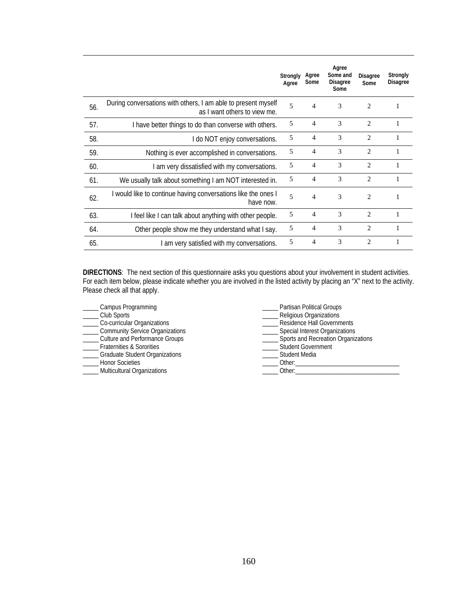|     |                                                                                               | Strongly<br>Agree | Agree<br>Some  | Agree<br>Some and<br>Disagree<br>Some | <b>Disagree</b><br>Some | Strongly<br><b>Disagree</b> |
|-----|-----------------------------------------------------------------------------------------------|-------------------|----------------|---------------------------------------|-------------------------|-----------------------------|
| 56. | During conversations with others, I am able to present myself<br>as I want others to view me. | $\overline{5}$    | 4              | 3                                     | $\mathfrak{D}$          | 1                           |
| 57. | I have better things to do than converse with others.                                         | 5                 | $\overline{4}$ | 3                                     | $\mathfrak{D}$          |                             |
| 58. | I do NOT enjoy conversations.                                                                 | 5                 | 4              | 3                                     | $\overline{c}$          |                             |
| 59. | Nothing is ever accomplished in conversations.                                                | 5                 | 4              | 3                                     | $\overline{2}$          | 1                           |
| 60. | I am very dissatisfied with my conversations.                                                 | 5                 | 4              | 3                                     | $\mathfrak{D}$          |                             |
| 61. | We usually talk about something I am NOT interested in.                                       | 5                 | 4              | 3                                     | $\mathfrak{D}$          |                             |
| 62. | I would like to continue having conversations like the ones I<br>have now.                    | $\overline{5}$    | 4              | 3                                     | 2                       | 1                           |
| 63. | I feel like I can talk about anything with other people.                                      | 5                 | 4              | 3                                     | $\mathfrak{D}$          |                             |
| 64. | Other people show me they understand what I say.                                              | 5                 | 4              | 3                                     | $\overline{c}$          | 1                           |
| 65. | I am very satisfied with my conversations.                                                    | 5                 | 4              | 3                                     | 2                       | 1                           |

**DIRECTIONS**: The next section of this questionnaire asks you questions about your involvement in student activities. For each item below, please indicate whether you are involved in the listed activity by placing an "X" next to the activity. Please check all that apply.

| Campus Programming                 | Partisan Political Groups              |
|------------------------------------|----------------------------------------|
| Club Sports                        | Religious Organizations                |
| Co-curricular Organizations        | Residence Hall Governments             |
| Community Service Organizations    | __ Special Interest Organizations      |
| ___ Culture and Performance Groups | __ Sports and Recreation Organizations |
| Fraternities & Sororities          | _ Student Government                   |
| Graduate Student Organizations     | Student Media                          |
| <b>Honor Societies</b>             | Other:                                 |
| Multicultural Organizations        | Other:                                 |
|                                    |                                        |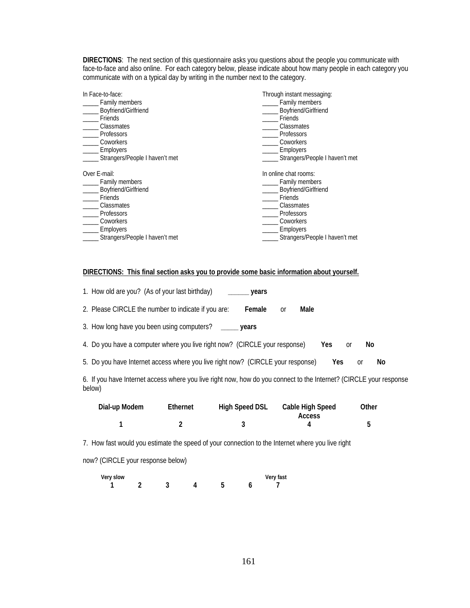**DIRECTIONS**: The next section of this questionnaire asks you questions about the people you communicate with face-to-face and also online. For each category below, please indicate about how many people in each category you communicate with on a typical day by writing in the number next to the category.

| In Face-to-face:               | Through instant messaging:     |
|--------------------------------|--------------------------------|
| Family members                 | Family members                 |
| Boyfriend/Girlfriend           | Boyfriend/Girlfriend           |
| Friends                        | Friends                        |
| Classmates                     | Classmates                     |
| Professors                     | Professors                     |
| Coworkers                      | Coworkers                      |
| Employers                      | Employers                      |
| Strangers/People I haven't met | Strangers/People I haven't met |
| Over E-mail:                   | In online chat rooms:          |
| Family members                 | Family members                 |
| Boyfriend/Girlfriend           | Boyfriend/Girlfriend           |
| Friends                        | Friends                        |
| Classmates                     | Classmates                     |
| <b>Professors</b>              | Professors                     |
| Coworkers                      | Coworkers                      |
| Employers                      | Employers                      |
| Strangers/People I haven't met | Strangers/People I haven't met |

## **DIRECTIONS: This final section asks you to provide some basic information about yourself.**

| 1. How old are you? (As of your last birthday)<br>years                                                                      |
|------------------------------------------------------------------------------------------------------------------------------|
| 2. Please CIRCLE the number to indicate if you are:<br>Male<br>Female<br><sub>0r</sub>                                       |
| 3. How long have you been using computers?<br>years                                                                          |
| 4. Do you have a computer where you live right now? (CIRCLE your response)<br>Yes.<br>No<br><sub>0r</sub>                    |
| 5. Do you have Internet access where you live right now? (CIRCLE your response)<br>Yes.<br>No<br><sub>0r</sub>               |
| 6. If you have Internet access where you live right now, how do you connect to the Internet? (CIRCLE your response<br>below) |

| Dial-up Modem | Ethernet | High Speed DSL | <b>Cable High Speed</b> | Other |
|---------------|----------|----------------|-------------------------|-------|
|               |          |                | <b>Access</b>           |       |
|               |          |                |                         |       |

7. How fast would you estimate the speed of your connection to the Internet where you live right

now? (CIRCLE your response below)

| Very slow |  |  | Very fast |
|-----------|--|--|-----------|
|           |  |  |           |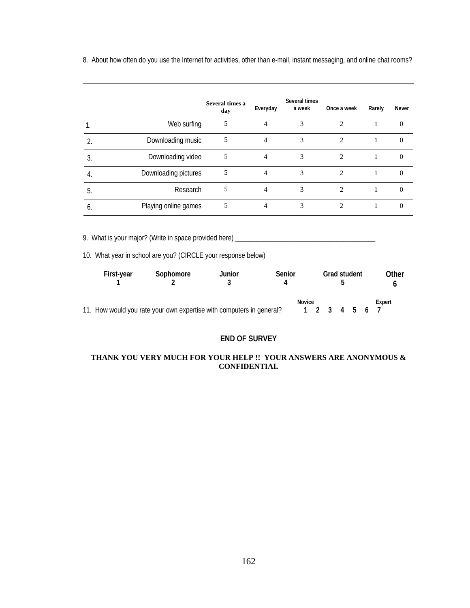8. About how often do you use the Internet for activities, other than e-mail, instant messaging, and online chat rooms?

|    |                      | Several times a<br>day | Everyday | Several times<br>a week | Once a week    | Rarely | Never    |
|----|----------------------|------------------------|----------|-------------------------|----------------|--------|----------|
|    | Web surfing          | 5                      | 4        | 3                       | 2              |        | $\Omega$ |
| ኅ  | Downloading music    | 5                      | 4        | 3                       | 2              |        | 0        |
| 3. | Downloading video    | 5                      | 4        | 3                       | 2              |        | $\theta$ |
| 4. | Downloading pictures | 5                      | 4        | 3                       | $\mathfrak{D}$ |        | 0        |
| 5. | Research             | 5                      | 4        | 3                       | $\mathfrak{D}$ |        | $\Omega$ |
| O  | Playing online games |                        | 4        | 3                       |                |        |          |

9. What is your major? (Write in space provided here) \_\_\_\_\_\_\_\_\_\_\_\_\_\_\_\_\_\_\_\_\_\_\_\_\_\_\_\_\_\_\_\_\_\_\_\_\_\_\_\_

10. What year in school are you? (CIRCLE your response below)

| First-year                                                           | Sophomore | Junior | Senior |        | <b>Grad student</b> |  | Other  |  |
|----------------------------------------------------------------------|-----------|--------|--------|--------|---------------------|--|--------|--|
| 11. How would you rate your own expertise with computers in general? |           |        |        | Novice | 1 2 3 4 5 6 7       |  | Expert |  |

# **END OF SURVEY**

## **THANK YOU VERY MUCH FOR YOUR HELP !! YOUR ANSWERS ARE ANONYMOUS & CONFIDENTIAL**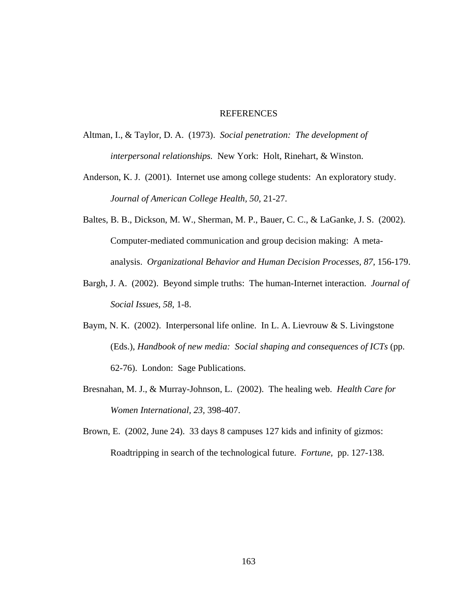## REFERENCES

- Altman, I., & Taylor, D. A. (1973). *Social penetration: The development of interpersonal relationships.* New York: Holt, Rinehart, & Winston.
- Anderson, K. J. (2001). Internet use among college students: An exploratory study. *Journal of American College Health, 50,* 21-27.
- Baltes, B. B., Dickson, M. W., Sherman, M. P., Bauer, C. C., & LaGanke, J. S. (2002). Computer-mediated communication and group decision making: A metaanalysis. *Organizational Behavior and Human Decision Processes, 87,* 156-179.
- Bargh, J. A. (2002). Beyond simple truths: The human-Internet interaction. *Journal of Social Issues, 58,* 1-8.
- Baym, N. K. (2002). Interpersonal life online. In L. A. Lievrouw & S. Livingstone (Eds.), *Handbook of new media: Social shaping and consequences of ICTs* (pp. 62-76). London: Sage Publications.
- Bresnahan, M. J., & Murray-Johnson, L. (2002). The healing web. *Health Care for Women International, 23,* 398-407.
- Brown, E. (2002, June 24). 33 days 8 campuses 127 kids and infinity of gizmos: Roadtripping in search of the technological future. *Fortune,* pp. 127-138.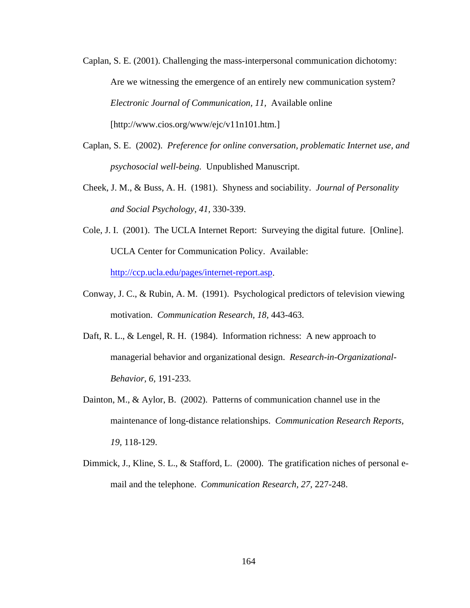- Caplan, S. E. (2001). Challenging the mass-interpersonal communication dichotomy: Are we witnessing the emergence of an entirely new communication system? *Electronic Journal of Communication, 11,* Available online [http://www.cios.org/www/ejc/v11n101.htm.]
- Caplan, S. E. (2002). *Preference for online conversation, problematic Internet use, and psychosocial well-being.* Unpublished Manuscript.
- Cheek, J. M., & Buss, A. H. (1981). Shyness and sociability. *Journal of Personality and Social Psychology, 41,* 330-339.
- Cole, J. I. (2001). The UCLA Internet Report: Surveying the digital future. [Online]. UCLA Center for Communication Policy. Available: http://ccp.ucla.edu/pages/internet-report.asp.
- Conway, J. C., & Rubin, A. M. (1991). Psychological predictors of television viewing motivation. *Communication Research, 18,* 443-463.
- Daft, R. L., & Lengel, R. H. (1984). Information richness: A new approach to managerial behavior and organizational design. *Research-in-Organizational-Behavior, 6,* 191-233.
- Dainton, M., & Aylor, B. (2002). Patterns of communication channel use in the maintenance of long-distance relationships. *Communication Research Reports, 19,* 118-129.
- Dimmick, J., Kline, S. L., & Stafford, L. (2000). The gratification niches of personal email and the telephone. *Communication Research, 27,* 227-248.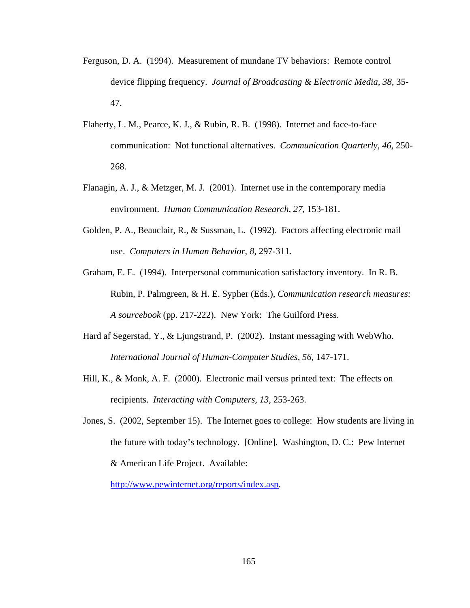- Ferguson, D. A. (1994). Measurement of mundane TV behaviors: Remote control device flipping frequency. *Journal of Broadcasting & Electronic Media, 38,* 35- 47.
- Flaherty, L. M., Pearce, K. J., & Rubin, R. B. (1998). Internet and face-to-face communication: Not functional alternatives. *Communication Quarterly, 46,* 250- 268.
- Flanagin, A. J., & Metzger, M. J. (2001). Internet use in the contemporary media environment. *Human Communication Research, 27,* 153-181.
- Golden, P. A., Beauclair, R., & Sussman, L. (1992). Factors affecting electronic mail use. *Computers in Human Behavior, 8,* 297-311.
- Graham, E. E. (1994). Interpersonal communication satisfactory inventory. In R. B. Rubin, P. Palmgreen, & H. E. Sypher (Eds.), *Communication research measures: A sourcebook* (pp. 217-222). New York: The Guilford Press.
- Hard af Segerstad, Y., & Ljungstrand, P. (2002). Instant messaging with WebWho. *International Journal of Human-Computer Studies, 56,* 147-171.
- Hill, K., & Monk, A. F. (2000). Electronic mail versus printed text: The effects on recipients. *Interacting with Computers, 13,* 253-263.
- Jones, S. (2002, September 15). The Internet goes to college: How students are living in the future with today's technology. [Online]. Washington, D. C.: Pew Internet & American Life Project. Available:

http://www.pewinternet.org/reports/index.asp.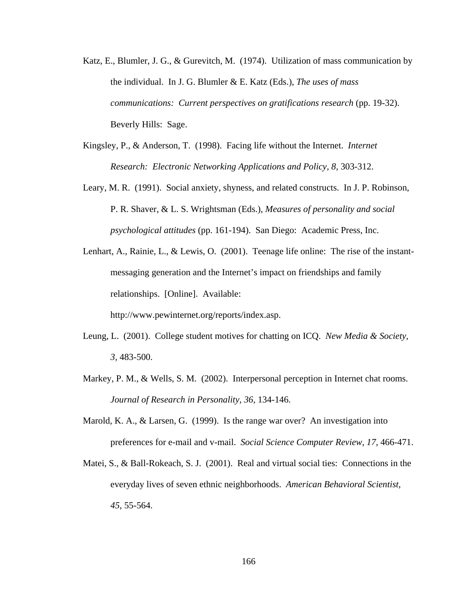- Katz, E., Blumler, J. G., & Gurevitch, M. (1974). Utilization of mass communication by the individual. In J. G. Blumler & E. Katz (Eds.), *The uses of mass communications: Current perspectives on gratifications research* (pp. 19-32). Beverly Hills: Sage.
- Kingsley, P., & Anderson, T. (1998). Facing life without the Internet. *Internet Research: Electronic Networking Applications and Policy, 8,* 303-312.
- Leary, M. R. (1991). Social anxiety, shyness, and related constructs. In J. P. Robinson, P. R. Shaver, & L. S. Wrightsman (Eds.), *Measures of personality and social psychological attitudes* (pp. 161-194). San Diego: Academic Press, Inc.
- Lenhart, A., Rainie, L., & Lewis, O. (2001). Teenage life online: The rise of the instantmessaging generation and the Internet's impact on friendships and family relationships. [Online]. Available:

http://www.pewinternet.org/reports/index.asp.

- Leung, L. (2001). College student motives for chatting on ICQ. *New Media & Society, 3,* 483-500.
- Markey, P. M., & Wells, S. M. (2002). Interpersonal perception in Internet chat rooms. *Journal of Research in Personality, 36,* 134-146.
- Marold, K. A., & Larsen, G. (1999). Is the range war over? An investigation into preferences for e-mail and v-mail. *Social Science Computer Review, 17,* 466-471.
- Matei, S., & Ball-Rokeach, S. J. (2001). Real and virtual social ties: Connections in the everyday lives of seven ethnic neighborhoods. *American Behavioral Scientist, 45,* 55-564.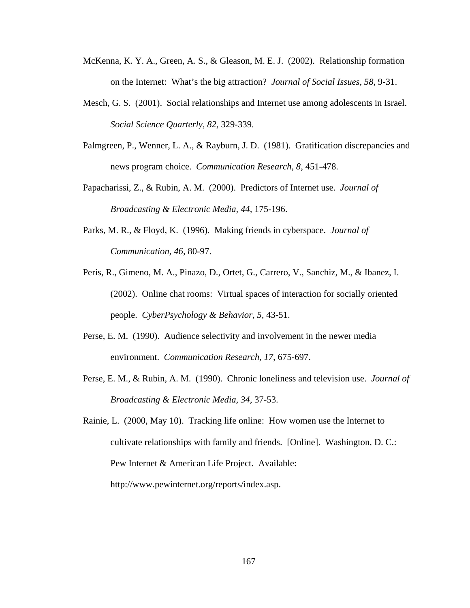- McKenna, K. Y. A., Green, A. S., & Gleason, M. E. J. (2002). Relationship formation on the Internet: What's the big attraction? *Journal of Social Issues, 58,* 9-31.
- Mesch, G. S. (2001). Social relationships and Internet use among adolescents in Israel. *Social Science Quarterly, 82,* 329-339.
- Palmgreen, P., Wenner, L. A., & Rayburn, J. D. (1981). Gratification discrepancies and news program choice. *Communication Research, 8*, 451-478.
- Papacharissi, Z., & Rubin, A. M. (2000). Predictors of Internet use. *Journal of Broadcasting & Electronic Media, 44,* 175-196.
- Parks, M. R., & Floyd, K. (1996). Making friends in cyberspace. *Journal of Communication, 46,* 80-97.
- Peris, R., Gimeno, M. A., Pinazo, D., Ortet, G., Carrero, V., Sanchiz, M., & Ibanez, I. (2002). Online chat rooms: Virtual spaces of interaction for socially oriented people. *CyberPsychology & Behavior, 5,* 43-51.
- Perse, E. M. (1990). Audience selectivity and involvement in the newer media environment. *Communication Research, 17,* 675-697.
- Perse, E. M., & Rubin, A. M. (1990). Chronic loneliness and television use. *Journal of Broadcasting & Electronic Media, 34,* 37-53.
- Rainie, L. (2000, May 10). Tracking life online: How women use the Internet to cultivate relationships with family and friends. [Online]. Washington, D. C.: Pew Internet & American Life Project. Available: http://www.pewinternet.org/reports/index.asp.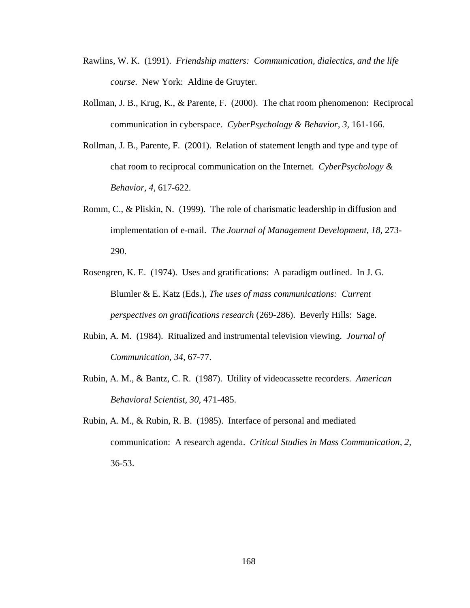- Rawlins, W. K. (1991). *Friendship matters: Communication, dialectics, and the life course*. New York: Aldine de Gruyter.
- Rollman, J. B., Krug, K., & Parente, F. (2000). The chat room phenomenon: Reciprocal communication in cyberspace. *CyberPsychology & Behavior, 3,* 161-166.
- Rollman, J. B., Parente, F. (2001). Relation of statement length and type and type of chat room to reciprocal communication on the Internet. *CyberPsychology & Behavior, 4,* 617-622.
- Romm, C., & Pliskin, N. (1999). The role of charismatic leadership in diffusion and implementation of e-mail. *The Journal of Management Development, 18,* 273- 290.
- Rosengren, K. E. (1974). Uses and gratifications: A paradigm outlined. In J. G. Blumler & E. Katz (Eds.), *The uses of mass communications: Current perspectives on gratifications research* (269-286). Beverly Hills: Sage.
- Rubin, A. M. (1984). Ritualized and instrumental television viewing. *Journal of Communication, 34,* 67-77.
- Rubin, A. M., & Bantz, C. R. (1987). Utility of videocassette recorders. *American Behavioral Scientist, 30,* 471-485.
- Rubin, A. M., & Rubin, R. B. (1985). Interface of personal and mediated communication: A research agenda. *Critical Studies in Mass Communication, 2,* 36-53.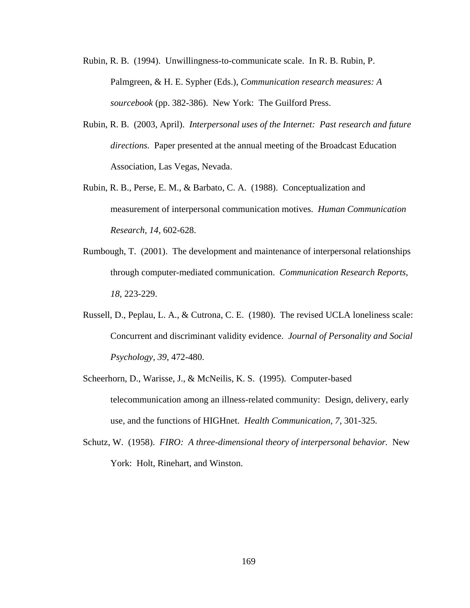- Rubin, R. B. (1994). Unwillingness-to-communicate scale. In R. B. Rubin, P. Palmgreen, & H. E. Sypher (Eds.), *Communication research measures: A sourcebook* (pp. 382-386). New York: The Guilford Press.
- Rubin, R. B. (2003, April). *Interpersonal uses of the Internet: Past research and future directions.* Paper presented at the annual meeting of the Broadcast Education Association, Las Vegas, Nevada.
- Rubin, R. B., Perse, E. M., & Barbato, C. A. (1988). Conceptualization and measurement of interpersonal communication motives. *Human Communication Research, 14,* 602-628.
- Rumbough, T. (2001). The development and maintenance of interpersonal relationships through computer-mediated communication. *Communication Research Reports, 18,* 223-229.
- Russell, D., Peplau, L. A., & Cutrona, C. E. (1980). The revised UCLA loneliness scale: Concurrent and discriminant validity evidence. *Journal of Personality and Social Psychology, 39,* 472-480.
- Scheerhorn, D., Warisse, J., & McNeilis, K. S. (1995). Computer-based telecommunication among an illness-related community: Design, delivery, early use, and the functions of HIGHnet. *Health Communication, 7,* 301-325.
- Schutz, W. (1958). *FIRO: A three-dimensional theory of interpersonal behavior.* New York: Holt, Rinehart, and Winston.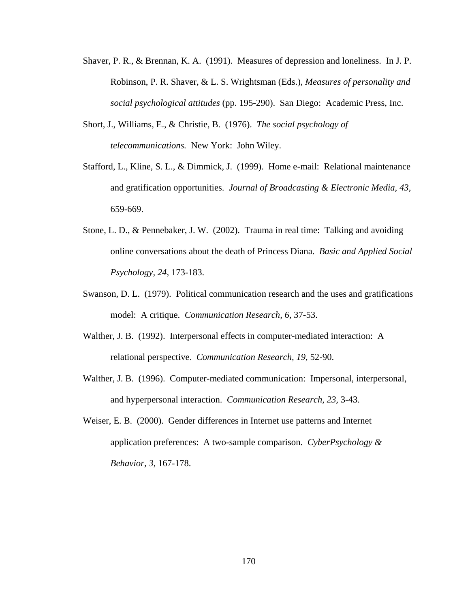- Shaver, P. R., & Brennan, K. A. (1991). Measures of depression and loneliness. In J. P. Robinson, P. R. Shaver, & L. S. Wrightsman (Eds.), *Measures of personality and social psychological attitudes* (pp. 195-290). San Diego: Academic Press, Inc.
- Short, J., Williams, E., & Christie, B. (1976). *The social psychology of telecommunications.* New York: John Wiley.
- Stafford, L., Kline, S. L., & Dimmick, J. (1999). Home e-mail: Relational maintenance and gratification opportunities. *Journal of Broadcasting & Electronic Media, 43,* 659-669.
- Stone, L. D., & Pennebaker, J. W. (2002). Trauma in real time: Talking and avoiding online conversations about the death of Princess Diana. *Basic and Applied Social Psychology, 24,* 173-183.
- Swanson, D. L. (1979). Political communication research and the uses and gratifications model: A critique. *Communication Research, 6,* 37-53.
- Walther, J. B. (1992). Interpersonal effects in computer-mediated interaction: A relational perspective. *Communication Research, 19,* 52-90.
- Walther, J. B. (1996). Computer-mediated communication: Impersonal, interpersonal, and hyperpersonal interaction. *Communication Research, 23,* 3-43.
- Weiser, E. B. (2000). Gender differences in Internet use patterns and Internet application preferences: A two-sample comparison. *CyberPsychology & Behavior, 3,* 167-178.